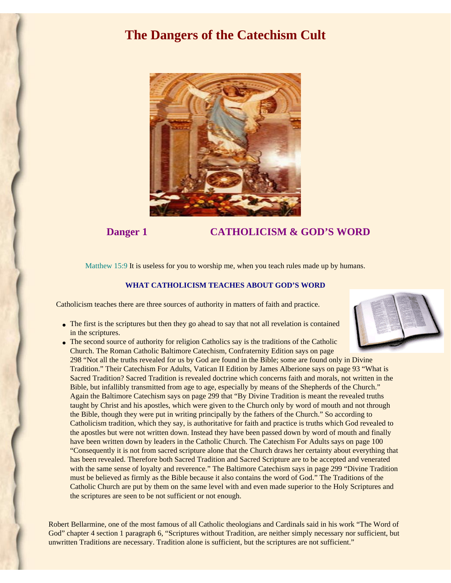# **The Dangers of the Catechism Cult**



### **Danger 1 CATHOLICISM & GOD'S WORD**

Matthew 15:9 It is useless for you to worship me, when you teach rules made up by humans.

### **WHAT CATHOLICISM TEACHES ABOUT GOD'S WORD**

Catholicism teaches there are three sources of authority in matters of faith and practice.

- The first is the scriptures but then they go ahead to say that not all revelation is contained in the scriptures.
- The second source of authority for religion Catholics say is the traditions of the Catholic Church. The Roman Catholic Baltimore Catechism, Confraternity Edition says on page 298 "Not all the truths revealed for us by God are found in the Bible; some are found only in Divine Tradition." Their Catechism For Adults, Vatican II Edition by James Alberione says on page 93 "What is Sacred Tradition? Sacred Tradition is revealed doctrine which concerns faith and morals, not written in the Bible, but infallibly transmitted from age to age, especially by means of the Shepherds of the Church." Again the Baltimore Catechism says on page 299 that "By Divine Tradition is meant the revealed truths taught by Christ and his apostles, which were given to the Church only by word of mouth and not through the Bible, though they were put in writing principally by the fathers of the Church." So according to Catholicism tradition, which they say, is authoritative for faith and practice is truths which God revealed to the apostles but were not written down. Instead they have been passed down by word of mouth and finally have been written down by leaders in the Catholic Church. The Catechism For Adults says on page 100 "Consequently it is not from sacred scripture alone that the Church draws her certainty about everything that has been revealed. Therefore both Sacred Tradition and Sacred Scripture are to be accepted and venerated with the same sense of loyalty and reverence." The Baltimore Catechism says in page 299 "Divine Tradition" must be believed as firmly as the Bible because it also contains the word of God." The Traditions of the Catholic Church are put by them on the same level with and even made superior to the Holy Scriptures and the scriptures are seen to be not sufficient or not enough.

Robert Bellarmine, one of the most famous of all Catholic theologians and Cardinals said in his work "The Word of God" chapter 4 section 1 paragraph 6, "Scriptures without Tradition, are neither simply necessary nor sufficient, but unwritten Traditions are necessary. Tradition alone is sufficient, but the scriptures are not sufficient."

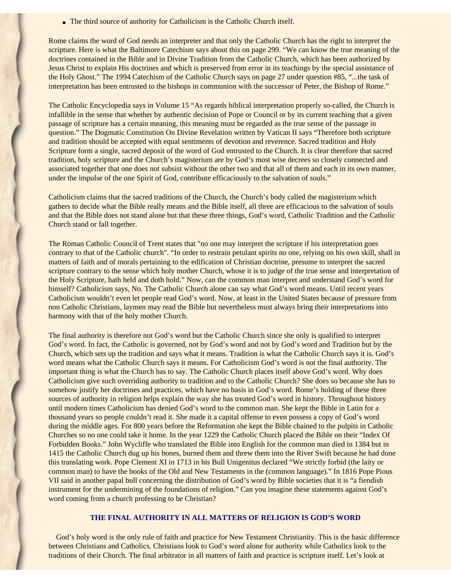• The third source of authority for Catholicism is the Catholic Church itself.

Rome claims the word of God needs an interpreter and that only the Catholic Church has the right to interpret the scripture. Here is what the Baltimore Catechism says about this on page 299. "We can know the true meaning of the doctrines contained in the Bible and in Divine Tradition from the Catholic Church, which has been authorized by Jesus Christ to explain His doctrines and which is preserved from error in its teachings by the special assistance of the Holy Ghost." The 1994 Catechism of the Catholic Church says on page 27 under question #85, "...the task of interpretation has been entrusted to the bishops in communion with the successor of Peter, the Bishop of Rome."

The Catholic Encyclopedia says in Volume 15 "As regards biblical interpretation properly so-called, the Church is infallible in the sense that whether by authentic decision of Pope or Council or by its current teaching that a given passage of scripture has a certain meaning, this meaning must be regarded as the true sense of the passage in question." The Dogmatic Constitution On Divine Revelation written by Vatican II says "Therefore both scripture and tradition should be accepted with equal sentiments of devotion and reverence. Sacred tradition and Holy Scripture form a single, sacred deposit of the word of God entrusted to the Church. It is clear therefore that sacred tradition, holy scripture and the Church's magisterium are by God's most wise decrees so closely connected and associated together that one does not subsist without the other two and that all of them and each in its own manner, under the impulse of the one Spirit of God, contribute efficaciously to the salvation of souls."

Catholicism claims that the sacred traditions of the Church, the Church's body called the magisterium which gathers to decide what the Bible really means and the Bible itself, all three are efficacious to the salvation of souls and that the Bible does not stand alone but that these three things, God's word, Catholic Tradition and the Catholic Church stand or fall together.

The Roman Catholic Council of Trent states that "no one may interpret the scripture if his interpretation goes contrary to that of the Catholic church". "In order to restrain petulant spirits no one, relying on his own skill, shall in matters of faith and of morals pertaining to the edification of Christian doctrine, presume to interpret the sacred scripture contrary to the sense which holy mother Church, whose it is to judge of the true sense and interpretation of the Holy Scripture, hath held and doth hold." Now, can the common man interpret and understand God's word for himself? Catholicism says, No. The Catholic Church alone can say what God's word means. Until recent years Catholicism wouldn't even let people read God's word. Now, at least in the United States because of pressure from non Catholic Christians, laymen may read the Bible but nevertheless must always bring their interpretations into harmony with that of the holy mother Church.

The final authority is therefore not God's word but the Catholic Church since she only is qualified to interpret God's word. In fact, the Catholic is governed, not by God's word and not by God's word and Tradition but by the Church, which sets up the tradition and says what it means. Tradition is what the Catholic Church says it is. God's word means what the Catholic Church says it means. For Catholicism God's word is not the final authority. The important thing is what the Church has to say. The Catholic Church places itself above God's word. Why does Catholicism give such overriding authority to tradition and to the Catholic Church? She does so because she has to somehow justify her doctrines and practices, which have no basis in God's word. Rome's holding of these three sources of authority in religion helps explain the way she has treated God's word in history. Throughout history until modern times Catholicism has denied God's word to the common man. She kept the Bible in Latin for a thousand years so people couldn't read it. She made it a capital offense to even possess a copy of God's word during the middle ages. For 800 years before the Reformation she kept the Bible chained to the pulpits in Catholic Churches so no one could take it home. In the year 1229 the Catholic Church placed the Bible on their "Index Of Forbidden Books." John Wycliffe who translated the Bible into English for the common man died in 1384 but in 1415 the Catholic Church dug up his bones, burned them and threw them into the River Swift because he had done this translating work. Pope Clement XI in 1713 in his Bull Unigenitus declared "We strictly forbid (the laity or common man) to have the books of the Old and New Testaments in the (common language)." In 1816 Pope Pious VII said in another papal bull concerning the distribution of God's word by Bible societies that it is "a fiendish instrument for the undermining of the foundations of religion." Can you imagine these statements against God's word coming from a church professing to be Christian?

### **THE FINAL AUTHORITY IN ALL MATTERS OF RELIGION IS GOD'S WORD**

 God's holy word is the only rule of faith and practice for New Testament Christianity. This is the basic difference between Christians and Catholics. Christians look to God's word alone for authority while Catholics look to the traditions of their Church. The final arbitrator in all matters of faith and practice is scripture itself. Let's look at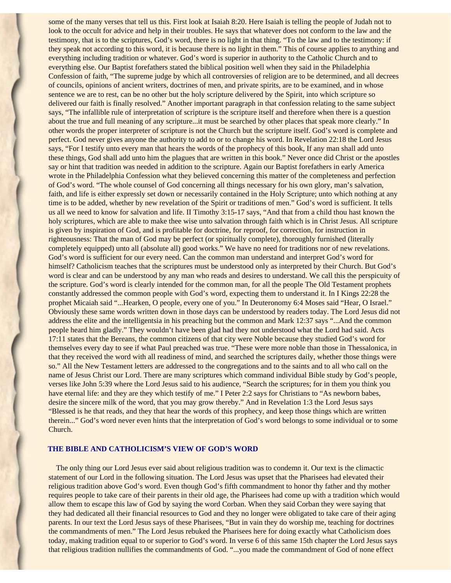some of the many verses that tell us this. First look at Isaiah 8:20. Here Isaiah is telling the people of Judah not to look to the occult for advice and help in their troubles. He says that whatever does not conform to the law and the testimony, that is to the scriptures, God's word, there is no light in that thing. "To the law and to the testimony: if they speak not according to this word, it is because there is no light in them." This of course applies to anything and everything including tradition or whatever. God's word is superior in authority to the Catholic Church and to everything else. Our Baptist forefathers stated the biblical position well when they said in the Philadelphia Confession of faith, "The supreme judge by which all controversies of religion are to be determined, and all decrees of councils, opinions of ancient writers, doctrines of men, and private spirits, are to be examined, and in whose sentence we are to rest, can be no other but the holy scripture delivered by the Spirit, into which scripture so delivered our faith is finally resolved." Another important paragraph in that confession relating to the same subject says, "The infallible rule of interpretation of scripture is the scripture itself and therefore when there is a question about the true and full meaning of any scripture...it must be searched by other places that speak more clearly." In other words the proper interpreter of scripture is not the Church but the scripture itself. God's word is complete and perfect. God never gives anyone the authority to add to or to change his word. In Revelation 22:18 the Lord Jesus says, "For I testify unto every man that hears the words of the prophecy of this book, If any man shall add unto these things, God shall add unto him the plagues that are written in this book." Never once did Christ or the apostles say or hint that tradition was needed in addition to the scripture. Again our Baptist forefathers in early America wrote in the Philadelphia Confession what they believed concerning this matter of the completeness and perfection of God's word. "The whole counsel of God concerning all things necessary for his own glory, man's salvation, faith, and life is either expressly set down or necessarily contained in the Holy Scripture; unto which nothing at any time is to be added, whether by new revelation of the Spirit or traditions of men." God's word is sufficient. It tells us all we need to know for salvation and life. II Timothy 3:15-17 says, "And that from a child thou hast known the holy scriptures, which are able to make thee wise unto salvation through faith which is in Christ Jesus. All scripture is given by inspiration of God, and is profitable for doctrine, for reproof, for correction, for instruction in righteousness: That the man of God may be perfect (or spiritually complete), thoroughly furnished (literally completely equipped) unto all (absolute all) good works." We have no need for traditions nor of new revelations. God's word is sufficient for our every need. Can the common man understand and interpret God's word for himself? Catholicism teaches that the scriptures must be understood only as interpreted by their Church. But God's word is clear and can be understood by any man who reads and desires to understand. We call this the perspicuity of the scripture. God's word is clearly intended for the common man, for all the people The Old Testament prophets constantly addressed the common people with God's word, expecting them to understand it. In I Kings 22:28 the prophet Micaiah said "...Hearken, O people, every one of you." In Deuteronomy 6:4 Moses said "Hear, O Israel." Obviously these same words written down in those days can be understood by readers today. The Lord Jesus did not address the elite and the intelligentsia in his preaching but the common and Mark 12:37 says "...And the common people heard him gladly." They wouldn't have been glad had they not understood what the Lord had said. Acts 17:11 states that the Bereans, the common citizens of that city were Noble because they studied God's word for themselves every day to see if what Paul preached was true. "These were more noble than those in Thessalonica, in that they received the word with all readiness of mind, and searched the scriptures daily, whether those things were so." All the New Testament letters are addressed to the congregations and to the saints and to all who call on the name of Jesus Christ our Lord. There are many scriptures which command individual Bible study by God's people, verses like John 5:39 where the Lord Jesus said to his audience, "Search the scriptures; for in them you think you have eternal life: and they are they which testify of me." I Peter 2:2 says for Christians to "As newborn babes, desire the sincere milk of the word, that you may grow thereby." And in Revelation 1:3 the Lord Jesus says "Blessed is he that reads, and they that hear the words of this prophecy, and keep those things which are written therein..." God's word never even hints that the interpretation of God's word belongs to some individual or to some Church.

### **THE BIBLE AND CATHOLICISM'S VIEW OF GOD'S WORD**

 The only thing our Lord Jesus ever said about religious tradition was to condemn it. Our text is the climactic statement of our Lord in the following situation. The Lord Jesus was upset that the Pharisees had elevated their religious tradition above God's word. Even though God's fifth commandment to honor thy father and thy mother requires people to take care of their parents in their old age, the Pharisees had come up with a tradition which would allow them to escape this law of God by saying the word Corban. When they said Corban they were saying that they had dedicated all their financial resources to God and they no longer were obligated to take care of their aging parents. In our text the Lord Jesus says of these Pharisees, "But in vain they do worship me, teaching for doctrines the commandments of men." The Lord Jesus rebuked the Pharisees here for doing exactly what Catholicism does today, making tradition equal to or superior to God's word. In verse 6 of this same 15th chapter the Lord Jesus says that religious tradition nullifies the commandments of God. "...you made the commandment of God of none effect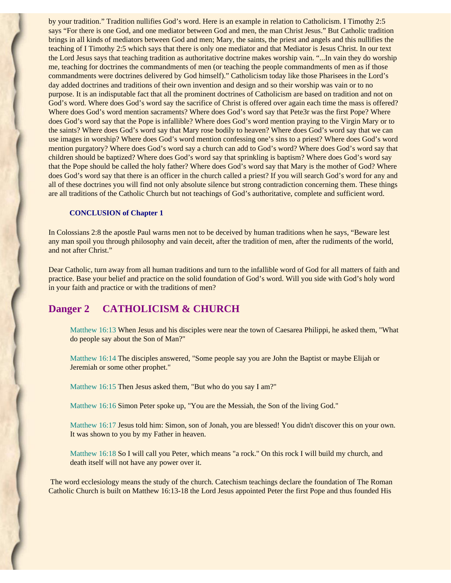by your tradition." Tradition nullifies God's word. Here is an example in relation to Catholicism. I Timothy 2:5 says "For there is one God, and one mediator between God and men, the man Christ Jesus." But Catholic tradition brings in all kinds of mediators between God and men; Mary, the saints, the priest and angels and this nullifies the teaching of I Timothy 2:5 which says that there is only one mediator and that Mediator is Jesus Christ. In our text the Lord Jesus says that teaching tradition as authoritative doctrine makes worship vain. "...In vain they do worship me, teaching for doctrines the commandments of men (or teaching the people commandments of men as if those commandments were doctrines delivered by God himself)." Catholicism today like those Pharisees in the Lord's day added doctrines and traditions of their own invention and design and so their worship was vain or to no purpose. It is an indisputable fact that all the prominent doctrines of Catholicism are based on tradition and not on God's word. Where does God's word say the sacrifice of Christ is offered over again each time the mass is offered? Where does God's word mention sacraments? Where does God's word say that Pete3r was the first Pope? Where does God's word say that the Pope is infallible? Where does God's word mention praying to the Virgin Mary or to the saints? Where does God's word say that Mary rose bodily to heaven? Where does God's word say that we can use images in worship? Where does God's word mention confessing one's sins to a priest? Where does God's word mention purgatory? Where does God's word say a church can add to God's word? Where does God's word say that children should be baptized? Where does God's word say that sprinkling is baptism? Where does God's word say that the Pope should be called the holy father? Where does God's word say that Mary is the mother of God? Where does God's word say that there is an officer in the church called a priest? If you will search God's word for any and all of these doctrines you will find not only absolute silence but strong contradiction concerning them. These things are all traditions of the Catholic Church but not teachings of God's authoritative, complete and sufficient word.

### **CONCLUSION of Chapter 1**

In Colossians 2:8 the apostle Paul warns men not to be deceived by human traditions when he says, "Beware lest any man spoil you through philosophy and vain deceit, after the tradition of men, after the rudiments of the world, and not after Christ."

Dear Catholic, turn away from all human traditions and turn to the infallible word of God for all matters of faith and practice. Base your belief and practice on the solid foundation of God's word. Will you side with God's holy word in your faith and practice or with the traditions of men?

# **Danger 2 CATHOLICISM & CHURCH**

Matthew 16:13 When Jesus and his disciples were near the town of Caesarea Philippi, he asked them, "What do people say about the Son of Man?"

Matthew 16:14 The disciples answered, "Some people say you are John the Baptist or maybe Elijah or Jeremiah or some other prophet."

Matthew 16:15 Then Jesus asked them, "But who do you say I am?"

Matthew 16:16 Simon Peter spoke up, "You are the Messiah, the Son of the living God."

Matthew 16:17 Jesus told him: Simon, son of Jonah, you are blessed! You didn't discover this on your own. It was shown to you by my Father in heaven.

Matthew 16:18 So I will call you Peter, which means "a rock." On this rock I will build my church, and death itself will not have any power over it.

 The word ecclesiology means the study of the church. Catechism teachings declare the foundation of The Roman Catholic Church is built on Matthew 16:13-18 the Lord Jesus appointed Peter the first Pope and thus founded His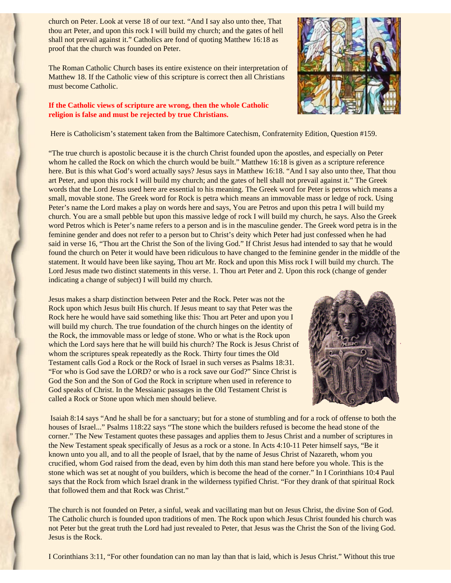church on Peter. Look at verse 18 of our text. "And I say also unto thee, That thou art Peter, and upon this rock I will build my church; and the gates of hell shall not prevail against it." Catholics are fond of quoting Matthew 16:18 as proof that the church was founded on Peter.

The Roman Catholic Church bases its entire existence on their interpretation of Matthew 18. If the Catholic view of this scripture is correct then all Christians must become Catholic.

### **If the Catholic views of scripture are wrong, then the whole Catholic religion is false and must be rejected by true Christians.**



Here is Catholicism's statement taken from the Baltimore Catechism, Confraternity Edition, Question #159.

"The true church is apostolic because it is the church Christ founded upon the apostles, and especially on Peter whom he called the Rock on which the church would be built." Matthew 16:18 is given as a scripture reference here. But is this what God's word actually says? Jesus says in Matthew 16:18. "And I say also unto thee, That thou art Peter, and upon this rock I will build my church; and the gates of hell shall not prevail against it." The Greek words that the Lord Jesus used here are essential to his meaning. The Greek word for Peter is petros which means a small, movable stone. The Greek word for Rock is petra which means an immovable mass or ledge of rock. Using Peter's name the Lord makes a play on words here and says, You are Petros and upon this petra I will build my church. You are a small pebble but upon this massive ledge of rock I will build my church, he says. Also the Greek word Petros which is Peter's name refers to a person and is in the masculine gender. The Greek word petra is in the feminine gender and does not refer to a person but to Christ's deity which Peter had just confessed when he had said in verse 16, "Thou art the Christ the Son of the living God." If Christ Jesus had intended to say that he would found the church on Peter it would have been ridiculous to have changed to the feminine gender in the middle of the statement. It would have been like saying, Thou art Mr. Rock and upon this Miss rock I will build my church. The Lord Jesus made two distinct statements in this verse. 1. Thou art Peter and 2. Upon this rock (change of gender indicating a change of subject) I will build my church.

Jesus makes a sharp distinction between Peter and the Rock. Peter was not the Rock upon which Jesus built His church. If Jesus meant to say that Peter was the Rock here he would have said something like this: Thou art Peter and upon you I will build my church. The true foundation of the church hinges on the identity of the Rock, the immovable mass or ledge of stone. Who or what is the Rock upon which the Lord says here that he will build his church? The Rock is Jesus Christ of whom the scriptures speak repeatedly as the Rock. Thirty four times the Old Testament calls God a Rock or the Rock of Israel in such verses as Psalms 18:31. "For who is God save the LORD? or who is a rock save our God?" Since Christ is God the Son and the Son of God the Rock in scripture when used in reference to God speaks of Christ. In the Messianic passages in the Old Testament Christ is called a Rock or Stone upon which men should believe.



 Isaiah 8:14 says "And he shall be for a sanctuary; but for a stone of stumbling and for a rock of offense to both the houses of Israel..." Psalms 118:22 says "The stone which the builders refused is become the head stone of the corner." The New Testament quotes these passages and applies them to Jesus Christ and a number of scriptures in the New Testament speak specifically of Jesus as a rock or a stone. In Acts 4:10-11 Peter himself says, "Be it known unto you all, and to all the people of Israel, that by the name of Jesus Christ of Nazareth, whom you crucified, whom God raised from the dead, even by him doth this man stand here before you whole. This is the stone which was set at nought of you builders, which is become the head of the corner." In I Corinthians 10:4 Paul says that the Rock from which Israel drank in the wilderness typified Christ. "For they drank of that spiritual Rock that followed them and that Rock was Christ."

The church is not founded on Peter, a sinful, weak and vacillating man but on Jesus Christ, the divine Son of God. The Catholic church is founded upon traditions of men. The Rock upon which Jesus Christ founded his church was not Peter but the great truth the Lord had just revealed to Peter, that Jesus was the Christ the Son of the living God. Jesus is the Rock.

I Corinthians 3:11, "For other foundation can no man lay than that is laid, which is Jesus Christ." Without this true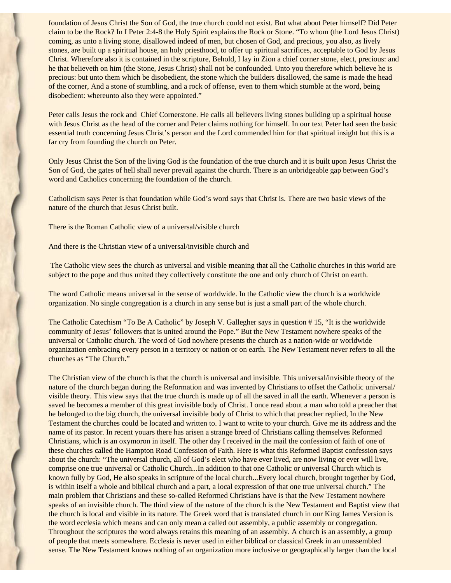foundation of Jesus Christ the Son of God, the true church could not exist. But what about Peter himself? Did Peter claim to be the Rock? In I Peter 2:4-8 the Holy Spirit explains the Rock or Stone. "To whom (the Lord Jesus Christ) coming, as unto a living stone, disallowed indeed of men, but chosen of God, and precious, you also, as lively stones, are built up a spiritual house, an holy priesthood, to offer up spiritual sacrifices, acceptable to God by Jesus Christ. Wherefore also it is contained in the scripture, Behold, I lay in Zion a chief corner stone, elect, precious: and he that believeth on him (the Stone, Jesus Christ) shall not be confounded. Unto you therefore which believe he is precious: but unto them which be disobedient, the stone which the builders disallowed, the same is made the head of the corner, And a stone of stumbling, and a rock of offense, even to them which stumble at the word, being disobedient: whereunto also they were appointed."

Peter calls Jesus the rock and Chief Cornerstone. He calls all believers living stones building up a spiritual house with Jesus Christ as the head of the corner and Peter claims nothing for himself. In our text Peter had seen the basic essential truth concerning Jesus Christ's person and the Lord commended him for that spiritual insight but this is a far cry from founding the church on Peter.

Only Jesus Christ the Son of the living God is the foundation of the true church and it is built upon Jesus Christ the Son of God, the gates of hell shall never prevail against the church. There is an unbridgeable gap between God's word and Catholics concerning the foundation of the church.

Catholicism says Peter is that foundation while God's word says that Christ is. There are two basic views of the nature of the church that Jesus Christ built.

There is the Roman Catholic view of a universal/visible church

And there is the Christian view of a universal/invisible church and

 The Catholic view sees the church as universal and visible meaning that all the Catholic churches in this world are subject to the pope and thus united they collectively constitute the one and only church of Christ on earth.

The word Catholic means universal in the sense of worldwide. In the Catholic view the church is a worldwide organization. No single congregation is a church in any sense but is just a small part of the whole church.

The Catholic Catechism "To Be A Catholic" by Joseph V. Gallegher says in question # 15, "It is the worldwide community of Jesus' followers that is united around the Pope." But the New Testament nowhere speaks of the universal or Catholic church. The word of God nowhere presents the church as a nation-wide or worldwide organization embracing every person in a territory or nation or on earth. The New Testament never refers to all the churches as "The Church."

The Christian view of the church is that the church is universal and invisible. This universal/invisible theory of the nature of the church began during the Reformation and was invented by Christians to offset the Catholic universal/ visible theory. This view says that the true church is made up of all the saved in all the earth. Whenever a person is saved he becomes a member of this great invisible body of Christ. I once read about a man who told a preacher that he belonged to the big church, the universal invisible body of Christ to which that preacher replied, In the New Testament the churches could be located and written to. I want to write to your church. Give me its address and the name of its pastor. In recent youars there has arisen a strange breed of Christians calling themselves Reformed Christians, which is an oxymoron in itself. The other day I received in the mail the confession of faith of one of these churches called the Hampton Road Confession of Faith. Here is what this Reformed Baptist confession says about the church: "The universal church, all of God's elect who have ever lived, are now living or ever will live, comprise one true universal or Catholic Church...In addition to that one Catholic or universal Church which is known fully by God, He also speaks in scripture of the local church...Every local church, brought together by God, is within itself a whole and biblical church and a part, a local expression of that one true universal church." The main problem that Christians and these so-called Reformed Christians have is that the New Testament nowhere speaks of an invisible church. The third view of the nature of the church is the New Testament and Baptist view that the church is local and visible in its nature. The Greek word that is translated church in our King James Version is the word ecclesia which means and can only mean a called out assembly, a public assembly or congregation. Throughout the scriptures the word always retains this meaning of an assembly. A church is an assembly, a group of people that meets somewhere. Ecclesia is never used in either biblical or classical Greek in an unassembled sense. The New Testament knows nothing of an organization more inclusive or geographically larger than the local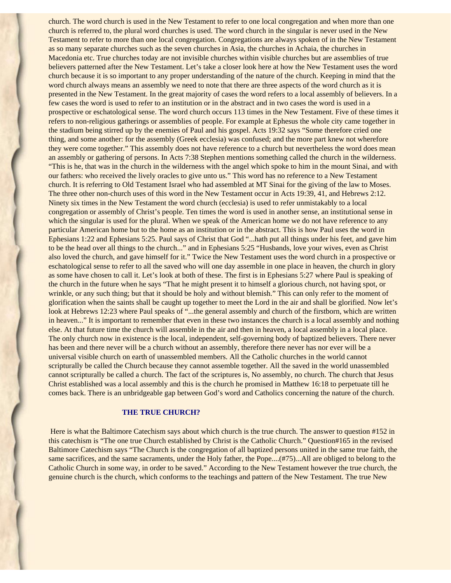church. The word church is used in the New Testament to refer to one local congregation and when more than one church is referred to, the plural word churches is used. The word church in the singular is never used in the New Testament to refer to more than one local congregation. Congregations are always spoken of in the New Testament as so many separate churches such as the seven churches in Asia, the churches in Achaia, the churches in Macedonia etc. True churches today are not invisible churches within visible churches but are assemblies of true believers patterned after the New Testament. Let's take a closer look here at how the New Testament uses the word church because it is so important to any proper understanding of the nature of the church. Keeping in mind that the word church always means an assembly we need to note that there are three aspects of the word church as it is presented in the New Testament. In the great majority of cases the word refers to a local assembly of believers. In a few cases the word is used to refer to an institution or in the abstract and in two cases the word is used in a prospective or eschatological sense. The word church occurs 113 times in the New Testament. Five of these times it refers to non-religious gatherings or assemblies of people. For example at Ephesus the whole city came together in the stadium being stirred up by the enemies of Paul and his gospel. Acts 19:32 says "Some therefore cried one thing, and some another: for the assembly (Greek ecclesia) was confused; and the more part knew not wherefore they were come together." This assembly does not have reference to a church but nevertheless the word does mean an assembly or gathering of persons. In Acts 7:38 Stephen mentions something called the church in the wilderness. "This is he, that was in the church in the wilderness with the angel which spoke to him in the mount Sinai, and with our fathers: who received the lively oracles to give unto us." This word has no reference to a New Testament church. It is referring to Old Testament Israel who had assembled at MT Sinai for the giving of the law to Moses. The three other non-church uses of this word in the New Testament occur in Acts 19:39, 41, and Hebrews 2:12. Ninety six times in the New Testament the word church (ecclesia) is used to refer unmistakably to a local congregation or assembly of Christ's people. Ten times the word is used in another sense, an institutional sense in which the singular is used for the plural. When we speak of the American home we do not have reference to any particular American home but to the home as an institution or in the abstract. This is how Paul uses the word in Ephesians 1:22 and Ephesians 5:25. Paul says of Christ that God "...hath put all things under his feet, and gave him to be the head over all things to the church..." and in Ephesians 5:25 "Husbands, love your wives, even as Christ also loved the church, and gave himself for it." Twice the New Testament uses the word church in a prospective or eschatological sense to refer to all the saved who will one day assemble in one place in heaven, the church in glory as some have chosen to call it. Let's look at both of these. The first is in Ephesians 5:27 where Paul is speaking of the church in the future when he says "That he might present it to himself a glorious church, not having spot, or wrinkle, or any such thing; but that it should be holy and without blemish." This can only refer to the moment of glorification when the saints shall be caught up together to meet the Lord in the air and shall be glorified. Now let's look at Hebrews 12:23 where Paul speaks of "...the general assembly and church of the firstborn, which are written in heaven..." It is important to remember that even in these two instances the church is a local assembly and nothing else. At that future time the church will assemble in the air and then in heaven, a local assembly in a local place. The only church now in existence is the local, independent, self-governing body of baptized believers. There never has been and there never will be a church without an assembly, therefore there never has nor ever will be a universal visible church on earth of unassembled members. All the Catholic churches in the world cannot scripturally be called the Church because they cannot assemble together. All the saved in the world unassembled cannot scripturally be called a church. The fact of the scriptures is, No assembly, no church. The church that Jesus Christ established was a local assembly and this is the church he promised in Matthew 16:18 to perpetuate till he comes back. There is an unbridgeable gap between God's word and Catholics concerning the nature of the church.

### **THE TRUE CHURCH?**

 Here is what the Baltimore Catechism says about which church is the true church. The answer to question #152 in this catechism is "The one true Church established by Christ is the Catholic Church." Question#165 in the revised Baltimore Catechism says "The Church is the congregation of all baptized persons united in the same true faith, the same sacrifices, and the same sacraments, under the Holy father, the Pope....(#75)...All are obliged to belong to the Catholic Church in some way, in order to be saved." According to the New Testament however the true church, the genuine church is the church, which conforms to the teachings and pattern of the New Testament. The true New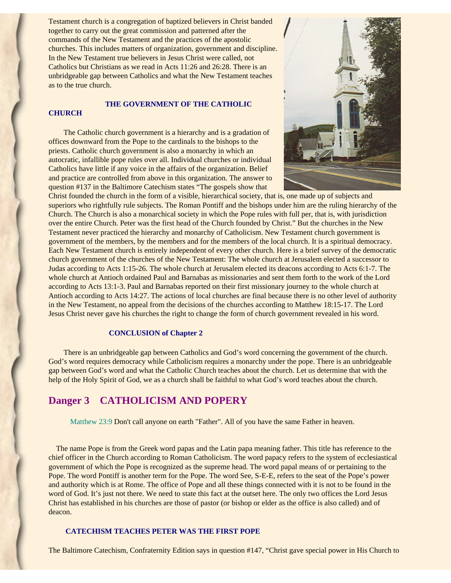Testament church is a congregation of baptized believers in Christ banded together to carry out the great commission and patterned after the commands of the New Testament and the practices of the apostolic churches. This includes matters of organization, government and discipline. In the New Testament true believers in Jesus Christ were called, not Catholics but Christians as we read in Acts 11:26 and 26:28. There is an unbridgeable gap between Catholics and what the New Testament teaches as to the true church.

# **THE GOVERNMENT OF THE CATHOLIC**

### **CHURCH**

 The Catholic church government is a hierarchy and is a gradation of offices downward from the Pope to the cardinals to the bishops to the priests. Catholic church government is also a monarchy in which an autocratic, infallible pope rules over all. Individual churches or individual Catholics have little if any voice in the affairs of the organization. Belief and practice are controlled from above in this organization. The answer to question #137 in the Baltimore Catechism states "The gospels show that



Christ founded the church in the form of a visible, hierarchical society, that is, one made up of subjects and superiors who rightfully rule subjects. The Roman Pontiff and the bishops under him are the ruling hierarchy of the Church. The Church is also a monarchical society in which the Pope rules with full per, that is, with jurisdiction over the entire Church. Peter was the first head of the Church founded by Christ." But the churches in the New Testament never practiced the hierarchy and monarchy of Catholicism. New Testament church government is government of the members, by the members and for the members of the local church. It is a spiritual democracy. Each New Testament church is entirely independent of every other church. Here is a brief survey of the democratic church government of the churches of the New Testament: The whole church at Jerusalem elected a successor to Judas according to Acts 1:15-26. The whole church at Jerusalem elected its deacons according to Acts 6:1-7. The whole church at Antioch ordained Paul and Barnabas as missionaries and sent them forth to the work of the Lord according to Acts 13:1-3. Paul and Barnabas reported on their first missionary journey to the whole church at Antioch according to Acts 14:27. The actions of local churches are final because there is no other level of authority in the New Testament, no appeal from the decisions of the churches according to Matthew 18:15-17. The Lord Jesus Christ never gave his churches the right to change the form of church government revealed in his word.

### **CONCLUSION of Chapter 2**

 There is an unbridgeable gap between Catholics and God's word concerning the government of the church. God's word requires democracy while Catholicism requires a monarchy under the pope. There is an unbridgeable gap between God's word and what the Catholic Church teaches about the church. Let us determine that with the help of the Holy Spirit of God, we as a church shall be faithful to what God's word teaches about the church.

### **Danger 3 CATHOLICISM AND POPERY**

Matthew 23:9 Don't call anyone on earth "Father". All of you have the same Father in heaven.

 The name Pope is from the Greek word papas and the Latin papa meaning father. This title has reference to the chief officer in the Church according to Roman Catholicism. The word papacy refers to the system of ecclesiastical government of which the Pope is recognized as the supreme head. The word papal means of or pertaining to the Pope. The word Pontiff is another term for the Pope. The word See, S-E-E, refers to the seat of the Pope's power and authority which is at Rome. The office of Pope and all these things connected with it is not to be found in the word of God. It's just not there. We need to state this fact at the outset here. The only two offices the Lord Jesus Christ has established in his churches are those of pastor (or bishop or elder as the office is also called) and of deacon.

### **CATECHISM TEACHES PETER WAS THE FIRST POPE**

The Baltimore Catechism, Confraternity Edition says in question #147, "Christ gave special power in His Church to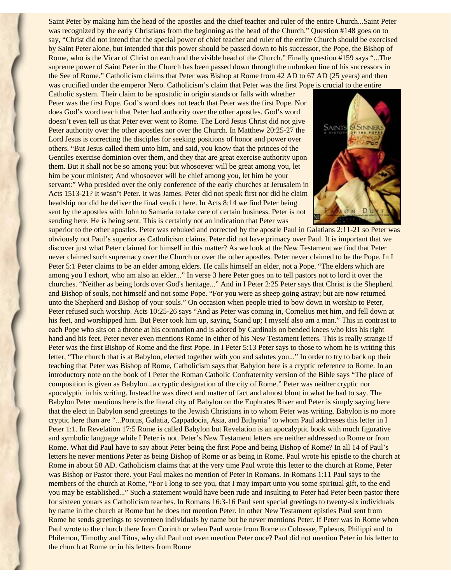Saint Peter by making him the head of the apostles and the chief teacher and ruler of the entire Church...Saint Peter was recognized by the early Christians from the beginning as the head of the Church." Question #148 goes on to say, "Christ did not intend that the special power of chief teacher and ruler of the entire Church should be exercised by Saint Peter alone, but intended that this power should be passed down to his successor, the Pope, the Bishop of Rome, who is the Vicar of Christ on earth and the visible head of the Church." Finally question #159 says "...The supreme power of Saint Peter in the Church has been passed down through the unbroken line of his successors in the See of Rome." Catholicism claims that Peter was Bishop at Rome from 42 AD to 67 AD (25 years) and then was crucified under the emperor Nero. Catholicism's claim that Peter was the first Pope is crucial to the entire

Catholic system. Their claim to be apostolic in origin stands or falls with whether Peter was the first Pope. God's word does not teach that Peter was the first Pope. Nor does God's word teach that Peter had authority over the other apostles. God's word doesn't even tell us that Peter ever went to Rome. The Lord Jesus Christ did not give Peter authority over the other apostles nor over the Church. In Matthew 20:25-27 the Lord Jesus is correcting the disciples for seeking positions of honor and power over others. "But Jesus called them unto him, and said, you know that the princes of the Gentiles exercise dominion over them, and they that are great exercise authority upon them. But it shall not be so among you: but whosoever will be great among you, let him be your minister; And whosoever will be chief among you, let him be your servant:" Who presided over the only conference of the early churches at Jerusalem in Acts 1513-21? It wasn't Peter. It was James. Peter did not speak first nor did he claim headship nor did he deliver the final verdict here. In Acts 8:14 we find Peter being sent by the apostles with John to Samaria to take care of certain business. Peter is not sending here. He is being sent. This is certainly not an indication that Peter was



superior to the other apostles. Peter was rebuked and corrected by the apostle Paul in Galatians 2:11-21 so Peter was obviously not Paul's superior as Catholicism claims. Peter did not have primacy over Paul. It is important that we discover just what Peter claimed for himself in this matter? As we look at the New Testament we find that Peter never claimed such supremacy over the Church or over the other apostles. Peter never claimed to be the Pope. In I Peter 5:1 Peter claims to be an elder among elders. He calls himself an elder, not a Pope. "The elders which are among you I exhort, who am also an elder..." In verse 3 here Peter goes on to tell pastors not to lord it over the churches. "Neither as being lords over God's heritage..." And in I Peter 2:25 Peter says that Christ is the Shepherd and Bishop of souls, not himself and not some Pope. "For you were as sheep going astray; but are now returned unto the Shepherd and Bishop of your souls." On occasion when people tried to bow down in worship to Peter, Peter refused such worship. Acts 10:25-26 says "And as Peter was coming in, Cornelius met him, and fell down at his feet, and worshipped him. But Peter took him up, saying, Stand up; I myself also am a man." This in contrast to each Pope who sits on a throne at his coronation and is adored by Cardinals on bended knees who kiss his right hand and his feet. Peter never even mentions Rome in either of his New Testament letters. This is really strange if Peter was the first Bishop of Rome and the first Pope. In I Peter 5:13 Peter says to those to whom he is writing this letter, "The church that is at Babylon, elected together with you and salutes you..." In order to try to back up their teaching that Peter was Bishop of Rome, Catholicism says that Babylon here is a cryptic reference to Rome. In an introductory note on the book of I Peter the Roman Catholic Confraternity version of the Bible says "The place of composition is given as Babylon...a cryptic designation of the city of Rome." Peter was neither cryptic nor apocalyptic in his writing. Instead he was direct and matter of fact and almost blunt in what he had to say. The Babylon Peter mentions here is the literal city of Babylon on the Euphrates River and Peter is simply saying here that the elect in Babylon send greetings to the Jewish Christians in to whom Peter was writing. Babylon is no more cryptic here than are "...Pontus, Galatia, Cappadocia, Asia, and Bithynia" to whom Paul addresses this letter in I Peter 1:1. In Revelation 17:5 Rome is called Babylon but Revelation is an apocalyptic book with much figurative and symbolic language while I Peter is not. Peter's New Testament letters are neither addressed to Rome or from Rome. What did Paul have to say about Peter being the first Pope and being Bishop of Rome? In all 14 of Paul's letters he never mentions Peter as being Bishop of Rome or as being in Rome. Paul wrote his epistle to the church at Rome in about 58 AD. Catholicism claims that at the very time Paul wrote this letter to the church at Rome, Peter was Bishop or Pastor there. yout Paul makes no mention of Peter in Romans. In Romans 1:11 Paul says to the members of the church at Rome, "For I long to see you, that I may impart unto you some spiritual gift, to the end you may be established..." Such a statement would have been rude and insulting to Peter had Peter been pastor there for sixteen youars as Catholicism teaches. In Romans 16:3-16 Paul sent special greetings to twenty-six individuals by name in the church at Rome but he does not mention Peter. In other New Testament epistles Paul sent from Rome he sends greetings to seventeen individuals by name but he never mentions Peter. If Peter was in Rome when Paul wrote to the church there from Corinth or when Paul wrote from Rome to Colossae, Ephesus, Philippi and to Philemon, Timothy and Titus, why did Paul not even mention Peter once? Paul did not mention Peter in his letter to the church at Rome or in his letters from Rome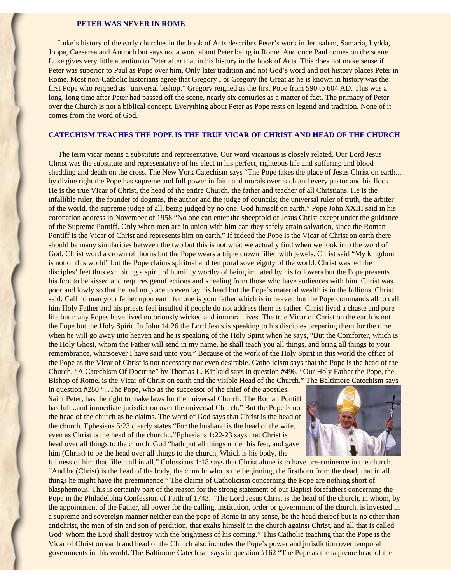### **PETER WAS NEVER IN ROME**

 Luke's history of the early churches in the book of Acts describes Peter's work in Jerusalem, Samaria, Lydda, Joppa, Caesarea and Antioch but says not a word about Peter being in Rome. And once Paul comes on the scene Luke gives very little attention to Peter after that in his history in the book of Acts. This does not make sense if Peter was superior to Paul as Pope over him. Only later tradition and not God's word and not history places Peter in Rome. Most non-Catholic historians agree that Gregory I or Gregory the Great as he is known in history was the first Pope who reigned as "universal bishop." Gregory reigned as the first Pope from 590 to 604 AD. This was a long, long time after Peter had passed off the scene, nearly six centuries as a matter of fact. The primacy of Peter over the Church is not a biblical concept. Everything about Peter as Pope rests on legend and tradition. None of it comes from the word of God.

### **CATECHISM TEACHES THE POPE IS THE TRUE VICAR OF CHRIST AND HEAD OF THE CHURCH**

 The term vicar means a substitute and representative. Our word vicarious is closely related. Our Lord Jesus Christ was the substitute and representative of his elect in his perfect, righteous life and suffering and blood shedding and death on the cross. The New York Catechism says "The Pope takes the place of Jesus Christ on earth... by divine right the Pope has supreme and full power in faith and morals over each and every pastor and his flock. He is the true Vicar of Christ, the head of the entire Church, the father and teacher of all Christians. He is the infallible ruler, the founder of dogmas, the author and the judge of councils; the universal ruler of truth, the arbiter of the world, the supreme judge of all, being judged by no one. God himself on earth." Pope John XXIII said in his coronation address in November of 1958 "No one can enter the sheepfold of Jesus Christ except under the guidance of the Supreme Pontiff. Only when men are in union with him can they safely attain salvation, since the Roman Pontiff is the Vicar of Christ and represents him on earth." If indeed the Pope is the Vicar of Christ on earth there should be many similarities between the two but this is not what we actually find when we look into the word of God. Christ word a crown of thorns but the Pope wears a triple crown filled with jewels. Christ said "My kingdom" is not of this world" but the Pope claims spiritual and temporal sovereignty of the world. Christ washed the disciples' feet thus exhibiting a spirit of humility worthy of being imitated by his followers but the Pope presents his foot to be kissed and requires genuflections and kneeling from those who have audiences with him. Christ was poor and lowly so that he had no place to even lay his head but the Pope's material wealth is in the billions. Christ said: Call no man your father upon earth for one is your father which is in heaven but the Pope commands all to call him Holy Father and his priests feel insulted if people do not address them as father. Christ lived a chaste and pure life but many Popes have lived notoriously wicked and immoral lives. The true Vicar of Christ on the earth is not the Pope but the Holy Spirit. In John 14:26 the Lord Jesus is speaking to his disciples preparing them for the time when he will go away into heaven and he is speaking of the Holy Spirit when he says, "But the Comforter, which is the Holy Ghost, whom the Father will send in my name, he shall teach you all things, and bring all things to your remembrance, whatsoever I have said unto you." Because of the work of the Holy Spirit in this world the office of the Pope as the Vicar of Christ is not necessary nor even desirable. Catholicism says that the Pope is the head of the Church. "A Catechism Of Doctrine" by Thomas L. Kinkaid says in question #496, "Our Holy Father the Pope, the Bishop of Rome, is the Vicar of Christ on earth and the visible Head of the Church." The Baltimore Catechism says

in question #280 "...The Pope, who as the successor of the chief of the apostles, Saint Peter, has the right to make laws for the universal Church. The Roman Pontiff has full...and immediate jurisdiction over the universal Church." But the Pope is not the head of the church as he claims. The word of God says that Christ is the head of the church. Ephesians 5:23 clearly states "For the husband is the head of the wife, even as Christ is the head of the church..."Ephesians 1:22-23 says that Christ is head over all things to the church. God "hath put all things under his feet, and gave him (Christ) to be the head over all things to the church, Which is his body, the



fullness of him that filleth all in all." Colossians 1:18 says that Christ alone is to have pre-eminence in the church. "And he (Christ) is the head of the body, the church: who is the beginning, the firstborn from the dead; that in all things he might have the preeminence." The claims of Catholicism concerning the Pope are nothing short of blasphemous. This is certainly part of the reason for the strong statement of our Baptist forefathers concerning the Pope in the Philadelphia Confession of Faith of 1743. "The Lord Jesus Christ is the head of the church, in whom, by the appointment of the Father, all power for the calling, institution, order or government of the church, is invested in a supreme and sovereign manner neither can the pope of Rome in any sense, be the head thereof but is no other than antichrist, the man of sin and son of perdition, that exalts himself in the church against Christ, and all that is called God' whom the Lord shall destroy with the brightness of his coming." This Catholic teaching that the Pope is the Vicar of Christ on earth and head of the Church also includes the Pope's power and jurisdiction over temporal governments in this world. The Baltimore Catechism says in question #162 "The Pope as the supreme head of the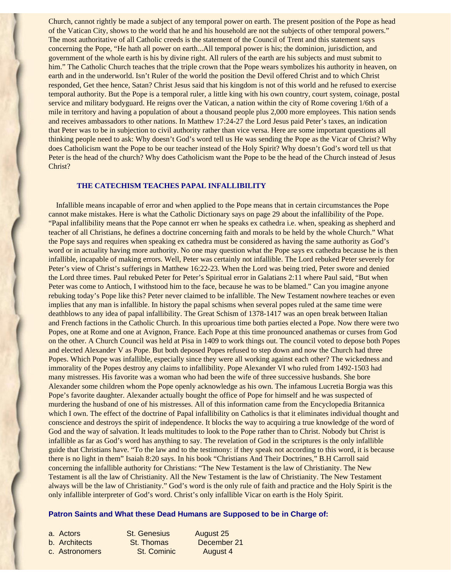Church, cannot rightly be made a subject of any temporal power on earth. The present position of the Pope as head of the Vatican City, shows to the world that he and his household are not the subjects of other temporal powers." The most authoritative of all Catholic creeds is the statement of the Council of Trent and this statement says concerning the Pope, "He hath all power on earth...All temporal power is his; the dominion, jurisdiction, and government of the whole earth is his by divine right. All rulers of the earth are his subjects and must submit to him." The Catholic Church teaches that the triple crown that the Pope wears symbolizes his authority in heaven, on earth and in the underworld. Isn't Ruler of the world the position the Devil offered Christ and to which Christ responded, Get thee hence, Satan? Christ Jesus said that his kingdom is not of this world and he refused to exercise temporal authority. But the Pope is a temporal ruler, a little king with his own country, court system, coinage, postal service and military bodyguard. He reigns over the Vatican, a nation within the city of Rome covering 1/6th of a mile in territory and having a population of about a thousand people plus 2,000 more employees. This nation sends and receives ambassadors to other nations. In Matthew 17:24-27 the Lord Jesus paid Peter's taxes, an indication that Peter was to be in subjection to civil authority rather than vice versa. Here are some important questions all thinking people need to ask: Why doesn't God's word tell us He was sending the Pope as the Vicar of Christ? Why does Catholicism want the Pope to be our teacher instead of the Holy Spirit? Why doesn't God's word tell us that Peter is the head of the church? Why does Catholicism want the Pope to be the head of the Church instead of Jesus Christ?

### **THE CATECHISM TEACHES PAPAL INFALLIBILITY**

 Infallible means incapable of error and when applied to the Pope means that in certain circumstances the Pope cannot make mistakes. Here is what the Catholic Dictionary says on page 29 about the infallibility of the Pope. "Papal infallibility means that the Pope cannot err when he speaks ex cathedra i.e. when, speaking as shepherd and teacher of all Christians, he defines a doctrine concerning faith and morals to be held by the whole Church." What the Pope says and requires when speaking ex cathedra must be considered as having the same authority as God's word or in actuality having more authority. No one may question what the Pope says ex cathedra because he is then infallible, incapable of making errors. Well, Peter was certainly not infallible. The Lord rebuked Peter severely for Peter's view of Christ's sufferings in Matthew 16:22-23. When the Lord was being tried, Peter swore and denied the Lord three times. Paul rebuked Peter for Peter's Spiritual error in Galatians 2:11 where Paul said, "But when Peter was come to Antioch, I withstood him to the face, because he was to be blamed." Can you imagine anyone rebuking today's Pope like this? Peter never claimed to be infallible. The New Testament nowhere teaches or even implies that any man is infallible. In history the papal schisms when several popes ruled at the same time were deathblows to any idea of papal infallibility. The Great Schism of 1378-1417 was an open break between Italian and French factions in the Catholic Church. In this uproarious time both parties elected a Pope. Now there were two Popes, one at Rome and one at Avignon, France. Each Pope at this time pronounced anathemas or curses from God on the other. A Church Council was held at Pisa in 1409 to work things out. The council voted to depose both Popes and elected Alexander V as Pope. But both deposed Popes refused to step down and now the Church had three Popes. Which Pope was infallible, especially since they were all working against each other? The wickedness and immorality of the Popes destroy any claims to infallibility. Pope Alexander VI who ruled from 1492-1503 had many mistresses. His favorite was a woman who had been the wife of three successive husbands. She bore Alexander some children whom the Pope openly acknowledge as his own. The infamous Lucretia Borgia was this Pope's favorite daughter. Alexander actually bought the office of Pope for himself and he was suspected of murdering the husband of one of his mistresses. All of this information came from the Encyclopedia Britannica which I own. The effect of the doctrine of Papal infallibility on Catholics is that it eliminates individual thought and conscience and destroys the spirit of independence. It blocks the way to acquiring a true knowledge of the word of God and the way of salvation. It leads multitudes to look to the Pope rather than to Christ. Nobody but Christ is infallible as far as God's word has anything to say. The revelation of God in the scriptures is the only infallible guide that Christians have. "To the law and to the testimony: if they speak not according to this word, it is because there is no light in them" Isaiah 8:20 says. In his book "Christians And Their Doctrines," B.H Carroll said concerning the infallible authority for Christians: "The New Testament is the law of Christianity. The New Testament is all the law of Christianity. All the New Testament is the law of Christianity. The New Testament always will be the law of Christianity." God's word is the only rule of faith and practice and the Holy Spirit is the only infallible interpreter of God's word. Christ's only infallible Vicar on earth is the Holy Spirit.

### **Patron Saints and What these Dead Humans are Supposed to be in Charge of:**

c. Astronomers St. Cominic August 4

a. Actors **St. Genesius** August 25 b. Architects St. Thomas December 21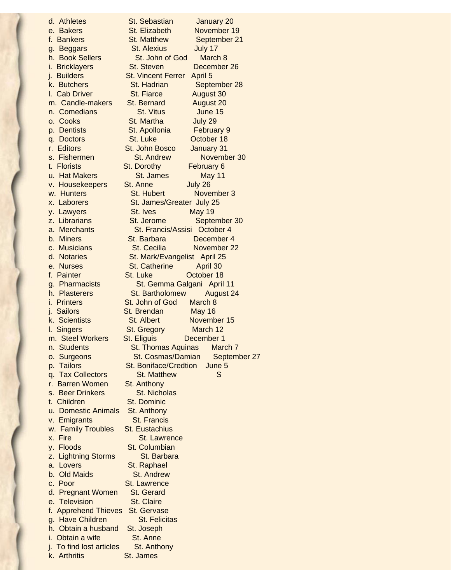| d. Athletes                   | St. Sebastian                | January 20        |
|-------------------------------|------------------------------|-------------------|
| e. Bakers                     | St. Elizabeth                | November 19       |
| f. Bankers                    | <b>St. Matthew</b>           | September 21      |
| g. Beggars                    | <b>St. Alexius</b>           | July 17           |
| h. Book Sellers               | St. John of God              | March 8           |
| i. Bricklayers                | St. Steven                   | December 26       |
| j. Builders                   | <b>St. Vincent Ferrer</b>    | April 5           |
| k. Butchers                   | St. Hadrian                  | September 28      |
| I. Cab Driver                 | <b>St. Fiarce</b>            | <b>August 30</b>  |
| m. Candle-makers              | St. Bernard                  |                   |
|                               | <b>St. Vitus</b>             | <b>August 20</b>  |
| n. Comedians                  |                              | June 15           |
| o. Cooks                      | St. Martha                   | July 29           |
| p. Dentists                   | St. Apollonia                | February 9        |
| q. Doctors                    | St. Luke                     | October 18        |
| r. Editors                    | St. John Bosco               | January 31        |
| s. Fishermen                  | <b>St. Andrew</b>            | November 30       |
| t. Florists                   | St. Dorothy                  | <b>February 6</b> |
| u. Hat Makers                 | St. James                    | May 11            |
| v. Housekeepers               | St. Anne                     | July 26           |
| w. Hunters                    | St. Hubert                   | November 3        |
| x. Laborers                   | St. James/Greater July 25    |                   |
| y. Lawyers                    | St. Ives                     | <b>May 19</b>     |
| z. Librarians                 | St. Jerome                   | September 30      |
| a. Merchants                  | St. Francis/Assisi October 4 |                   |
| b. Miners                     | St. Barbara                  | December 4        |
| c. Musicians                  | St. Cecilia                  | November 22       |
| d. Notaries                   | St. Mark/Evangelist April 25 |                   |
| e. Nurses                     | St. Catherine                | April 30          |
| f. Painter                    | St. Luke                     | October 18        |
|                               |                              |                   |
| g. Pharmacists                | St. Gemma Galgani April 11   |                   |
| h. Plasterers                 | St. Bartholomew              | <b>August 24</b>  |
| <b>Printers</b><br>i.         | St. John of God              | March 8           |
| j. Sailors                    | St. Brendan                  | May 16            |
| k. Scientists                 | St. Albert                   | November 15       |
| I. Singers                    | St. Gregory                  | March 12          |
| m. Steel Workers              | St. Eliguis                  | December 1        |
| n. Students                   | St. Thomas Aquinas March 7   |                   |
| o. Surgeons                   | St. Cosmas/Damian            | September 27      |
| p. Tailors                    | <b>St. Boniface/Credtion</b> | June 5            |
| q. Tax Collectors             | <b>St. Matthew</b>           | S                 |
| r. Barren Women               | St. Anthony                  |                   |
| s. Beer Drinkers              | St. Nicholas                 |                   |
| t. Children                   | St. Dominic                  |                   |
| u. Domestic Animals           | St. Anthony                  |                   |
| v. Emigrants                  | <b>St. Francis</b>           |                   |
| w. Family Troubles            | <b>St. Eustachius</b>        |                   |
| x. Fire                       | <b>St. Lawrence</b>          |                   |
| y. Floods                     | St. Columbian                |                   |
| <b>Lightning Storms</b><br>Z. | St. Barbara                  |                   |
| a. Lovers                     | St. Raphael                  |                   |
| b. Old Maids                  | <b>St. Andrew</b>            |                   |
| c. Poor                       | <b>St. Lawrence</b>          |                   |
| d. Pregnant Women             | St. Gerard                   |                   |
| e. Television                 | St. Claire                   |                   |
|                               |                              |                   |
| f. Apprehend Thieves          | St. Gervase                  |                   |
| g. Have Children              | <b>St. Felicitas</b>         |                   |
| h. Obtain a husband           | St. Joseph                   |                   |
| i. Obtain a wife              | St. Anne                     |                   |
| j. To find lost articles      | St. Anthony                  |                   |
| k. Arthritis                  | St. James                    |                   |
|                               |                              |                   |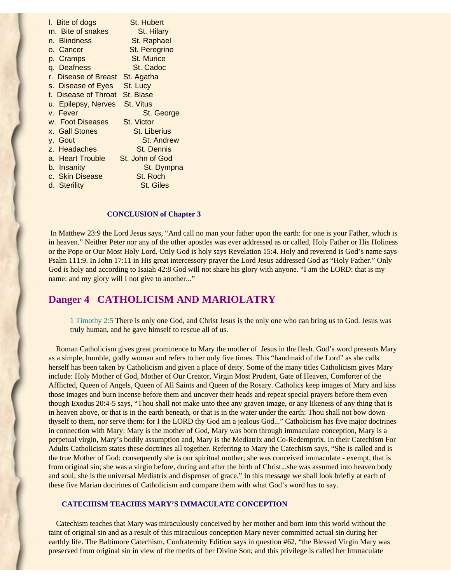| I. Bite of dogs      | St. Hubert        |
|----------------------|-------------------|
| m. Bite of snakes    | St. Hilary        |
| n. Blindness         | St. Raphael       |
| o. Cancer            | St. Peregrine     |
| p. Cramps            | St. Murice        |
| q. Deafness          | St. Cadoc         |
| r. Disease of Breast | St. Agatha        |
| s. Disease of Eyes   | St. Lucy          |
| t. Disease of Throat | St. Blase         |
| u. Epilepsy, Nerves  | <b>St. Vitus</b>  |
| v. Fever             | St. George        |
| w. Foot Diseases     | St. Victor        |
| x. Gall Stones       | St. Liberius      |
| y. Gout              | <b>St. Andrew</b> |
| z. Headaches         | St. Dennis        |
| a. Heart Trouble     | St. John of God   |
| b. Insanity          | St. Dympna        |
| c. Skin Disease      | St. Roch          |
| d. Sterility         | <b>St. Giles</b>  |

### **CONCLUSION of Chapter 3**

 In Matthew 23:9 the Lord Jesus says, "And call no man your father upon the earth: for one is your Father, which is in heaven." Neither Peter nor any of the other apostles was ever addressed as or called, Holy Father or His Holiness or the Pope or Our Most Holy Lord. Only God is holy says Revelation 15:4. Holy and reverend is God's name says Psalm 111:9. In John 17:11 in His great intercessory prayer the Lord Jesus addressed God as "Holy Father." Only God is holy and according to Isaiah 42:8 God will not share his glory with anyone. "I am the LORD: that is my name: and my glory will I not give to another..."

### **Danger 4 CATHOLICISM AND MARIOLATRY**

1 Timothy 2:5 There is only one God, and Christ Jesus is the only one who can bring us to God. Jesus was truly human, and he gave himself to rescue all of us.

 Roman Catholicism gives great prominence to Mary the mother of Jesus in the flesh. God's word presents Mary as a simple, humble, godly woman and refers to her only five times. This "handmaid of the Lord" as she calls herself has been taken by Catholicism and given a place of deity. Some of the many titles Catholicism gives Mary include: Holy Mother of God, Mother of Our Creator, Virgin Most Prudent, Gate of Heaven, Comforter of the Afflicted, Queen of Angels, Queen of All Saints and Queen of the Rosary. Catholics keep images of Mary and kiss those images and burn incense before them and uncover their heads and repeat special prayers before them even though Exodus 20:4-5 says, "Thou shall not make unto thee any graven image, or any likeness of any thing that is in heaven above, or that is in the earth beneath, or that is in the water under the earth: Thou shall not bow down thyself to them, nor serve them: for I the LORD thy God am a jealous God..." Catholicism has five major doctrines in connection with Mary: Mary is the mother of God, Mary was born through immaculate conception, Mary is a perpetual virgin, Mary's bodily assumption and, Mary is the Mediatrix and Co-Redemptrix. In their Catechism For Adults Catholicism states these doctrines all together. Referring to Mary the Catechism says, "She is called and is the true Mother of God: consequently she is our spiritual mother; she was conceived immaculate - exempt, that is from original sin; she was a virgin before, during and after the birth of Christ...she was assumed into heaven body and soul; she is the universal Mediatrix and dispenser of grace." In this message we shall look briefly at each of these five Marian doctrines of Catholicism and compare them with what God's word has to say.

### **CATECHISM TEACHES MARY'S IMMACULATE CONCEPTION**

 Catechism teaches that Mary was miraculously conceived by her mother and born into this world without the taint of original sin and as a result of this miraculous conception Mary never committed actual sin during her earthly life. The Baltimore Catechism, Confraternity Edition says in question #62, "the Blessed Virgin Mary was preserved from original sin in view of the merits of her Divine Son; and this privilege is called her Immaculate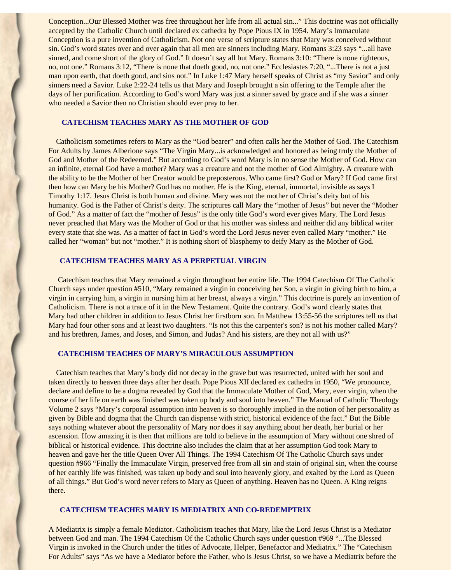Conception...Our Blessed Mother was free throughout her life from all actual sin..." This doctrine was not officially accepted by the Catholic Church until declared ex cathedra by Pope Pious IX in 1954. Mary's Immaculate Conception is a pure invention of Catholicism. Not one verse of scripture states that Mary was conceived without sin. God's word states over and over again that all men are sinners including Mary. Romans 3:23 says "...all have sinned, and come short of the glory of God." It doesn't say all but Mary. Romans 3:10: "There is none righteous, no, not one." Romans 3:12, "There is none that doeth good, no, not one." Ecclesiastes 7:20, "...There is not a just man upon earth, that doeth good, and sins not." In Luke 1:47 Mary herself speaks of Christ as "my Savior" and only sinners need a Savior. Luke 2:22-24 tells us that Mary and Joseph brought a sin offering to the Temple after the days of her purification. According to God's word Mary was just a sinner saved by grace and if she was a sinner who needed a Savior then no Christian should ever pray to her.

### **CATECHISM TEACHES MARY AS THE MOTHER OF GOD**

 Catholicism sometimes refers to Mary as the "God bearer" and often calls her the Mother of God. The Catechism For Adults by James Alberione says "The Virgin Mary...is acknowledged and honored as being truly the Mother of God and Mother of the Redeemed." But according to God's word Mary is in no sense the Mother of God. How can an infinite, eternal God have a mother? Mary was a creature and not the mother of God Almighty. A creature with the ability to be the Mother of her Creator would be preposterous. Who came first? God or Mary? If God came first then how can Mary be his Mother? God has no mother. He is the King, eternal, immortal, invisible as says I Timothy 1:17. Jesus Christ is both human and divine. Mary was not the mother of Christ's deity but of his humanity. God is the Father of Christ's deity. The scriptures call Mary the "mother of Jesus" but never the "Mother of God." As a matter of fact the "mother of Jesus" is the only title God's word ever gives Mary. The Lord Jesus never preached that Mary was the Mother of God or that his mother was sinless and neither did any biblical writer every state that she was. As a matter of fact in God's word the Lord Jesus never even called Mary "mother." He called her "woman" but not "mother." It is nothing short of blasphemy to deify Mary as the Mother of God.

### **CATECHISM TEACHES MARY AS A PERPETUAL VIRGIN**

 Catechism teaches that Mary remained a virgin throughout her entire life. The 1994 Catechism Of The Catholic Church says under question #510, "Mary remained a virgin in conceiving her Son, a virgin in giving birth to him, a virgin in carrying him, a virgin in nursing him at her breast, always a virgin." This doctrine is purely an invention of Catholicism. There is not a trace of it in the New Testament. Quite the contrary. God's word clearly states that Mary had other children in addition to Jesus Christ her firstborn son. In Matthew 13:55-56 the scriptures tell us that Mary had four other sons and at least two daughters. "Is not this the carpenter's son? is not his mother called Mary? and his brethren, James, and Joses, and Simon, and Judas? And his sisters, are they not all with us?"

### **CATECHISM TEACHES OF MARY'S MIRACULOUS ASSUMPTION**

 Catechism teaches that Mary's body did not decay in the grave but was resurrected, united with her soul and taken directly to heaven three days after her death. Pope Pious XII declared ex cathedra in 1950, "We pronounce, declare and define to be a dogma revealed by God that the Immaculate Mother of God, Mary, ever virgin, when the course of her life on earth was finished was taken up body and soul into heaven." The Manual of Catholic Theology Volume 2 says "Mary's corporal assumption into heaven is so thoroughly implied in the notion of her personality as given by Bible and dogma that the Church can dispense with strict, historical evidence of the fact." But the Bible says nothing whatever about the personality of Mary nor does it say anything about her death, her burial or her ascension. How amazing it is then that millions are told to believe in the assumption of Mary without one shred of biblical or historical evidence. This doctrine also includes the claim that at her assumption God took Mary to heaven and gave her the title Queen Over All Things. The 1994 Catechism Of The Catholic Church says under question #966 "Finally the Immaculate Virgin, preserved free from all sin and stain of original sin, when the course of her earthly life was finished, was taken up body and soul into heavenly glory, and exalted by the Lord as Queen of all things." But God's word never refers to Mary as Queen of anything. Heaven has no Queen. A King reigns there.

### **CATECHISM TEACHES MARY IS MEDIATRIX AND CO-REDEMPTRIX**

A Mediatrix is simply a female Mediator. Catholicism teaches that Mary, like the Lord Jesus Christ is a Mediator between God and man. The 1994 Catechism Of the Catholic Church says under question #969 "...The Blessed Virgin is invoked in the Church under the titles of Advocate, Helper, Benefactor and Mediatrix." The "Catechism For Adults" says "As we have a Mediator before the Father, who is Jesus Christ, so we have a Mediatrix before the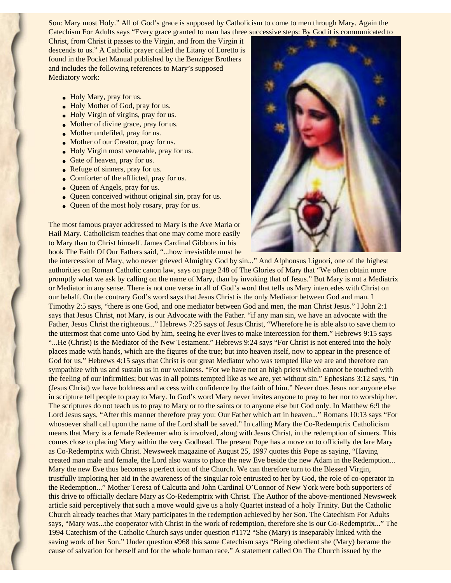Son: Mary most Holy." All of God's grace is supposed by Catholicism to come to men through Mary. Again the Catechism For Adults says "Every grace granted to man has three successive steps: By God it is communicated to

Christ, from Christ it passes to the Virgin, and from the Virgin it descends to us." A Catholic prayer called the Litany of Loretto is found in the Pocket Manual published by the Benziger Brothers and includes the following references to Mary's supposed Mediatory work:

- Holy Mary, pray for us.
- Holy Mother of God, pray for us.
- Holy Virgin of virgins, pray for us.
- Mother of divine grace, pray for us.
- Mother undefiled, pray for us.
- Mother of our Creator, pray for us.
- Holy Virgin most venerable, pray for us.
- Gate of heaven, pray for us.
- Refuge of sinners, pray for us.
- Comforter of the afflicted, pray for us.
- Queen of Angels, pray for us.
- Queen conceived without original sin, pray for us.
- Queen of the most holy rosary, pray for us.

The most famous prayer addressed to Mary is the Ave Maria or Hail Mary. Catholicism teaches that one may come more easily to Mary than to Christ himself. James Cardinal Gibbons in his book The Faith Of Our Fathers said, "...how irresistible must be



the intercession of Mary, who never grieved Almighty God by sin..." And Alphonsus Liguori, one of the highest authorities on Roman Catholic canon law, says on page 248 of The Glories of Mary that "We often obtain more promptly what we ask by calling on the name of Mary, than by invoking that of Jesus." But Mary is not a Mediatrix or Mediator in any sense. There is not one verse in all of God's word that tells us Mary intercedes with Christ on our behalf. On the contrary God's word says that Jesus Christ is the only Mediator between God and man. I Timothy 2:5 says, "there is one God, and one mediator between God and men, the man Christ Jesus." I John 2:1 says that Jesus Christ, not Mary, is our Advocate with the Father. "if any man sin, we have an advocate with the Father, Jesus Christ the righteous..." Hebrews 7:25 says of Jesus Christ, "Wherefore he is able also to save them to the uttermost that come unto God by him, seeing he ever lives to make intercession for them." Hebrews 9:15 says "...He (Christ) is the Mediator of the New Testament." Hebrews 9:24 says "For Christ is not entered into the holy places made with hands, which are the figures of the true; but into heaven itself, now to appear in the presence of God for us." Hebrews 4:15 says that Christ is our great Mediator who was tempted like we are and therefore can sympathize with us and sustain us in our weakness. "For we have not an high priest which cannot be touched with the feeling of our infirmities; but was in all points tempted like as we are, yet without sin." Ephesians 3:12 says, "In (Jesus Christ) we have boldness and access with confidence by the faith of him." Never does Jesus nor anyone else in scripture tell people to pray to Mary. In God's word Mary never invites anyone to pray to her nor to worship her. The scriptures do not teach us to pray to Mary or to the saints or to anyone else but God only. In Matthew 6:9 the Lord Jesus says, "After this manner therefore pray you: Our Father which art in heaven..." Romans 10:13 says "For whosoever shall call upon the name of the Lord shall be saved." In calling Mary the Co-Redemptrix Catholicism means that Mary is a female Redeemer who is involved, along with Jesus Christ, in the redemption of sinners. This comes close to placing Mary within the very Godhead. The present Pope has a move on to officially declare Mary as Co-Redemptrix with Christ. Newsweek magazine of August 25, 1997 quotes this Pope as saying, "Having created man male and female, the Lord also wants to place the new Eve beside the new Adam in the Redemption... Mary the new Eve thus becomes a perfect icon of the Church. We can therefore turn to the Blessed Virgin, trustfully imploring her aid in the awareness of the singular role entrusted to her by God, the role of co-operator in the Redemption..." Mother Teresa of Calcutta and John Cardinal O'Connor of New York were both supporters of this drive to officially declare Mary as Co-Redemptrix with Christ. The Author of the above-mentioned Newsweek article said perceptively that such a move would give us a holy Quartet instead of a holy Trinity. But the Catholic Church already teaches that Mary participates in the redemption achieved by her Son. The Catechism For Adults says, "Mary was...the cooperator with Christ in the work of redemption, therefore she is our Co-Redemptrix..." The 1994 Catechism of the Catholic Church says under question #1172 "She (Mary) is inseparably linked with the saving work of her Son." Under question #968 this same Catechism says "Being obedient she (Mary) became the cause of salvation for herself and for the whole human race." A statement called On The Church issued by the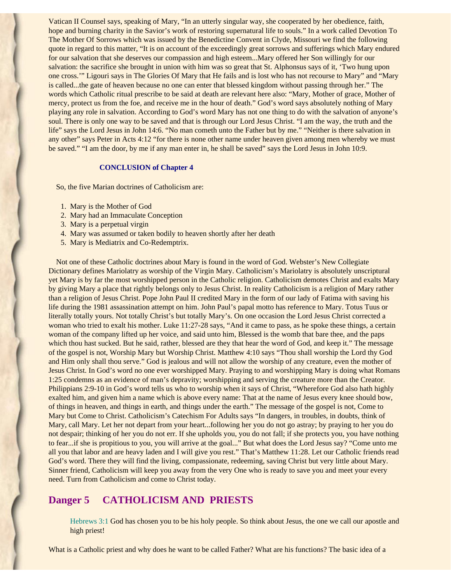Vatican II Counsel says, speaking of Mary, "In an utterly singular way, she cooperated by her obedience, faith, hope and burning charity in the Savior's work of restoring supernatural life to souls." In a work called Devotion To The Mother Of Sorrows which was issued by the Benedictine Convent in Clyde, Missouri we find the following quote in regard to this matter, "It is on account of the exceedingly great sorrows and sufferings which Mary endured for our salvation that she deserves our compassion and high esteem...Mary offered her Son willingly for our salvation: the sacrifice she brought in union with him was so great that St. Alphonsus says of it, 'Two hung upon one cross.'" Ligouri says in The Glories Of Mary that He fails and is lost who has not recourse to Mary" and "Mary is called...the gate of heaven because no one can enter that blessed kingdom without passing through her." The words which Catholic ritual prescribe to be said at death are relevant here also: "Mary, Mother of grace, Mother of mercy, protect us from the foe, and receive me in the hour of death." God's word says absolutely nothing of Mary playing any role in salvation. According to God's word Mary has not one thing to do with the salvation of anyone's soul. There is only one way to be saved and that is through our Lord Jesus Christ. "I am the way, the truth and the life" says the Lord Jesus in John 14:6. "No man cometh unto the Father but by me." "Neither is there salvation in any other" says Peter in Acts 4:12 "for there is none other name under heaven given among men whereby we must be saved." "I am the door, by me if any man enter in, he shall be saved" says the Lord Jesus in John 10:9.

### **CONCLUSION of Chapter 4**

So, the five Marian doctrines of Catholicism are:

- 1. Mary is the Mother of God
- 2. Mary had an Immaculate Conception
- 3. Mary is a perpetual virgin
- 4. Mary was assumed or taken bodily to heaven shortly after her death
- 5. Mary is Mediatrix and Co-Redemptrix.

 Not one of these Catholic doctrines about Mary is found in the word of God. Webster's New Collegiate Dictionary defines Mariolatry as worship of the Virgin Mary. Catholicism's Mariolatry is absolutely unscriptural yet Mary is by far the most worshipped person in the Catholic religion. Catholicism demotes Christ and exalts Mary by giving Mary a place that rightly belongs only to Jesus Christ. In reality Catholicism is a religion of Mary rather than a religion of Jesus Christ. Pope John Paul II credited Mary in the form of our lady of Fatima with saving his life during the 1981 assassination attempt on him. John Paul's papal motto has reference to Mary. Totus Tuus or literally totally yours. Not totally Christ's but totally Mary's. On one occasion the Lord Jesus Christ corrected a woman who tried to exalt his mother. Luke 11:27-28 says, "And it came to pass, as he spoke these things, a certain woman of the company lifted up her voice, and said unto him, Blessed is the womb that bare thee, and the paps which thou hast sucked. But he said, rather, blessed are they that hear the word of God, and keep it." The message of the gospel is not, Worship Mary but Worship Christ. Matthew 4:10 says "Thou shall worship the Lord thy God and Him only shall thou serve." God is jealous and will not allow the worship of any creature, even the mother of Jesus Christ. In God's word no one ever worshipped Mary. Praying to and worshipping Mary is doing what Romans 1:25 condemns as an evidence of man's depravity; worshipping and serving the creature more than the Creator. Philippians 2:9-10 in God's word tells us who to worship when it says of Christ, "Wherefore God also hath highly exalted him, and given him a name which is above every name: That at the name of Jesus every knee should bow, of things in heaven, and things in earth, and things under the earth." The message of the gospel is not, Come to Mary but Come to Christ. Catholicism's Catechism For Adults says "In dangers, in troubles, in doubts, think of Mary, call Mary. Let her not depart from your heart...following her you do not go astray; by praying to her you do not despair; thinking of her you do not err. If she upholds you, you do not fall; if she protects you, you have nothing to fear...if she is propitious to you, you will arrive at the goal..." But what does the Lord Jesus say? "Come unto me all you that labor and are heavy laden and I will give you rest." That's Matthew 11:28. Let our Catholic friends read God's word. There they will find the living, compassionate, redeeming, saving Christ but very little about Mary. Sinner friend, Catholicism will keep you away from the very One who is ready to save you and meet your every need. Turn from Catholicism and come to Christ today.

### **Danger 5 CATHOLICISM AND PRIESTS**

Hebrews 3:1 God has chosen you to be his holy people. So think about Jesus, the one we call our apostle and high priest!

What is a Catholic priest and why does he want to be called Father? What are his functions? The basic idea of a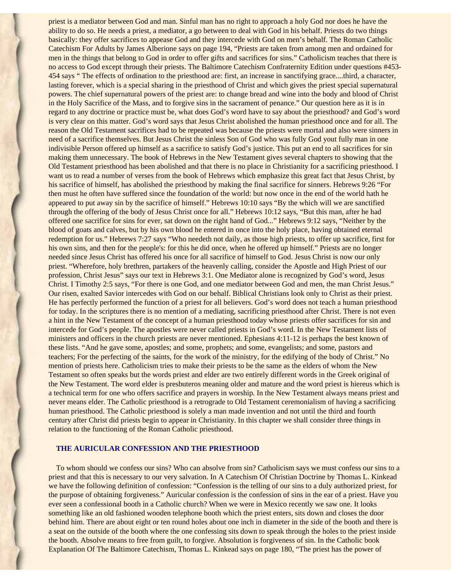priest is a mediator between God and man. Sinful man has no right to approach a holy God nor does he have the ability to do so. He needs a priest, a mediator, a go between to deal with God in his behalf. Priests do two things basically: they offer sacrifices to appease God and they intercede with God on men's behalf. The Roman Catholic Catechism For Adults by James Alberione says on page 194, "Priests are taken from among men and ordained for men in the things that belong to God in order to offer gifts and sacrifices for sins." Catholicism teaches that there is no access to God except through their priests. The Baltimore Catechism Confraternity Edition under questions #453- 454 says " The effects of ordination to the priesthood are: first, an increase in sanctifying grace....third, a character, lasting forever, which is a special sharing in the priesthood of Christ and which gives the priest special supernatural powers. The chief supernatural powers of the priest are: to change bread and wine into the body and blood of Christ in the Holy Sacrifice of the Mass, and to forgive sins in the sacrament of penance." Our question here as it is in regard to any doctrine or practice must be, what does God's word have to say about the priesthood? and God's word is very clear on this matter. God's word says that Jesus Christ abolished the human priesthood once and for all. The reason the Old Testament sacrifices had to be repeated was because the priests were mortal and also were sinners in need of a sacrifice themselves. But Jesus Christ the sinless Son of God who was fully God yout fully man in one indivisible Person offered up himself as a sacrifice to satisfy God's justice. This put an end to all sacrifices for sin making them unnecessary. The book of Hebrews in the New Testament gives several chapters to showing that the Old Testament priesthood has been abolished and that there is no place in Christianity for a sacrificing priesthood. I want us to read a number of verses from the book of Hebrews which emphasize this great fact that Jesus Christ, by his sacrifice of himself, has abolished the priesthood by making the final sacrifice for sinners. Hebrews 9:26 "For then must he often have suffered since the foundation of the world: but now once in the end of the world hath he appeared to put away sin by the sacrifice of himself." Hebrews 10:10 says "By the which will we are sanctified through the offering of the body of Jesus Christ once for all." Hebrews 10:12 says, "But this man, after he had offered one sacrifice for sins for ever, sat down on the right hand of God..." Hebrews 9:12 says, "Neither by the blood of goats and calves, but by his own blood he entered in once into the holy place, having obtained eternal redemption for us." Hebrews 7:27 says "Who needeth not daily, as those high priests, to offer up sacrifice, first for his own sins, and then for the people's: for this he did once, when he offered up himself." Priests are no longer needed since Jesus Christ has offered his once for all sacrifice of himself to God. Jesus Christ is now our only priest. "Wherefore, holy brethren, partakers of the heavenly calling, consider the Apostle and High Priest of our profession, Christ Jesus" says our text in Hebrews 3:1. One Mediator alone is recognized by God's word, Jesus Christ. I Timothy 2:5 says, "For there is one God, and one mediator between God and men, the man Christ Jesus." Our risen, exalted Savior intercedes with God on our behalf. Biblical Christians look only to Christ as their priest. He has perfectly performed the function of a priest for all believers. God's word does not teach a human priesthood for today. In the scriptures there is no mention of a mediating, sacrificing priesthood after Christ. There is not even a hint in the New Testament of the concept of a human priesthood today whose priests offer sacrifices for sin and intercede for God's people. The apostles were never called priests in God's word. In the New Testament lists of ministers and officers in the church priests are never mentioned. Ephesians 4:11-12 is perhaps the best known of these lists. "And he gave some, apostles; and some, prophets; and some, evangelists; and some, pastors and teachers; For the perfecting of the saints, for the work of the ministry, for the edifying of the body of Christ." No mention of priests here. Catholicism tries to make their priests to be the same as the elders of whom the New Testament so often speaks but the words priest and elder are two entirely different words in the Greek original of the New Testament. The word elder is presbuteros meaning older and mature and the word priest is hiereus which is a technical term for one who offers sacrifice and prayers in worship. In the New Testament always means priest and never means elder. The Catholic priesthood is a retrograde to Old Testament ceremonialism of having a sacrificing human priesthood. The Catholic priesthood is solely a man made invention and not until the third and fourth century after Christ did priests begin to appear in Christianity. In this chapter we shall consider three things in relation to the functioning of the Roman Catholic priesthood.

### **THE AURICULAR CONFESSION AND THE PRIESTHOOD**

 To whom should we confess our sins? Who can absolve from sin? Catholicism says we must confess our sins to a priest and that this is necessary to our very salvation. In A Catechism Of Christian Doctrine by Thomas L. Kinkead we have the following definition of confession: "Confession is the telling of our sins to a duly authorized priest, for the purpose of obtaining forgiveness." Auricular confession is the confession of sins in the ear of a priest. Have you ever seen a confessional booth in a Catholic church? When we were in Mexico recently we saw one. It looks something like an old fashioned wooden telephone booth which the priest enters, sits down and closes the door behind him. There are about eight or ten round holes about one inch in diameter in the side of the booth and there is a seat on the outside of the booth where the one confessing sits down to speak through the holes to the priest inside the booth. Absolve means to free from guilt, to forgive. Absolution is forgiveness of sin. In the Catholic book Explanation Of The Baltimore Catechism, Thomas L. Kinkead says on page 180, "The priest has the power of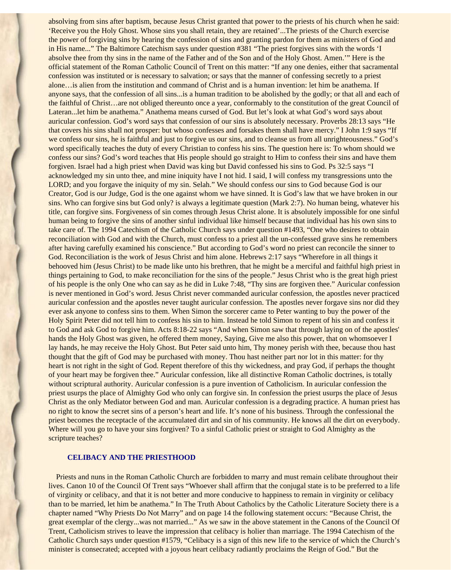absolving from sins after baptism, because Jesus Christ granted that power to the priests of his church when he said: 'Receive you the Holy Ghost. Whose sins you shall retain, they are retained'...The priests of the Church exercise the power of forgiving sins by hearing the confession of sins and granting pardon for them as ministers of God and in His name..." The Baltimore Catechism says under question #381 "The priest forgives sins with the words 'I absolve thee from thy sins in the name of the Father and of the Son and of the Holy Ghost. Amen.'" Here is the official statement of the Roman Catholic Council of Trent on this matter: "If any one denies, either that sacramental confession was instituted or is necessary to salvation; or says that the manner of confessing secretly to a priest alone…is alien from the institution and command of Christ and is a human invention: let him be anathema. If anyone says, that the confession of all sins...is a human tradition to be abolished by the godly; or that all and each of the faithful of Christ…are not obliged thereunto once a year, conformably to the constitution of the great Council of Lateran...let him be anathema." Anathema means cursed of God. But let's look at what God's word says about auricular confession. God's word says that confession of our sins is absolutely necessary. Proverbs 28:13 says "He that covers his sins shall not prosper: but whoso confesses and forsakes them shall have mercy." I John 1:9 says "If we confess our sins, he is faithful and just to forgive us our sins, and to cleanse us from all unrighteousness." God's word specifically teaches the duty of every Christian to confess his sins. The question here is: To whom should we confess our sins? God's word teaches that His people should go straight to Him to confess their sins and have them forgiven. Israel had a high priest when David was king but David confessed his sins to God. Ps 32:5 says "I acknowledged my sin unto thee, and mine iniquity have I not hid. I said, I will confess my transgressions unto the LORD; and you forgave the iniquity of my sin. Selah." We should confess our sins to God because God is our Creator, God is our Judge, God is the one against whom we have sinned. It is God's law that we have broken in our sins. Who can forgive sins but God only? is always a legitimate question (Mark 2:7). No human being, whatever his title, can forgive sins. Forgiveness of sin comes through Jesus Christ alone. It is absolutely impossible for one sinful human being to forgive the sins of another sinful individual like himself because that individual has his own sins to take care of. The 1994 Catechism of the Catholic Church says under question #1493, "One who desires to obtain reconciliation with God and with the Church, must confess to a priest all the un-confessed grave sins he remembers after having carefully examined his conscience." But according to God's word no priest can reconcile the sinner to God. Reconciliation is the work of Jesus Christ and him alone. Hebrews 2:17 says "Wherefore in all things it behooved him (Jesus Christ) to be made like unto his brethren, that he might be a merciful and faithful high priest in things pertaining to God, to make reconciliation for the sins of the people." Jesus Christ who is the great high priest of his people is the only One who can say as he did in Luke 7:48, "Thy sins are forgiven thee." Auricular confession is never mentioned in God's word. Jesus Christ never commanded auricular confession, the apostles never practiced auricular confession and the apostles never taught auricular confession. The apostles never forgave sins nor did they ever ask anyone to confess sins to them. When Simon the sorcerer came to Peter wanting to buy the power of the Holy Spirit Peter did not tell him to confess his sin to him. Instead he told Simon to repent of his sin and confess it to God and ask God to forgive him. Acts 8:18-22 says "And when Simon saw that through laying on of the apostles' hands the Holy Ghost was given, he offered them money, Saying, Give me also this power, that on whomsoever I lay hands, he may receive the Holy Ghost. But Peter said unto him, Thy money perish with thee, because thou hast thought that the gift of God may be purchased with money. Thou hast neither part nor lot in this matter: for thy heart is not right in the sight of God. Repent therefore of this thy wickedness, and pray God, if perhaps the thought of your heart may be forgiven thee." Auricular confession, like all distinctive Roman Catholic doctrines, is totally without scriptural authority. Auricular confession is a pure invention of Catholicism. In auricular confession the priest usurps the place of Almighty God who only can forgive sin. In confession the priest usurps the place of Jesus Christ as the only Mediator between God and man. Auricular confession is a degrading practice. A human priest has no right to know the secret sins of a person's heart and life. It's none of his business. Through the confessional the priest becomes the receptacle of the accumulated dirt and sin of his community. He knows all the dirt on everybody. Where will you go to have your sins forgiven? To a sinful Catholic priest or straight to God Almighty as the scripture teaches?

### **CELIBACY AND THE PRIESTHOOD**

 Priests and nuns in the Roman Catholic Church are forbidden to marry and must remain celibate throughout their lives. Canon 10 of the Council Of Trent says "Whoever shall affirm that the conjugal state is to be preferred to a life of virginity or celibacy, and that it is not better and more conducive to happiness to remain in virginity or celibacy than to be married, let him be anathema." In The Truth About Catholics by the Catholic Literature Society there is a chapter named "Why Priests Do Not Marry" and on page 14 the following statement occurs: "Because Christ, the great exemplar of the clergy...was not married..." As we saw in the above statement in the Canons of the Council Of Trent, Catholicism strives to leave the impression that celibacy is holier than marriage. The 1994 Catechism of the Catholic Church says under question #1579, "Celibacy is a sign of this new life to the service of which the Church's minister is consecrated; accepted with a joyous heart celibacy radiantly proclaims the Reign of God." But the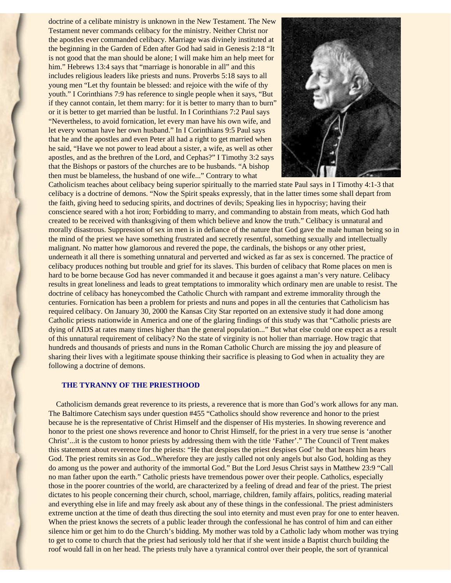doctrine of a celibate ministry is unknown in the New Testament. The New Testament never commands celibacy for the ministry. Neither Christ nor the apostles ever commanded celibacy. Marriage was divinely instituted at the beginning in the Garden of Eden after God had said in Genesis 2:18 "It is not good that the man should be alone; I will make him an help meet for him." Hebrews 13:4 says that "marriage is honorable in all" and this includes religious leaders like priests and nuns. Proverbs 5:18 says to all young men "Let thy fountain be blessed: and rejoice with the wife of thy youth." I Corinthians 7:9 has reference to single people when it says, "But if they cannot contain, let them marry: for it is better to marry than to burn" or it is better to get married than be lustful. In I Corinthians 7:2 Paul says "Nevertheless, to avoid fornication, let every man have his own wife, and let every woman have her own husband." In I Corinthians 9:5 Paul says that he and the apostles and even Peter all had a right to get married when he said, "Have we not power to lead about a sister, a wife, as well as other apostles, and as the brethren of the Lord, and Cephas?" I Timothy 3:2 says that the Bishops or pastors of the churches are to be husbands. "A bishop then must be blameless, the husband of one wife..." Contrary to what



Catholicism teaches about celibacy being superior spiritually to the married state Paul says in I Timothy 4:1-3 that celibacy is a doctrine of demons. "Now the Spirit speaks expressly, that in the latter times some shall depart from the faith, giving heed to seducing spirits, and doctrines of devils; Speaking lies in hypocrisy; having their conscience seared with a hot iron; Forbidding to marry, and commanding to abstain from meats, which God hath created to be received with thanksgiving of them which believe and know the truth." Celibacy is unnatural and morally disastrous. Suppression of sex in men is in defiance of the nature that God gave the male human being so in the mind of the priest we have something frustrated and secretly resentful, something sexually and intellectually malignant. No matter how glamorous and revered the pope, the cardinals, the bishops or any other priest, underneath it all there is something unnatural and perverted and wicked as far as sex is concerned. The practice of celibacy produces nothing but trouble and grief for its slaves. This burden of celibacy that Rome places on men is hard to be borne because God has never commanded it and because it goes against a man's very nature. Celibacy results in great loneliness and leads to great temptations to immorality which ordinary men are unable to resist. The doctrine of celibacy has honeycombed the Catholic Church with rampant and extreme immorality through the centuries. Fornication has been a problem for priests and nuns and popes in all the centuries that Catholicism has required celibacy. On January 30, 2000 the Kansas City Star reported on an extensive study it had done among Catholic priests nationwide in America and one of the glaring findings of this study was that "Catholic priests are dying of AIDS at rates many times higher than the general population..." But what else could one expect as a result of this unnatural requirement of celibacy? No the state of virginity is not holier than marriage. How tragic that hundreds and thousands of priests and nuns in the Roman Catholic Church are missing the joy and pleasure of sharing their lives with a legitimate spouse thinking their sacrifice is pleasing to God when in actuality they are following a doctrine of demons.

### **THE TYRANNY OF THE PRIESTHOOD**

 Catholicism demands great reverence to its priests, a reverence that is more than God's work allows for any man. The Baltimore Catechism says under question #455 "Catholics should show reverence and honor to the priest because he is the representative of Christ Himself and the dispenser of His mysteries. In showing reverence and honor to the priest one shows reverence and honor to Christ Himself, for the priest in a very true sense is 'another Christ'...it is the custom to honor priests by addressing them with the title 'Father'." The Council of Trent makes this statement about reverence for the priests: "He that despises the priest despises God' he that hears him hears God. The priest remits sin as God...Wherefore they are justly called not only angels but also God, holding as they do among us the power and authority of the immortal God." But the Lord Jesus Christ says in Matthew 23:9 "Call no man father upon the earth." Catholic priests have tremendous power over their people. Catholics, especially those in the poorer countries of the world, are characterized by a feeling of dread and fear of the priest. The priest dictates to his people concerning their church, school, marriage, children, family affairs, politics, reading material and everything else in life and may freely ask about any of these things in the confessional. The priest administers extreme unction at the time of death thus directing the soul into eternity and must even pray for one to enter heaven. When the priest knows the secrets of a public leader through the confessional he has control of him and can either silence him or get him to do the Church's bidding. My mother was told by a Catholic lady whom mother was trying to get to come to church that the priest had seriously told her that if she went inside a Baptist church building the roof would fall in on her head. The priests truly have a tyrannical control over their people, the sort of tyrannical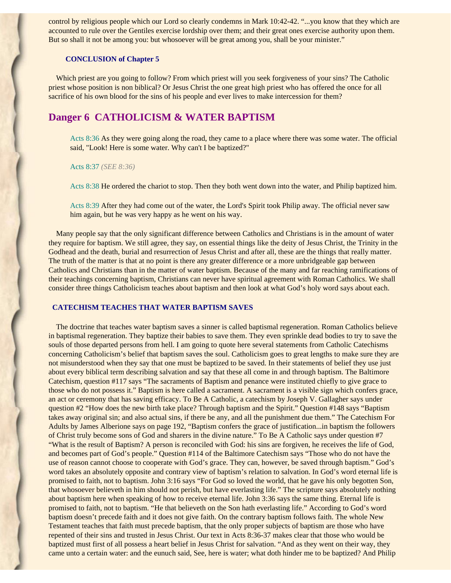control by religious people which our Lord so clearly condemns in Mark 10:42-42. "...you know that they which are accounted to rule over the Gentiles exercise lordship over them; and their great ones exercise authority upon them. But so shall it not be among you: but whosoever will be great among you, shall be your minister."

#### **CONCLUSION of Chapter 5**

Which priest are you going to follow? From which priest will you seek forgiveness of your sins? The Catholic priest whose position is non biblical? Or Jesus Christ the one great high priest who has offered the once for all sacrifice of his own blood for the sins of his people and ever lives to make intercession for them?

### **Danger 6 CATHOLICISM & WATER BAPTISM**

Acts 8:36 As they were going along the road, they came to a place where there was some water. The official said, "Look! Here is some water. Why can't I be baptized?"

Acts 8:37 *(SEE 8:36)*

Acts 8:38 He ordered the chariot to stop. Then they both went down into the water, and Philip baptized him.

Acts 8:39 After they had come out of the water, the Lord's Spirit took Philip away. The official never saw him again, but he was very happy as he went on his way.

 Many people say that the only significant difference between Catholics and Christians is in the amount of water they require for baptism. We still agree, they say, on essential things like the deity of Jesus Christ, the Trinity in the Godhead and the death, burial and resurrection of Jesus Christ and after all, these are the things that really matter. The truth of the matter is that at no point is there any greater difference or a more unbridgeable gap between Catholics and Christians than in the matter of water baptism. Because of the many and far reaching ramifications of their teachings concerning baptism, Christians can never have spiritual agreement with Roman Catholics. We shall consider three things Catholicism teaches about baptism and then look at what God's holy word says about each.

### **CATECHISM TEACHES THAT WATER BAPTISM SAVES**

 The doctrine that teaches water baptism saves a sinner is called baptismal regeneration. Roman Catholics believe in baptismal regeneration. They baptize their babies to save them. They even sprinkle dead bodies to try to save the souls of those departed persons from hell. I am going to quote here several statements from Catholic Catechisms concerning Catholicism's belief that baptism saves the soul. Catholicism goes to great lengths to make sure they are not misunderstood when they say that one must be baptized to be saved. In their statements of belief they use just about every biblical term describing salvation and say that these all come in and through baptism. The Baltimore Catechism, question #117 says "The sacraments of Baptism and penance were instituted chiefly to give grace to those who do not possess it." Baptism is here called a sacrament. A sacrament is a visible sign which confers grace, an act or ceremony that has saving efficacy. To Be A Catholic, a catechism by Joseph V. Gallagher says under question #2 "How does the new birth take place? Through baptism and the Spirit." Question #148 says "Baptism takes away original sin; and also actual sins, if there be any, and all the punishment due them." The Catechism For Adults by James Alberione says on page 192, "Baptism confers the grace of justification...in baptism the followers of Christ truly become sons of God and sharers in the divine nature." To Be A Catholic says under question #7 "What is the result of Baptism? A person is reconciled with God: his sins are forgiven, he receives the life of God, and becomes part of God's people." Question #114 of the Baltimore Catechism says "Those who do not have the use of reason cannot choose to cooperate with God's grace. They can, however, be saved through baptism." God's word takes an absolutely opposite and contrary view of baptism's relation to salvation. In God's word eternal life is promised to faith, not to baptism. John 3:16 says "For God so loved the world, that he gave his only begotten Son, that whosoever believeth in him should not perish, but have everlasting life." The scripture says absolutely nothing about baptism here when speaking of how to receive eternal life. John 3:36 says the same thing. Eternal life is promised to faith, not to baptism. "He that believeth on the Son hath everlasting life." According to God's word baptism doesn't precede faith and it does not give faith. On the contrary baptism follows faith. The whole New Testament teaches that faith must precede baptism, that the only proper subjects of baptism are those who have repented of their sins and trusted in Jesus Christ. Our text in Acts 8:36-37 makes clear that those who would be baptized must first of all possess a heart belief in Jesus Christ for salvation. "And as they went on their way, they came unto a certain water: and the eunuch said, See, here is water; what doth hinder me to be baptized? And Philip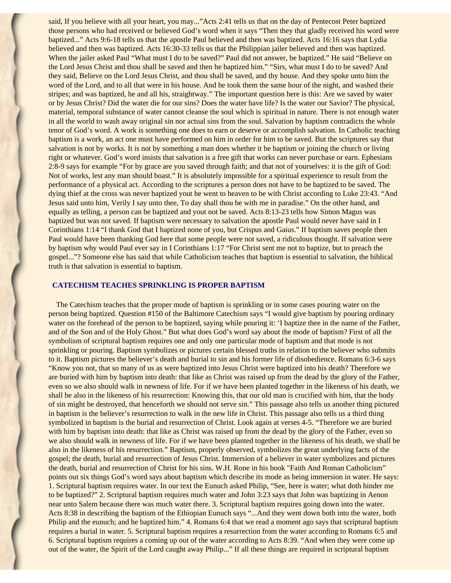said, If you believe with all your heart, you may..."Acts 2:41 tells us that on the day of Pentecost Peter baptized those persons who had received or believed God's word when it says "Then they that gladly received his word were baptized..." Acts 9:6-18 tells us that the apostle Paul believed and then was baptized. Acts 16:16 says that Lydia believed and then was baptized. Acts 16:30-33 tells us that the Philippian jailer believed and then was baptized. When the jailer asked Paul "What must I do to be saved?" Paul did not answer, be baptized." He said "Believe on the Lord Jesus Christ and thou shall be saved and then he baptized him." "Sirs, what must I do to be saved? And they said, Believe on the Lord Jesus Christ, and thou shall be saved, and thy house. And they spoke unto him the word of the Lord, and to all that were in his house. And he took them the same hour of the night, and washed their stripes; and was baptized, he and all his, straightway." The important question here is this: Are we saved by water or by Jesus Christ? Did the water die for our sins? Does the water have life? Is the water our Savior? The physical, material, temporal substance of water cannot cleanse the soul which is spiritual in nature. There is not enough water in all the world to wash away original sin nor actual sins from the soul. Salvation by baptism contradicts the whole tenor of God's word. A work is something one does to earn or deserve or accomplish salvation. In Catholic teaching baptism is a work, an act one must have performed on him in order for him to be saved. But the scriptures say that salvation is not by works. It is not by something a man does whether it be baptism or joining the church or living right or whatever. God's word insists that salvation is a free gift that works can never purchase or earn. Ephesians 2:8-9 says for example "For by grace are you saved through faith; and that not of yourselves: it is the gift of God: Not of works, lest any man should boast." It is absolutely impossible for a spiritual experience to result from the performance of a physical act. According to the scriptures a person does not have to be baptized to be saved. The dying thief at the cross was never baptized yout he went to heaven to be with Christ according to Luke 23:43. "And Jesus said unto him, Verily I say unto thee, To day shall thou be with me in paradise." On the other hand, and equally as telling, a person can be baptized and yout not be saved. Acts 8:13-23 tells how Simon Magus was baptized but was not saved. If baptism were necessary to salvation the apostle Paul would never have said in I Corinthians 1:14 "I thank God that I baptized none of you, but Crispus and Gaius." If baptism saves people then Paul would have been thanking God here that some people were not saved, a ridiculous thought. If salvation were by baptism why would Paul ever say in I Corinthians 1:17 "For Christ sent me not to baptize, but to preach the gospel..."? Someone else has said that while Catholicism teaches that baptism is essential to salvation, the biblical truth is that salvation is essential to baptism.

#### **CATECHISM TEACHES SPRINKLING IS PROPER BAPTISM**

 The Catechism teaches that the proper mode of baptism is sprinkling or in some cases pouring water on the person being baptized. Question #150 of the Baltimore Catechism says "I would give baptism by pouring ordinary water on the forehead of the person to be baptized, saying while pouring it: 'I baptize thee in the name of the Father, and of the Son and of the Holy Ghost." But what does God's word say about the mode of baptism? First of all the symbolism of scriptural baptism requires one and only one particular mode of baptism and that mode is not sprinkling or pouring. Baptism symbolizes or pictures certain blessed truths in relation to the believer who submits to it. Baptism pictures the believer's death and burial to sin and his former life of disobedience. Romans 6:3-6 says "Know you not, that so many of us as were baptized into Jesus Christ were baptized into his death? Therefore we are buried with him by baptism into death: that like as Christ was raised up from the dead by the glory of the Father, even so we also should walk in newness of life. For if we have been planted together in the likeness of his death, we shall be also in the likeness of his resurrection: Knowing this, that our old man is crucified with him, that the body of sin might be destroyed, that henceforth we should not serve sin." This passage also tells us another thing pictured in baptism is the believer's resurrection to walk in the new life in Christ. This passage also tells us a third thing symbolized in baptism is the burial and resurrection of Christ. Look again at verses 4-5. "Therefore we are buried with him by baptism into death: that like as Christ was raised up from the dead by the glory of the Father, even so we also should walk in newness of life. For if we have been planted together in the likeness of his death, we shall be also in the likeness of his resurrection." Baptism, properly observed, symbolizes the great underlying facts of the gospel; the death, burial and resurrection of Jesus Christ. Immersion of a believer in water symbolizes and pictures the death, burial and resurrection of Christ for his sins. W.H. Rone in his book "Faith And Roman Catholicism" points out six things God's word says about baptism which describe its mode as being immersion in water. He says: 1. Scriptural baptism requires water. In our text the Eunuch asked Philip, "See, here is water; what doth hinder me to be baptized?" 2. Scriptural baptism requires much water and John 3:23 says that John was baptizing in Aenon near unto Salem because there was much water there. 3. Scriptural baptism requires going down into the water. Acts 8:38 in describing the baptism of the Ethiopian Eunuch says "...And they went down both into the water, both Philip and the eunuch; and he baptized him." 4. Romans 6:4 that we read a moment ago says that scriptural baptism requires a burial in water. 5. Scriptural baptism requires a resurrection from the water according to Romans 6:5 and 6. Scriptural baptism requires a coming up out of the water according to Acts 8:39. "And when they were come up out of the water, the Spirit of the Lord caught away Philip..." If all these things are required in scriptural baptism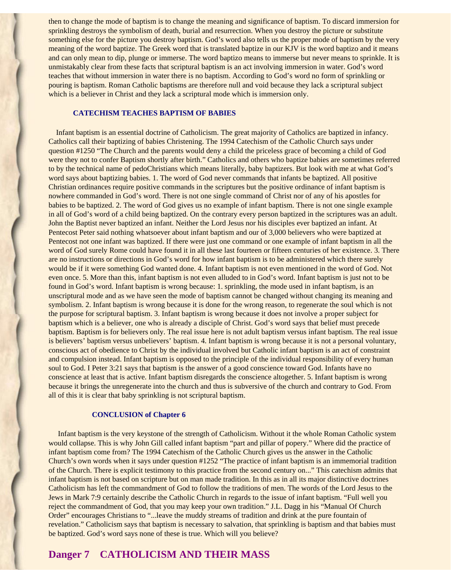then to change the mode of baptism is to change the meaning and significance of baptism. To discard immersion for sprinkling destroys the symbolism of death, burial and resurrection. When you destroy the picture or substitute something else for the picture you destroy baptism. God's word also tells us the proper mode of baptism by the very meaning of the word baptize. The Greek word that is translated baptize in our KJV is the word baptizo and it means and can only mean to dip, plunge or immerse. The word baptizo means to immerse but never means to sprinkle. It is unmistakably clear from these facts that scriptural baptism is an act involving immersion in water. God's word teaches that without immersion in water there is no baptism. According to God's word no form of sprinkling or pouring is baptism. Roman Catholic baptisms are therefore null and void because they lack a scriptural subject which is a believer in Christ and they lack a scriptural mode which is immersion only.

### **CATECHISM TEACHES BAPTISM OF BABIES**

 Infant baptism is an essential doctrine of Catholicism. The great majority of Catholics are baptized in infancy. Catholics call their baptizing of babies Christening. The 1994 Catechism of the Catholic Church says under question #1250 "The Church and the parents would deny a child the priceless grace of becoming a child of God were they not to confer Baptism shortly after birth." Catholics and others who baptize babies are sometimes referred to by the technical name of pedoChristians which means literally, baby baptizers. But look with me at what God's word says about baptizing babies. 1. The word of God never commands that infants be baptized. All positive Christian ordinances require positive commands in the scriptures but the positive ordinance of infant baptism is nowhere commanded in God's word. There is not one single command of Christ nor of any of his apostles for babies to be baptized. 2. The word of God gives us no example of infant baptism. There is not one single example in all of God's word of a child being baptized. On the contrary every person baptized in the scriptures was an adult. John the Baptist never baptized an infant. Neither the Lord Jesus nor his disciples ever baptized an infant. At Pentecost Peter said nothing whatsoever about infant baptism and our of 3,000 believers who were baptized at Pentecost not one infant was baptized. If there were just one command or one example of infant baptism in all the word of God surely Rome could have found it in all these last fourteen or fifteen centuries of her existence. 3. There are no instructions or directions in God's word for how infant baptism is to be administered which there surely would be if it were something God wanted done. 4. Infant baptism is not even mentioned in the word of God. Not even once. 5. More than this, infant baptism is not even alluded to in God's word. Infant baptism is just not to be found in God's word. Infant baptism is wrong because: 1. sprinkling, the mode used in infant baptism, is an unscriptural mode and as we have seen the mode of baptism cannot be changed without changing its meaning and symbolism. 2. Infant baptism is wrong because it is done for the wrong reason, to regenerate the soul which is not the purpose for scriptural baptism. 3. Infant baptism is wrong because it does not involve a proper subject for baptism which is a believer, one who is already a disciple of Christ. God's word says that belief must precede baptism. Baptism is for believers only. The real issue here is not adult baptism versus infant baptism. The real issue is believers' baptism versus unbelievers' baptism. 4. Infant baptism is wrong because it is not a personal voluntary, conscious act of obedience to Christ by the individual involved but Catholic infant baptism is an act of constraint and compulsion instead. Infant baptism is opposed to the principle of the individual responsibility of every human soul to God. I Peter 3:21 says that baptism is the answer of a good conscience toward God. Infants have no conscience at least that is active. Infant baptism disregards the conscience altogether. 5. Infant baptism is wrong because it brings the unregenerate into the church and thus is subversive of the church and contrary to God. From all of this it is clear that baby sprinkling is not scriptural baptism.

### **CONCLUSION of Chapter 6**

 Infant baptism is the very keystone of the strength of Catholicism. Without it the whole Roman Catholic system would collapse. This is why John Gill called infant baptism "part and pillar of popery." Where did the practice of infant baptism come from? The 1994 Catechism of the Catholic Church gives us the answer in the Catholic Church's own words when it says under question #1252 "The practice of infant baptism is an immemorial tradition of the Church. There is explicit testimony to this practice from the second century on..." This catechism admits that infant baptism is not based on scripture but on man made tradition. In this as in all its major distinctive doctrines Catholicism has left the commandment of God to follow the traditions of men. The words of the Lord Jesus to the Jews in Mark 7:9 certainly describe the Catholic Church in regards to the issue of infant baptism. "Full well you reject the commandment of God, that you may keep your own tradition." J.L. Dagg in his "Manual Of Church Order" encourages Christians to "...leave the muddy streams of tradition and drink at the pure fountain of revelation." Catholicism says that baptism is necessary to salvation, that sprinkling is baptism and that babies must be baptized. God's word says none of these is true. Which will you believe?

# **Danger 7 CATHOLICISM AND THEIR MASS**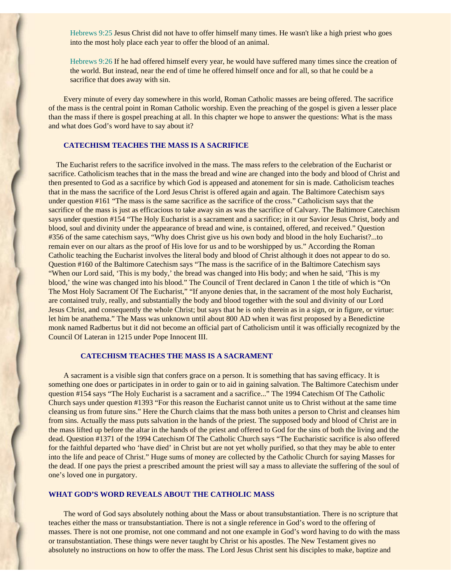Hebrews 9:25 Jesus Christ did not have to offer himself many times. He wasn't like a high priest who goes into the most holy place each year to offer the blood of an animal.

Hebrews 9:26 If he had offered himself every year, he would have suffered many times since the creation of the world. But instead, near the end of time he offered himself once and for all, so that he could be a sacrifice that does away with sin.

 Every minute of every day somewhere in this world, Roman Catholic masses are being offered. The sacrifice of the mass is the central point in Roman Catholic worship. Even the preaching of the gospel is given a lesser place than the mass if there is gospel preaching at all. In this chapter we hope to answer the questions: What is the mass and what does God's word have to say about it?

### **CATECHISM TEACHES THE MASS IS A SACRIFICE**

 The Eucharist refers to the sacrifice involved in the mass. The mass refers to the celebration of the Eucharist or sacrifice. Catholicism teaches that in the mass the bread and wine are changed into the body and blood of Christ and then presented to God as a sacrifice by which God is appeased and atonement for sin is made. Catholicism teaches that in the mass the sacrifice of the Lord Jesus Christ is offered again and again. The Baltimore Catechism says under question #161 "The mass is the same sacrifice as the sacrifice of the cross." Catholicism says that the sacrifice of the mass is just as efficacious to take away sin as was the sacrifice of Calvary. The Baltimore Catechism says under question #154 "The Holy Eucharist is a sacrament and a sacrifice; in it our Savior Jesus Christ, body and blood, soul and divinity under the appearance of bread and wine, is contained, offered, and received." Question #356 of the same catechism says, "Why does Christ give us his own body and blood in the holy Eucharist?...to remain ever on our altars as the proof of His love for us and to be worshipped by us." According the Roman Catholic teaching the Eucharist involves the literal body and blood of Christ although it does not appear to do so. Question #160 of the Baltimore Catechism says "The mass is the sacrifice of in the Baltimore Catechism says "When our Lord said, 'This is my body,' the bread was changed into His body; and when he said, 'This is my blood,' the wine was changed into his blood." The Council of Trent declared in Canon 1 the title of which is "On The Most Holy Sacrament Of The Eucharist," "If anyone denies that, in the sacrament of the most holy Eucharist, are contained truly, really, and substantially the body and blood together with the soul and divinity of our Lord Jesus Christ, and consequently the whole Christ; but says that he is only therein as in a sign, or in figure, or virtue: let him be anathema." The Mass was unknown until about 800 AD when it was first proposed by a Benedictine monk named Radbertus but it did not become an official part of Catholicism until it was officially recognized by the Council Of Lateran in 1215 under Pope Innocent III.

### **CATECHISM TEACHES THE MASS IS A SACRAMENT**

 A sacrament is a visible sign that confers grace on a person. It is something that has saving efficacy. It is something one does or participates in in order to gain or to aid in gaining salvation. The Baltimore Catechism under question #154 says "The Holy Eucharist is a sacrament and a sacrifice..." The 1994 Catechism Of The Catholic Church says under question #1393 "For this reason the Eucharist cannot unite us to Christ without at the same time cleansing us from future sins." Here the Church claims that the mass both unites a person to Christ and cleanses him from sins. Actually the mass puts salvation in the hands of the priest. The supposed body and blood of Christ are in the mass lifted up before the altar in the hands of the priest and offered to God for the sins of both the living and the dead. Question #1371 of the 1994 Catechism Of The Catholic Church says "The Eucharistic sacrifice is also offered for the faithful departed who 'have died' in Christ but are not yet wholly purified, so that they may be able to enter into the life and peace of Christ." Huge sums of money are collected by the Catholic Church for saying Masses for the dead. If one pays the priest a prescribed amount the priest will say a mass to alleviate the suffering of the soul of one's loved one in purgatory.

### **WHAT GOD'S WORD REVEALS ABOUT THE CATHOLIC MASS**

 The word of God says absolutely nothing about the Mass or about transubstantiation. There is no scripture that teaches either the mass or transubstantiation. There is not a single reference in God's word to the offering of masses. There is not one promise, not one command and not one example in God's word having to do with the mass or transubstantiation. These things were never taught by Christ or his apostles. The New Testament gives no absolutely no instructions on how to offer the mass. The Lord Jesus Christ sent his disciples to make, baptize and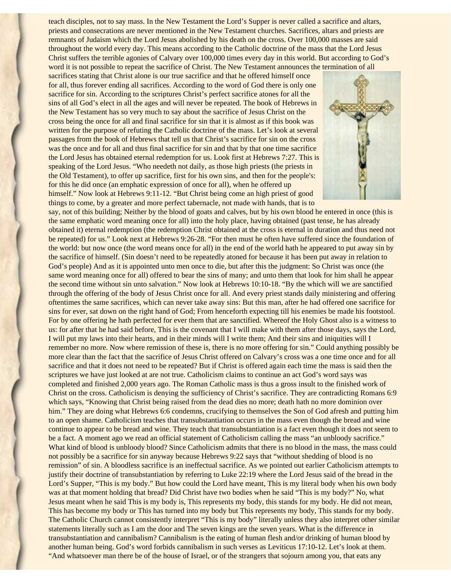teach disciples, not to say mass. In the New Testament the Lord's Supper is never called a sacrifice and altars, priests and consecrations are never mentioned in the New Testament churches. Sacrifices, altars and priests are remnants of Judaism which the Lord Jesus abolished by his death on the cross. Over 100,000 masses are said throughout the world every day. This means according to the Catholic doctrine of the mass that the Lord Jesus Christ suffers the terrible agonies of Calvary over 100,000 times every day in this world. But according to God's word it is not possible to repeat the sacrifice of Christ. The New Testament announces the termination of all

sacrifices stating that Christ alone is our true sacrifice and that he offered himself once for all, thus forever ending all sacrifices. According to the word of God there is only one sacrifice for sin. According to the scriptures Christ's perfect sacrifice atones for all the sins of all God's elect in all the ages and will never be repeated. The book of Hebrews in the New Testament has so very much to say about the sacrifice of Jesus Christ on the cross being the once for all and final sacrifice for sin that it is almost as if this book was written for the purpose of refuting the Catholic doctrine of the mass. Let's look at several passages from the book of Hebrews that tell us that Christ's sacrifice for sin on the cross was the once and for all and thus final sacrifice for sin and that by that one time sacrifice the Lord Jesus has obtained eternal redemption for us. Look first at Hebrews 7:27. This is speaking of the Lord Jesus. "Who needeth not daily, as those high priests (the priests in the Old Testament), to offer up sacrifice, first for his own sins, and then for the people's: for this he did once (an emphatic expression of once for all), when he offered up himself." Now look at Hebrews 9:11-12. "But Christ being come an high priest of good things to come, by a greater and more perfect tabernacle, not made with hands, that is to



say, not of this building; Neither by the blood of goats and calves, but by his own blood he entered in once (this is the same emphatic word meaning once for all) into the holy place, having obtained (past tense, he has already obtained it) eternal redemption (the redemption Christ obtained at the cross is eternal in duration and thus need not be repeated) for us." Look next at Hebrews 9:26-28. "For then must he often have suffered since the foundation of the world: but now once (the word means once for all) in the end of the world hath he appeared to put away sin by the sacrifice of himself. (Sin doesn't need to be repeatedly atoned for because it has been put away in relation to God's people) And as it is appointed unto men once to die, but after this the judgment: So Christ was once (the same word meaning once for all) offered to bear the sins of many; and unto them that look for him shall he appear the second time without sin unto salvation." Now look at Hebrews 10:10-18. "By the which will we are sanctified through the offering of the body of Jesus Christ once for all. And every priest stands daily ministering and offering oftentimes the same sacrifices, which can never take away sins: But this man, after he had offered one sacrifice for sins for ever, sat down on the right hand of God; From henceforth expecting till his enemies be made his footstool. For by one offering he hath perfected for ever them that are sanctified. Whereof the Holy Ghost also is a witness to us: for after that he had said before, This is the covenant that I will make with them after those days, says the Lord, I will put my laws into their hearts, and in their minds will I write them; And their sins and iniquities will I remember no more. Now where remission of these is, there is no more offering for sin." Could anything possibly be more clear than the fact that the sacrifice of Jesus Christ offered on Calvary's cross was a one time once and for all sacrifice and that it does not need to be repeated? But if Christ is offered again each time the mass is said then the scriptures we have just looked at are not true. Catholicism claims to continue an act God's word says was completed and finished 2,000 years ago. The Roman Catholic mass is thus a gross insult to the finished work of Christ on the cross. Catholicism is denying the sufficiency of Christ's sacrifice. They are contradicting Romans 6:9 which says, "Knowing that Christ being raised from the dead dies no more; death hath no more dominion over him." They are doing what Hebrews 6:6 condemns, crucifying to themselves the Son of God afresh and putting him to an open shame. Catholicism teaches that transubstantiation occurs in the mass even though the bread and wine continue to appear to be bread and wine. They teach that transubstantiation is a fact even though it does not seem to be a fact. A moment ago we read an official statement of Catholicism calling the mass "an unbloody sacrifice." What kind of blood is unbloody blood? Since Catholicism admits that there is no blood in the mass, the mass could not possibly be a sacrifice for sin anyway because Hebrews 9:22 says that "without shedding of blood is no remission" of sin. A bloodless sacrifice is an ineffectual sacrifice. As we pointed out earlier Catholicism attempts to justify their doctrine of transubstantiation by referring to Luke 22:19 where the Lord Jesus said of the bread in the Lord's Supper, "This is my body." But how could the Lord have meant, This is my literal body when his own body was at that moment holding that bread? Did Christ have two bodies when he said "This is my body?" No, what Jesus meant when he said This is my body is, This represents my body, this stands for my body. He did not mean, This has become my body or This has turned into my body but This represents my body, This stands for my body. The Catholic Church cannot consistently interpret "This is my body" literally unless they also interpret other similar statements literally such as I am the door and The seven kings are the seven years. What is the difference in transubstantiation and cannibalism? Cannibalism is the eating of human flesh and/or drinking of human blood by another human being. God's word forbids cannibalism in such verses as Leviticus 17:10-12. Let's look at them. "And whatsoever man there be of the house of Israel, or of the strangers that sojourn among you, that eats any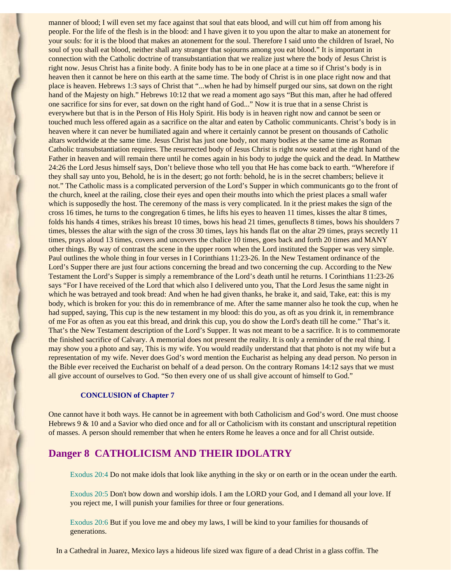manner of blood; I will even set my face against that soul that eats blood, and will cut him off from among his people. For the life of the flesh is in the blood: and I have given it to you upon the altar to make an atonement for your souls: for it is the blood that makes an atonement for the soul. Therefore I said unto the children of Israel, No soul of you shall eat blood, neither shall any stranger that sojourns among you eat blood." It is important in connection with the Catholic doctrine of transubstantiation that we realize just where the body of Jesus Christ is right now. Jesus Christ has a finite body. A finite body has to be in one place at a time so if Christ's body is in heaven then it cannot be here on this earth at the same time. The body of Christ is in one place right now and that place is heaven. Hebrews 1:3 says of Christ that "...when he had by himself purged our sins, sat down on the right hand of the Majesty on high." Hebrews 10:12 that we read a moment ago says "But this man, after he had offered one sacrifice for sins for ever, sat down on the right hand of God..." Now it is true that in a sense Christ is everywhere but that is in the Person of His Holy Spirit. His body is in heaven right now and cannot be seen or touched much less offered again as a sacrifice on the altar and eaten by Catholic communicants. Christ's body is in heaven where it can never be humiliated again and where it certainly cannot be present on thousands of Catholic altars worldwide at the same time. Jesus Christ has just one body, not many bodies at the same time as Roman Catholic transubstantiation requires. The resurrected body of Jesus Christ is right now seated at the right hand of the Father in heaven and will remain there until he comes again in his body to judge the quick and the dead. In Matthew 24:26 the Lord Jesus himself says, Don't believe those who tell you that He has come back to earth. "Wherefore if they shall say unto you, Behold, he is in the desert; go not forth: behold, he is in the secret chambers; believe it not." The Catholic mass is a complicated perversion of the Lord's Supper in which communicants go to the front of the church, kneel at the railing, close their eyes and open their mouths into which the priest places a small wafer which is supposedly the host. The ceremony of the mass is very complicated. In it the priest makes the sign of the cross 16 times, he turns to the congregation 6 times, he lifts his eyes to heaven 11 times, kisses the altar 8 times, folds his hands 4 times, strikes his breast 10 times, bows his head 21 times, genuflects 8 times, bows his shoulders 7 times, blesses the altar with the sign of the cross 30 times, lays his hands flat on the altar 29 times, prays secretly 11 times, prays aloud 13 times, covers and uncovers the chalice 10 times, goes back and forth 20 times and MANY other things. By way of contrast the scene in the upper room when the Lord instituted the Supper was very simple. Paul outlines the whole thing in four verses in I Corinthians 11:23-26. In the New Testament ordinance of the Lord's Supper there are just four actions concerning the bread and two concerning the cup. According to the New Testament the Lord's Supper is simply a remembrance of the Lord's death until he returns. I Corinthians 11:23-26 says "For I have received of the Lord that which also I delivered unto you, That the Lord Jesus the same night in which he was betrayed and took bread: And when he had given thanks, he brake it, and said, Take, eat: this is my body, which is broken for you: this do in remembrance of me. After the same manner also he took the cup, when he had supped, saying, This cup is the new testament in my blood: this do you, as oft as you drink it, in remembrance of me For as often as you eat this bread, and drink this cup, you do show the Lord's death till he come." That's it. That's the New Testament description of the Lord's Supper. It was not meant to be a sacrifice. It is to commemorate the finished sacrifice of Calvary. A memorial does not present the reality. It is only a reminder of the real thing. I may show you a photo and say, This is my wife. You would readily understand that that photo is not my wife but a representation of my wife. Never does God's word mention the Eucharist as helping any dead person. No person in the Bible ever received the Eucharist on behalf of a dead person. On the contrary Romans 14:12 says that we must all give account of ourselves to God. "So then every one of us shall give account of himself to God."

#### **CONCLUSION of Chapter 7**

One cannot have it both ways. He cannot be in agreement with both Catholicism and God's word. One must choose Hebrews 9 & 10 and a Savior who died once and for all or Catholicism with its constant and unscriptural repetition of masses. A person should remember that when he enters Rome he leaves a once and for all Christ outside.

### **Danger 8 CATHOLICISM AND THEIR IDOLATRY**

Exodus 20:4 Do not make idols that look like anything in the sky or on earth or in the ocean under the earth.

Exodus 20:5 Don't bow down and worship idols. I am the LORD your God, and I demand all your love. If you reject me, I will punish your families for three or four generations.

Exodus 20:6 But if you love me and obey my laws, I will be kind to your families for thousands of generations.

In a Cathedral in Juarez, Mexico lays a hideous life sized wax figure of a dead Christ in a glass coffin. The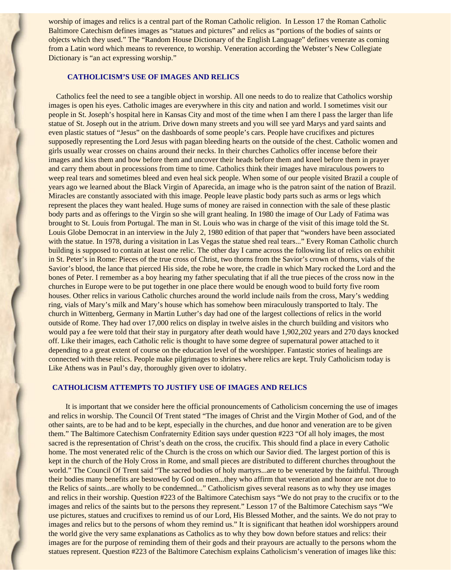worship of images and relics is a central part of the Roman Catholic religion. In Lesson 17 the Roman Catholic Baltimore Catechism defines images as "statues and pictures" and relics as "portions of the bodies of saints or objects which they used." The "Random House Dictionary of the English Language" defines venerate as coming from a Latin word which means to reverence, to worship. Veneration according the Webster's New Collegiate Dictionary is "an act expressing worship."

### **CATHOLICISM'S USE OF IMAGES AND RELICS**

 Catholics feel the need to see a tangible object in worship. All one needs to do to realize that Catholics worship images is open his eyes. Catholic images are everywhere in this city and nation and world. I sometimes visit our people in St. Joseph's hospital here in Kansas City and most of the time when I am there I pass the larger than life statue of St. Joseph out in the atrium. Drive down many streets and you will see yard Marys and yard saints and even plastic statues of "Jesus" on the dashboards of some people's cars. People have crucifixes and pictures supposedly representing the Lord Jesus with pagan bleeding hearts on the outside of the chest. Catholic women and girls usually wear crosses on chains around their necks. In their churches Catholics offer incense before their images and kiss them and bow before them and uncover their heads before them and kneel before them in prayer and carry them about in processions from time to time. Catholics think their images have miraculous powers to weep real tears and sometimes bleed and even heal sick people. When some of our people visited Brazil a couple of years ago we learned about the Black Virgin of Aparecida, an image who is the patron saint of the nation of Brazil. Miracles are constantly associated with this image. People leave plastic body parts such as arms or legs which represent the places they want healed. Huge sums of money are raised in connection with the sale of these plastic body parts and as offerings to the Virgin so she will grant healing. In 1980 the image of Our Lady of Fatima was brought to St. Louis from Portugal. The man in St. Louis who was in charge of the visit of this image told the St. Louis Globe Democrat in an interview in the July 2, 1980 edition of that paper that "wonders have been associated with the statue. In 1978, during a visitation in Las Vegas the statue shed real tears..." Every Roman Catholic church building is supposed to contain at least one relic. The other day I came across the following list of relics on exhibit in St. Peter's in Rome: Pieces of the true cross of Christ, two thorns from the Savior's crown of thorns, vials of the Savior's blood, the lance that pierced His side, the robe he wore, the cradle in which Mary rocked the Lord and the bones of Peter. I remember as a boy hearing my father speculating that if all the true pieces of the cross now in the churches in Europe were to be put together in one place there would be enough wood to build forty five room houses. Other relics in various Catholic churches around the world include nails from the cross, Mary's wedding ring, vials of Mary's milk and Mary's house which has somehow been miraculously transported to Italy. The church in Wittenberg, Germany in Martin Luther's day had one of the largest collections of relics in the world outside of Rome. They had over 17,000 relics on display in twelve aisles in the church building and visitors who would pay a fee were told that their stay in purgatory after death would have 1,902,202 years and 270 days knocked off. Like their images, each Catholic relic is thought to have some degree of supernatural power attached to it depending to a great extent of course on the education level of the worshipper. Fantastic stories of healings are connected with these relics. People make pilgrimages to shrines where relics are kept. Truly Catholicism today is Like Athens was in Paul's day, thoroughly given over to idolatry.

### **CATHOLICISM ATTEMPTS TO JUSTIFY USE OF IMAGES AND RELICS**

 It is important that we consider here the official pronouncements of Catholicism concerning the use of images and relics in worship. The Council Of Trent stated "The images of Christ and the Virgin Mother of God, and of the other saints, are to be had and to be kept, especially in the churches, and due honor and veneration are to be given them." The Baltimore Catechism Confraternity Edition says under question #223 "Of all holy images, the most sacred is the representation of Christ's death on the cross, the crucifix. This should find a place in every Catholic home. The most venerated relic of the Church is the cross on which our Savior died. The largest portion of this is kept in the church of the Holy Cross in Rome, and small pieces are distributed to different churches throughout the world." The Council Of Trent said "The sacred bodies of holy martyrs...are to be venerated by the faithful. Through their bodies many benefits are bestowed by God on men...they who affirm that veneration and honor are not due to the Relics of saints...are wholly to be condemned..." Catholicism gives several reasons as to why they use images and relics in their worship. Question #223 of the Baltimore Catechism says "We do not pray to the crucifix or to the images and relics of the saints but to the persons they represent." Lesson 17 of the Baltimore Catechism says "We use pictures, statues and crucifixes to remind us of our Lord, His Blessed Mother, and the saints. We do not pray to images and relics but to the persons of whom they remind us." It is significant that heathen idol worshippers around the world give the very same explanations as Catholics as to why they bow down before statues and relics: their images are for the purpose of reminding them of their gods and their prayours are actually to the persons whom the statues represent. Question #223 of the Baltimore Catechism explains Catholicism's veneration of images like this: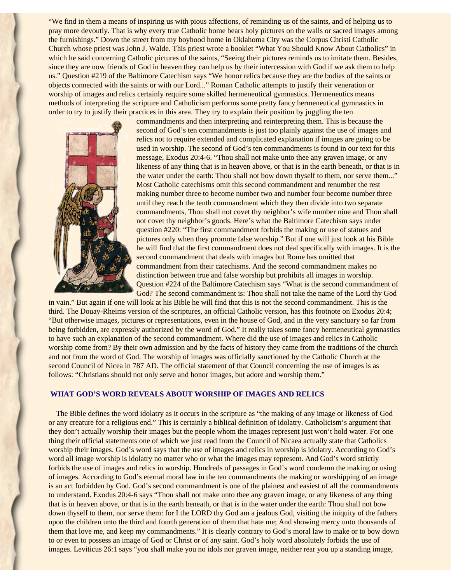"We find in them a means of inspiring us with pious affections, of reminding us of the saints, and of helping us to pray more devoutly. That is why every true Catholic home bears holy pictures on the walls or sacred images among the furnishings." Down the street from my boyhood home in Oklahoma City was the Corpus Christi Catholic Church whose priest was John J. Walde. This priest wrote a booklet "What You Should Know About Catholics" in which he said concerning Catholic pictures of the saints, "Seeing their pictures reminds us to imitate them. Besides, since they are now friends of God in heaven they can help us by their intercession with God if we ask them to help us." Question #219 of the Baltimore Catechism says "We honor relics because they are the bodies of the saints or objects connected with the saints or with our Lord..." Roman Catholic attempts to justify their veneration or worship of images and relics certainly require some skilled hermeneutical gymnastics. Hermeneutics means methods of interpreting the scripture and Catholicism performs some pretty fancy hermeneutical gymnastics in order to try to justify their practices in this area. They try to explain their position by juggling the ten



commandments and then interpreting and reinterpreting them. This is because the second of God's ten commandments is just too plainly against the use of images and relics not to require extended and complicated explanation if images are going to be used in worship. The second of God's ten commandments is found in our text for this message, Exodus 20:4-6. "Thou shall not make unto thee any graven image, or any likeness of any thing that is in heaven above, or that is in the earth beneath, or that is in the water under the earth: Thou shall not bow down thyself to them, nor serve them..." Most Catholic catechisms omit this second commandment and renumber the rest making number three to become number two and number four become number three until they reach the tenth commandment which they then divide into two separate commandments, Thou shall not covet thy neighbor's wife number nine and Thou shall not covet thy neighbor's goods. Here's what the Baltimore Catechism says under question #220: "The first commandment forbids the making or use of statues and pictures only when they promote false worship." But if one will just look at his Bible he will find that the first commandment does not deal specifically with images. It is the second commandment that deals with images but Rome has omitted that commandment from their catechisms. And the second commandment makes no distinction between true and false worship but prohibits all images in worship. Question #224 of the Baltimore Catechism says "What is the second commandment of God? The second commandment is: Thou shall not take the name of the Lord thy God

in vain." But again if one will look at his Bible he will find that this is not the second commandment. This is the third. The Douay-Rheims version of the scriptures, an official Catholic version, has this footnote on Exodus 20:4; "But otherwise images, pictures or representations, even in the house of God, and in the very sanctuary so far from being forbidden, are expressly authorized by the word of God." It really takes some fancy hermeneutical gymnastics to have such an explanation of the second commandment. Where did the use of images and relics in Catholic worship come from? By their own admission and by the facts of history they came from the traditions of the church and not from the word of God. The worship of images was officially sanctioned by the Catholic Church at the second Council of Nicea in 787 AD. The official statement of that Council concerning the use of images is as follows: "Christians should not only serve and honor images, but adore and worship them."

### **WHAT GOD'S WORD REVEALS ABOUT WORSHIP OF IMAGES AND RELICS**

 The Bible defines the word idolatry as it occurs in the scripture as "the making of any image or likeness of God or any creature for a religious end." This is certainly a biblical definition of idolatry. Catholicism's argument that they don't actually worship their images but the people whom the images represent just won't hold water. For one thing their official statements one of which we just read from the Council of Nicaea actually state that Catholics worship their images. God's word says that the use of images and relics in worship is idolatry. According to God's word all image worship is idolatry no matter who or what the images may represent. And God's word strictly forbids the use of images and relics in worship. Hundreds of passages in God's word condemn the making or using of images. According to God's eternal moral law in the ten commandments the making or worshipping of an image is an act forbidden by God. God's second commandment is one of the plainest and easiest of all the commandments to understand. Exodus 20:4-6 says "Thou shall not make unto thee any graven image, or any likeness of any thing that is in heaven above, or that is in the earth beneath, or that is in the water under the earth: Thou shall not bow down thyself to them, nor serve them: for I the LORD thy God am a jealous God, visiting the iniquity of the fathers upon the children unto the third and fourth generation of them that hate me; And showing mercy unto thousands of them that love me, and keep my commandments." It is clearly contrary to God's moral law to make or to bow down to or even to possess an image of God or Christ or of any saint. God's holy word absolutely forbids the use of images. Leviticus 26:1 says "you shall make you no idols nor graven image, neither rear you up a standing image,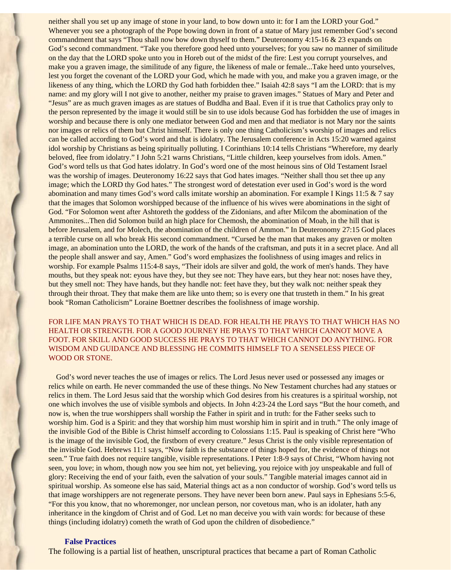neither shall you set up any image of stone in your land, to bow down unto it: for I am the LORD your God." Whenever you see a photograph of the Pope bowing down in front of a statue of Mary just remember God's second commandment that says "Thou shall now bow down thyself to them." Deuteronomy 4:15-16 & 23 expands on God's second commandment. "Take you therefore good heed unto yourselves; for you saw no manner of similitude on the day that the LORD spoke unto you in Horeb out of the midst of the fire: Lest you corrupt yourselves, and make you a graven image, the similitude of any figure, the likeness of male or female...Take heed unto yourselves, lest you forget the covenant of the LORD your God, which he made with you, and make you a graven image, or the likeness of any thing, which the LORD thy God hath forbidden thee." Isaiah 42:8 says "I am the LORD: that is my name: and my glory will I not give to another, neither my praise to graven images." Statues of Mary and Peter and "Jesus" are as much graven images as are statues of Buddha and Baal. Even if it is true that Catholics pray only to the person represented by the image it would still be sin to use idols because God has forbidden the use of images in worship and because there is only one mediator between God and men and that mediator is not Mary nor the saints nor images or relics of them but Christ himself. There is only one thing Catholicism's worship of images and relics can be called according to God's word and that is idolatry. The Jerusalem conference in Acts 15:20 warned against idol worship by Christians as being spiritually polluting. I Corinthians 10:14 tells Christians "Wherefore, my dearly beloved, flee from idolatry." I John 5:21 warns Christians, "Little children, keep yourselves from idols. Amen." God's word tells us that God hates idolatry. In God's word one of the most heinous sins of Old Testament Israel was the worship of images. Deuteronomy 16:22 says that God hates images. "Neither shall thou set thee up any image; which the LORD thy God hates." The strongest word of detestation ever used in God's word is the word abomination and many times God's word calls imitate worship an abomination. For example I Kings 11:5 & 7 say that the images that Solomon worshipped because of the influence of his wives were abominations in the sight of God. "For Solomon went after Ashtoreth the goddess of the Zidonians, and after Milcom the abomination of the Ammonites...Then did Solomon build an high place for Chemosh, the abomination of Moab, in the hill that is before Jerusalem, and for Molech, the abomination of the children of Ammon." In Deuteronomy 27:15 God places a terrible curse on all who break His second commandment. "Cursed be the man that makes any graven or molten image, an abomination unto the LORD, the work of the hands of the craftsman, and puts it in a secret place. And all the people shall answer and say, Amen." God's word emphasizes the foolishness of using images and relics in worship. For example Psalms 115:4-8 says, "Their idols are silver and gold, the work of men's hands. They have mouths, but they speak not: eyous have they, but they see not: They have ears, but they hear not: noses have they, but they smell not: They have hands, but they handle not: feet have they, but they walk not: neither speak they through their throat. They that make them are like unto them; so is every one that trusteth in them." In his great book "Roman Catholicism" Loraine Boettner describes the foolishness of image worship.

FOR LIFE MAN PRAYS TO THAT WHICH IS DEAD. FOR HEALTH HE PRAYS TO THAT WHICH HAS NO HEALTH OR STRENGTH. FOR A GOOD JOURNEY HE PRAYS TO THAT WHICH CANNOT MOVE A FOOT. FOR SKILL AND GOOD SUCCESS HE PRAYS TO THAT WHICH CANNOT DO ANYTHING. FOR WISDOM AND GUIDANCE AND BLESSING HE COMMITS HIMSELF TO A SENSELESS PIECE OF WOOD OR STONE.

 God's word never teaches the use of images or relics. The Lord Jesus never used or possessed any images or relics while on earth. He never commanded the use of these things. No New Testament churches had any statues or relics in them. The Lord Jesus said that the worship which God desires from his creatures is a spiritual worship, not one which involves the use of visible symbols and objects. In John 4:23-24 the Lord says "But the hour cometh, and now is, when the true worshippers shall worship the Father in spirit and in truth: for the Father seeks such to worship him. God is a Spirit: and they that worship him must worship him in spirit and in truth." The only image of the invisible God of the Bible is Christ himself according to Colossians 1:15. Paul is speaking of Christ here "Who is the image of the invisible God, the firstborn of every creature." Jesus Christ is the only visible representation of the invisible God. Hebrews 11:1 says, "Now faith is the substance of things hoped for, the evidence of things not seen." True faith does not require tangible, visible representations. I Peter 1:8-9 says of Christ, "Whom having not seen, you love; in whom, though now you see him not, yet believing, you rejoice with joy unspeakable and full of glory: Receiving the end of your faith, even the salvation of your souls." Tangible material images cannot aid in spiritual worship. As someone else has said, Material things act as a non conductor of worship. God's word tells us that image worshippers are not regenerate persons. They have never been born anew. Paul says in Ephesians 5:5-6, "For this you know, that no whoremonger, nor unclean person, nor covetous man, who is an idolater, hath any inheritance in the kingdom of Christ and of God. Let no man deceive you with vain words: for because of these things (including idolatry) cometh the wrath of God upon the children of disobedience."

### **False Practices**

The following is a partial list of heathen, unscriptural practices that became a part of Roman Catholic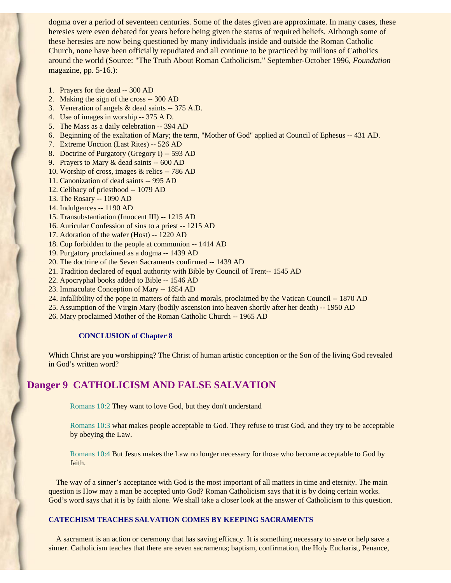dogma over a period of seventeen centuries. Some of the dates given are approximate. In many cases, these heresies were even debated for years before being given the status of required beliefs. Although some of these heresies are now being questioned by many individuals inside and outside the Roman Catholic Church, none have been officially repudiated and all continue to be practiced by millions of Catholics around the world (Source: "The Truth About Roman Catholicism," September-October 1996, *Foundation*  magazine, pp. 5-16.):

- 1. Prayers for the dead -- 300 AD
- 2. Making the sign of the cross -- 300 AD
- 3. Veneration of angels & dead saints -- 375 A.D.
- 4. Use of images in worship -- 375 A D.
- 5. The Mass as a daily celebration -- 394 AD
- 6. Beginning of the exaltation of Mary; the term, "Mother of God" applied at Council of Ephesus -- 431 AD.
- 7. Extreme Unction (Last Rites) -- 526 AD
- 8. Doctrine of Purgatory (Gregory I) -- 593 AD
- 9. Prayers to Mary & dead saints -- 600 AD
- 10. Worship of cross, images & relics -- 786 AD
- 11. Canonization of dead saints -- 995 AD
- 12. Celibacy of priesthood -- 1079 AD
- 13. The Rosary -- 1090 AD
- 14. Indulgences -- 1190 AD
- 15. Transubstantiation (Innocent III) -- 1215 AD
- 16. Auricular Confession of sins to a priest -- 1215 AD
- 17. Adoration of the wafer (Host) -- 1220 AD
- 18. Cup forbidden to the people at communion -- 1414 AD
- 19. Purgatory proclaimed as a dogma -- 1439 AD
- 20. The doctrine of the Seven Sacraments confirmed -- 1439 AD
- 21. Tradition declared of equal authority with Bible by Council of Trent-- 1545 AD
- 22. Apocryphal books added to Bible -- 1546 AD
- 23. Immaculate Conception of Mary -- 1854 AD
- 24. Infallibility of the pope in matters of faith and morals, proclaimed by the Vatican Council -- 1870 AD
- 25. Assumption of the Virgin Mary (bodily ascension into heaven shortly after her death) -- 1950 AD
- 26. Mary proclaimed Mother of the Roman Catholic Church -- 1965 AD

### **CONCLUSION of Chapter 8**

Which Christ are you worshipping? The Christ of human artistic conception or the Son of the living God revealed in God's written word?

# **Danger 9 CATHOLICISM AND FALSE SALVATION**

Romans 10:2 They want to love God, but they don't understand

Romans 10:3 what makes people acceptable to God. They refuse to trust God, and they try to be acceptable by obeying the Law.

Romans 10:4 But Jesus makes the Law no longer necessary for those who become acceptable to God by faith.

 The way of a sinner's acceptance with God is the most important of all matters in time and eternity. The main question is How may a man be accepted unto God? Roman Catholicism says that it is by doing certain works. God's word says that it is by faith alone. We shall take a closer look at the answer of Catholicism to this question.

### **CATECHISM TEACHES SALVATION COMES BY KEEPING SACRAMENTS**

 A sacrament is an action or ceremony that has saving efficacy. It is something necessary to save or help save a sinner. Catholicism teaches that there are seven sacraments; baptism, confirmation, the Holy Eucharist, Penance,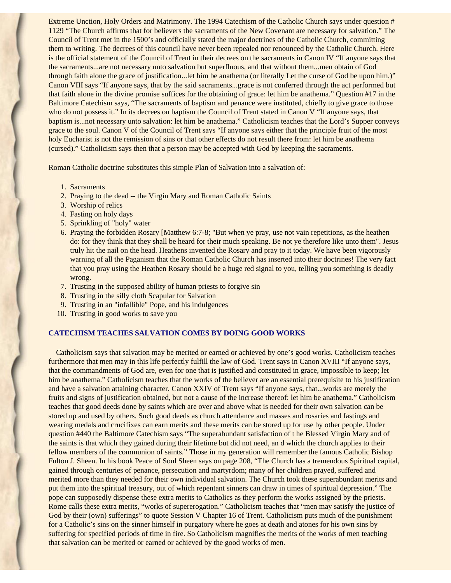Extreme Unction, Holy Orders and Matrimony. The 1994 Catechism of the Catholic Church says under question # 1129 "The Church affirms that for believers the sacraments of the New Covenant are necessary for salvation." The Council of Trent met in the 1500's and officially stated the major doctrines of the Catholic Church, committing them to writing. The decrees of this council have never been repealed nor renounced by the Catholic Church. Here is the official statement of the Council of Trent in their decrees on the sacraments in Canon IV "If anyone says that the sacraments...are not necessary unto salvation but superfluous, and that without them...men obtain of God through faith alone the grace of justification...let him be anathema (or literally Let the curse of God be upon him.)" Canon VIII says "If anyone says, that by the said sacraments...grace is not conferred through the act performed but that faith alone in the divine promise suffices for the obtaining of grace: let him be anathema." Question #17 in the Baltimore Catechism says, "The sacraments of baptism and penance were instituted, chiefly to give grace to those who do not possess it." In its decrees on baptism the Council of Trent stated in Canon V "If anyone says, that baptism is...not necessary unto salvation: let him be anathema." Catholicism teaches that the Lord's Supper conveys grace to the soul. Canon V of the Council of Trent says "If anyone says either that the principle fruit of the most holy Eucharist is not the remission of sins or that other effects do not result there from: let him be anathema (cursed)." Catholicism says then that a person may be accepted with God by keeping the sacraments.

Roman Catholic doctrine substitutes this simple Plan of Salvation into a salvation of:

- 1. Sacraments
- 2. Praying to the dead -- the Virgin Mary and Roman Catholic Saints
- 3. Worship of relics
- 4. Fasting on holy days
- 5. Sprinkling of "holy" water
- 6. Praying the forbidden Rosary [Matthew 6:7-8; "But when ye pray, use not vain repetitions, as the heathen do: for they think that they shall be heard for their much speaking. Be not ye therefore like unto them". Jesus truly hit the nail on the head. Heathens invented the Rosary and pray to it today. We have been vigorously warning of all the Paganism that the Roman Catholic Church has inserted into their doctrines! The very fact that you pray using the Heathen Rosary should be a huge red signal to you, telling you something is deadly wrong.
- 7. Trusting in the supposed ability of human priests to forgive sin
- 8. Trusting in the silly cloth Scapular for Salvation
- 9. Trusting in an "infallible" Pope, and his indulgences
- 10. Trusting in good works to save you

### **CATECHISM TEACHES SALVATION COMES BY DOING GOOD WORKS**

 Catholicism says that salvation may be merited or earned or achieved by one's good works. Catholicism teaches furthermore that men may in this life perfectly fulfill the law of God. Trent says in Canon XVIII "If anyone says, that the commandments of God are, even for one that is justified and constituted in grace, impossible to keep; let him be anathema." Catholicism teaches that the works of the believer are an essential prerequisite to his justification and have a salvation attaining character. Canon XXIV of Trent says "If anyone says, that...works are merely the fruits and signs of justification obtained, but not a cause of the increase thereof: let him be anathema." Catholicism teaches that good deeds done by saints which are over and above what is needed for their own salvation can be stored up and used by others. Such good deeds as church attendance and masses and rosaries and fastings and wearing medals and crucifixes can earn merits and these merits can be stored up for use by other people. Under question #440 the Baltimore Catechism says "The superabundant satisfaction of t he Blessed Virgin Mary and of the saints is that which they gained during their lifetime but did not need, an d which the church applies to their fellow members of the communion of saints." Those in my generation will remember the famous Catholic Bishop Fulton J. Sheen. In his book Peace of Soul Sheen says on page 208, "The Church has a tremendous Spiritual capital, gained through centuries of penance, persecution and martyrdom; many of her children prayed, suffered and merited more than they needed for their own individual salvation. The Church took these superabundant merits and put them into the spiritual treasury, out of which repentant sinners can draw in times of spiritual depression." The pope can supposedly dispense these extra merits to Catholics as they perform the works assigned by the priests. Rome calls these extra merits, "works of supererogation." Catholicism teaches that "men may satisfy the justice of God by their (own) sufferings" to quote Session V Chapter 16 of Trent. Catholicism puts much of the punishment for a Catholic's sins on the sinner himself in purgatory where he goes at death and atones for his own sins by suffering for specified periods of time in fire. So Catholicism magnifies the merits of the works of men teaching that salvation can be merited or earned or achieved by the good works of men.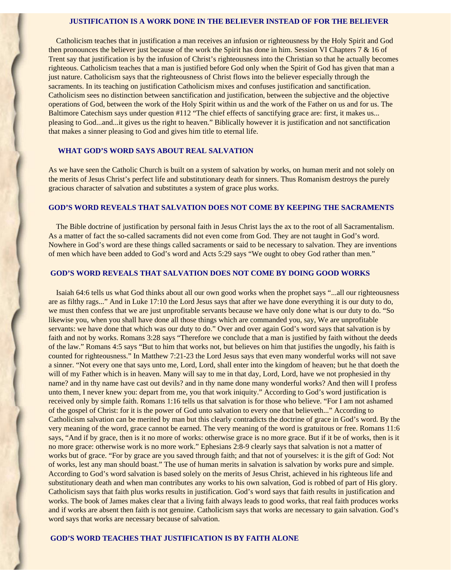### **JUSTIFICATION IS A WORK DONE IN THE BELIEVER INSTEAD OF FOR THE BELIEVER**

 Catholicism teaches that in justification a man receives an infusion or righteousness by the Holy Spirit and God then pronounces the believer just because of the work the Spirit has done in him. Session VI Chapters 7 & 16 of Trent say that justification is by the infusion of Christ's righteousness into the Christian so that he actually becomes righteous. Catholicism teaches that a man is justified before God only when the Spirit of God has given that man a just nature. Catholicism says that the righteousness of Christ flows into the believer especially through the sacraments. In its teaching on justification Catholicism mixes and confuses justification and sanctification. Catholicism sees no distinction between sanctification and justification, between the subjective and the objective operations of God, between the work of the Holy Spirit within us and the work of the Father on us and for us. The Baltimore Catechism says under question #112 "The chief effects of sanctifying grace are: first, it makes us... pleasing to God...and...it gives us the right to heaven." Biblically however it is justification and not sanctification that makes a sinner pleasing to God and gives him title to eternal life.

### **WHAT GOD'S WORD SAYS ABOUT REAL SALVATION**

As we have seen the Catholic Church is built on a system of salvation by works, on human merit and not solely on the merits of Jesus Christ's perfect life and substitutionary death for sinners. Thus Romanism destroys the purely gracious character of salvation and substitutes a system of grace plus works.

### **GOD'S WORD REVEALS THAT SALVATION DOES NOT COME BY KEEPING THE SACRAMENTS**

 The Bible doctrine of justification by personal faith in Jesus Christ lays the ax to the root of all Sacramentalism. As a matter of fact the so-called sacraments did not even come from God. They are not taught in God's word. Nowhere in God's word are these things called sacraments or said to be necessary to salvation. They are inventions of men which have been added to God's word and Acts 5:29 says "We ought to obey God rather than men."

### **GOD'S WORD REVEALS THAT SALVATION DOES NOT COME BY DOING GOOD WORKS**

 Isaiah 64:6 tells us what God thinks about all our own good works when the prophet says "...all our righteousness are as filthy rags..." And in Luke 17:10 the Lord Jesus says that after we have done everything it is our duty to do, we must then confess that we are just unprofitable servants because we have only done what is our duty to do. "So likewise you, when you shall have done all those things which are commanded you, say, We are unprofitable servants: we have done that which was our duty to do." Over and over again God's word says that salvation is by faith and not by works. Romans 3:28 says "Therefore we conclude that a man is justified by faith without the deeds of the law." Romans 4:5 says "But to him that works not, but believes on him that justifies the ungodly, his faith is counted for righteousness." In Matthew 7:21-23 the Lord Jesus says that even many wonderful works will not save a sinner. "Not every one that says unto me, Lord, Lord, shall enter into the kingdom of heaven; but he that doeth the will of my Father which is in heaven. Many will say to me in that day, Lord, Lord, have we not prophesied in thy name? and in thy name have cast out devils? and in thy name done many wonderful works? And then will I profess unto them, I never knew you: depart from me, you that work iniquity." According to God's word justification is received only by simple faith. Romans 1:16 tells us that salvation is for those who believe. "For I am not ashamed of the gospel of Christ: for it is the power of God unto salvation to every one that believeth..." According to Catholicism salvation can be merited by man but this clearly contradicts the doctrine of grace in God's word. By the very meaning of the word, grace cannot be earned. The very meaning of the word is gratuitous or free. Romans 11:6 says, "And if by grace, then is it no more of works: otherwise grace is no more grace. But if it be of works, then is it no more grace: otherwise work is no more work." Ephesians 2:8-9 clearly says that salvation is not a matter of works but of grace. "For by grace are you saved through faith; and that not of yourselves: it is the gift of God: Not of works, lest any man should boast." The use of human merits in salvation is salvation by works pure and simple. According to God's word salvation is based solely on the merits of Jesus Christ, achieved in his righteous life and substitutionary death and when man contributes any works to his own salvation, God is robbed of part of His glory. Catholicism says that faith plus works results in justification. God's word says that faith results in justification and works. The book of James makes clear that a living faith always leads to good works, that real faith produces works and if works are absent then faith is not genuine. Catholicism says that works are necessary to gain salvation. God's word says that works are necessary because of salvation.

### **GOD'S WORD TEACHES THAT JUSTIFICATION IS BY FAITH ALONE**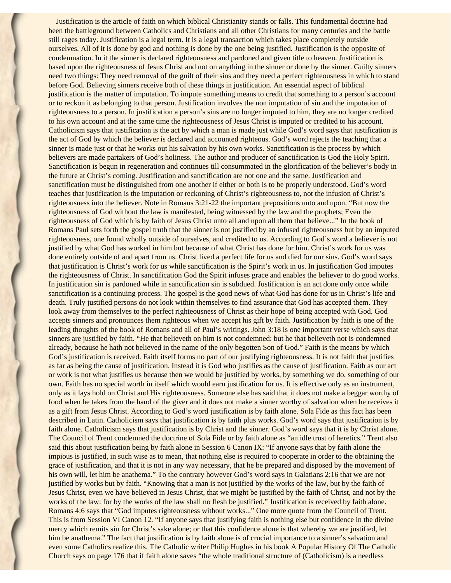Justification is the article of faith on which biblical Christianity stands or falls. This fundamental doctrine had been the battleground between Catholics and Christians and all other Christians for many centuries and the battle still rages today. Justification is a legal term. It is a legal transaction which takes place completely outside ourselves. All of it is done by god and nothing is done by the one being justified. Justification is the opposite of condemnation. In it the sinner is declared righteousness and pardoned and given title to heaven. Justification is based upon the righteousness of Jesus Christ and not on anything in the sinner or done by the sinner. Guilty sinners need two things: They need removal of the guilt of their sins and they need a perfect righteousness in which to stand before God. Believing sinners receive both of these things in justification. An essential aspect of biblical justification is the matter of imputation. To impute something means to credit that something to a person's account or to reckon it as belonging to that person. Justification involves the non imputation of sin and the imputation of righteousness to a person. In justification a person's sins are no longer imputed to him, they are no longer credited to his own account and at the same time the righteousness of Jesus Christ is imputed or credited to his account. Catholicism says that justification is the act by which a man is made just while God's word says that justification is the act of God by which the believer is declared and accounted righteous. God's word rejects the teaching that a sinner is made just or that he works out his salvation by his own works. Sanctification is the process by which believers are made partakers of God's holiness. The author and producer of sanctification is God the Holy Spirit. Sanctification is begun in regeneration and continues till consummated in the glorification of the believer's body in the future at Christ's coming. Justification and sanctification are not one and the same. Justification and sanctification must be distinguished from one another if either or both is to be properly understood. God's word teaches that justification is the imputation or reckoning of Christ's righteousness to, not the infusion of Christ's righteousness into the believer. Note in Romans 3:21-22 the important prepositions unto and upon. "But now the righteousness of God without the law is manifested, being witnessed by the law and the prophets; Even the righteousness of God which is by faith of Jesus Christ unto all and upon all them that believe..." In the book of Romans Paul sets forth the gospel truth that the sinner is not justified by an infused righteousness but by an imputed righteousness, one found wholly outside of ourselves, and credited to us. According to God's word a believer is not justified by what God has worked in him but because of what Christ has done for him. Christ's work for us was done entirely outside of and apart from us. Christ lived a perfect life for us and died for our sins. God's word says that justification is Christ's work for us while sanctification is the Spirit's work in us. In justification God imputes the righteousness of Christ. In sanctification God the Spirit infuses grace and enables the believer to do good works. In justification sin is pardoned while in sanctification sin is subdued. Justification is an act done only once while sanctification is a continuing process. The gospel is the good news of what God has done for us in Christ's life and death. Truly justified persons do not look within themselves to find assurance that God has accepted them. They look away from themselves to the perfect righteousness of Christ as their hope of being accepted with God. God accepts sinners and pronounces them righteous when we accept his gift by faith. Justification by faith is one of the leading thoughts of the book of Romans and all of Paul's writings. John 3:18 is one important verse which says that sinners are justified by faith. "He that believeth on him is not condemned: but he that believeth not is condemned already, because he hath not believed in the name of the only begotten Son of God." Faith is the means by which God's justification is received. Faith itself forms no part of our justifying righteousness. It is not faith that justifies as far as being the cause of justification. Instead it is God who justifies as the cause of justification. Faith as our act or work is not what justifies us because then we would be justified by works, by something we do, something of our own. Faith has no special worth in itself which would earn justification for us. It is effective only as an instrument, only as it lays hold on Christ and His righteousness. Someone else has said that it does not make a beggar worthy of food when he takes from the hand of the giver and it does not make a sinner worthy of salvation when he receives it as a gift from Jesus Christ. According to God's word justification is by faith alone. Sola Fide as this fact has been described in Latin. Catholicism says that justification is by faith plus works. God's word says that justification is by faith alone. Catholicism says that justification is by Christ and the sinner. God's word says that it is by Christ alone. The Council of Trent condemned the doctrine of Sola Fide or by faith alone as "an idle trust of heretics." Trent also said this about justification being by faith alone in Session 6 Canon IX: "If anyone says that by faith alone the impious is justified, in such wise as to mean, that nothing else is required to cooperate in order to the obtaining the grace of justification, and that it is not in any way necessary, that he be prepared and disposed by the movement of his own will, let him be anathema." To the contrary however God's word says in Galatians 2:16 that we are not justified by works but by faith. "Knowing that a man is not justified by the works of the law, but by the faith of Jesus Christ, even we have believed in Jesus Christ, that we might be justified by the faith of Christ, and not by the works of the law: for by the works of the law shall no flesh be justified." Justification is received by faith alone. Romans 4:6 says that "God imputes righteousness without works..." One more quote from the Council of Trent. This is from Session VI Canon 12. "If anyone says that justifying faith is nothing else but confidence in the divine mercy which remits sin for Christ's sake alone; or that this confidence alone is that whereby we are justified, let him be anathema." The fact that justification is by faith alone is of crucial importance to a sinner's salvation and even some Catholics realize this. The Catholic writer Philip Hughes in his book A Popular History Of The Catholic Church says on page 176 that if faith alone saves "the whole traditional structure of (Catholicism) is a needless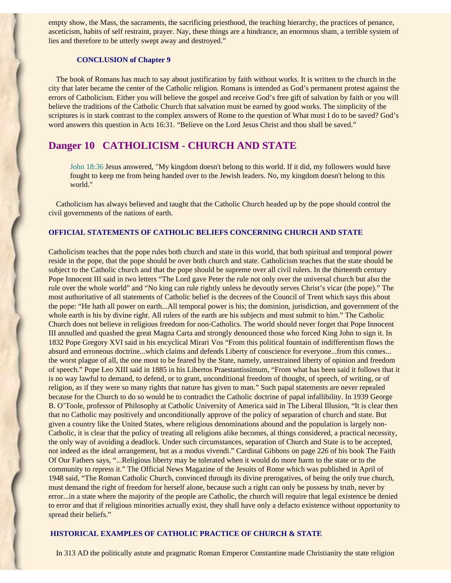empty show, the Mass, the sacraments, the sacrificing priesthood, the teaching hierarchy, the practices of penance, asceticism, habits of self restraint, prayer. Nay, these things are a hindrance, an enormous sham, a terrible system of lies and therefore to be utterly swept away and destroyed."

### **CONCLUSION of Chapter 9**

 The book of Romans has much to say about justification by faith without works. It is written to the church in the city that later became the center of the Catholic religion. Romans is intended as God's permanent protest against the errors of Catholicism. Either you will believe the gospel and receive God's free gift of salvation by faith or you will believe the traditions of the Catholic Church that salvation must be earned by good works. The simplicity of the scriptures is in stark contrast to the complex answers of Rome to the question of What must I do to be saved? God's word answers this question in Acts 16:31. "Believe on the Lord Jesus Christ and thou shall be saved."

# **Danger 10 CATHOLICISM - CHURCH AND STATE**

John 18:36 Jesus answered, "My kingdom doesn't belong to this world. If it did, my followers would have fought to keep me from being handed over to the Jewish leaders. No, my kingdom doesn't belong to this world."

 Catholicism has always believed and taught that the Catholic Church headed up by the pope should control the civil governments of the nations of earth.

### **OFFICIAL STATEMENTS OF CATHOLIC BELIEFS CONCERNING CHURCH AND STATE**

Catholicism teaches that the pope rules both church and state in this world, that both spiritual and temporal power reside in the pope, that the pope should be over both church and state. Catholicism teaches that the state should be subject to the Catholic church and that the pope should be supreme over all civil rulers. In the thirteenth century Pope Innocent III said in two letters "The Lord gave Peter the rule not only over the universal church but also the rule over the whole world" and "No king can rule rightly unless he devoutly serves Christ's vicar (the pope)." The most authoritative of all statements of Catholic belief is the decrees of the Council of Trent which says this about the pope: "He hath all power on earth...All temporal power is his; the dominion, jurisdiction, and government of the whole earth is his by divine right. All rulers of the earth are his subjects and must submit to him." The Catholic Church does not believe in religious freedom for non-Catholics. The world should never forget that Pope Innocent III annulled and quashed the great Magna Carta and strongly denounced those who forced King John to sign it. In 1832 Pope Gregory XVI said in his encyclical Mirari Vos "From this political fountain of indifferentism flows the absurd and erroneous doctrine...which claims and defends Liberty of conscience for everyone...from this comes... the worst plague of all, the one most to be feared by the State, namely, unrestrained liberty of opinion and freedom of speech." Pope Leo XIII said in 1885 in his Libertos Praestantissimum, "From what has been said it follows that it is no way lawful to demand, to defend, or to grant, unconditional freedom of thought, of speech, of writing, or of religion, as if they were so many rights that nature has given to man." Such papal statements are never repealed because for the Church to do so would be to contradict the Catholic doctrine of papal infallibility. In 1939 George B. O'Toole, professor of Philosophy at Catholic University of America said in The Liberal Illusion, "It is clear then that no Catholic may positively and unconditionally approve of the policy of separation of church and state. But given a country like the United States, where religious denominations abound and the population is largely non-Catholic, it is clear that the policy of treating all religions alike becomes, al things considered, a practical necessity, the only way of avoiding a deadlock. Under such circumstances, separation of Church and State is to be accepted, not indeed as the ideal arrangement, but as a modus vivendi." Cardinal Gibbons on page 226 of his book The Faith Of Our Fathers says, "...Religious liberty may be tolerated when it would do more harm to the state or to the community to repress it." The Official News Magazine of the Jesuits of Rome which was published in April of 1948 said, "The Roman Catholic Church, convinced through its divine prerogatives, of being the only true church, must demand the right of freedom for herself alone, because such a right can only be possess by truth, never by error...in a state where the majority of the people are Catholic, the church will require that legal existence be denied to error and that if religious minorities actually exist, they shall have only a defacto existence without opportunity to spread their beliefs."

### **HISTORICAL EXAMPLES OF CATHOLIC PRACTICE OF CHURCH & STATE**

In 313 AD the politically astute and pragmatic Roman Emperor Constantine made Christianity the state religion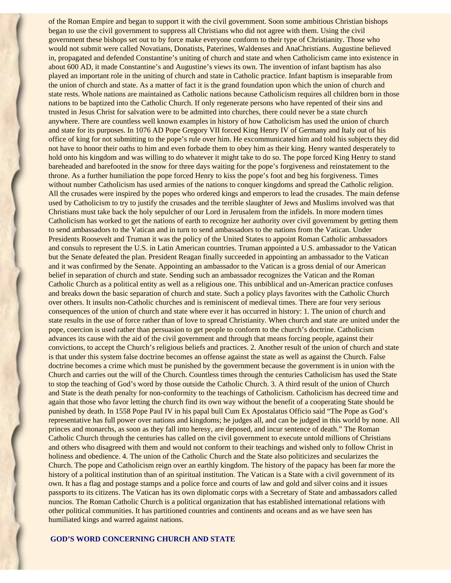of the Roman Empire and began to support it with the civil government. Soon some ambitious Christian bishops began to use the civil government to suppress all Christians who did not agree with them. Using the civil government these bishops set out to by force make everyone conform to their type of Christianity. Those who would not submit were called Novatians, Donatists, Paterines, Waldenses and AnaChristians. Augustine believed in, propagated and defended Constantine's uniting of church and state and when Catholicism came into existence in about 600 AD, it made Constantine's and Augustine's views its own. The invention of infant baptism has also played an important role in the uniting of church and state in Catholic practice. Infant baptism is inseparable from the union of church and state. As a matter of fact it is the grand foundation upon which the union of church and state rests. Whole nations are maintained as Catholic nations because Catholicism requires all children born in those nations to be baptized into the Catholic Church. If only regenerate persons who have repented of their sins and trusted in Jesus Christ for salvation were to be admitted into churches, there could never be a state church anywhere. There are countless well known examples in history of how Catholicism has used the union of church and state for its purposes. In 1076 AD Pope Gregory VII forced King Henry IV of Germany and Italy out of his office of king for not submitting to the pope's rule over him. He excommunicated him and told his subjects they did not have to honor their oaths to him and even forbade them to obey him as their king. Henry wanted desperately to hold onto his kingdom and was willing to do whatever it might take to do so. The pope forced King Henry to stand bareheaded and barefooted in the snow for three days waiting for the pope's forgiveness and reinstatement to the throne. As a further humiliation the pope forced Henry to kiss the pope's foot and beg his forgiveness. Times without number Catholicism has used armies of the nations to conquer kingdoms and spread the Catholic religion. All the crusades were inspired by the popes who ordered kings and emperors to lead the crusades. The main defense used by Catholicism to try to justify the crusades and the terrible slaughter of Jews and Muslims involved was that Christians must take back the holy sepulcher of our Lord in Jerusalem from the infidels. In more modern times Catholicism has worked to get the nations of earth to recognize her authority over civil government by getting them to send ambassadors to the Vatican and in turn to send ambassadors to the nations from the Vatican. Under Presidents Roosevelt and Truman it was the policy of the United States to appoint Roman Catholic ambassadors and consuls to represent the U.S. in Latin American countries. Truman appointed a U.S. ambassador to the Vatican but the Senate defeated the plan. President Reagan finally succeeded in appointing an ambassador to the Vatican and it was confirmed by the Senate. Appointing an ambassador to the Vatican is a gross denial of our American belief in separation of church and state. Sending such an ambassador recognizes the Vatican and the Roman Catholic Church as a political entity as well as a religious one. This unbiblical and un-American practice confuses and breaks down the basic separation of church and state. Such a policy plays favorites with the Catholic Church over others. It insults non-Catholic churches and is reminiscent of medieval times. There are four very serious consequences of the union of church and state where ever it has occurred in history: 1. The union of church and state results in the use of force rather than of love to spread Christianity. When church and state are united under the pope, coercion is used rather than persuasion to get people to conform to the church's doctrine. Catholicism advances its cause with the aid of the civil government and through that means forcing people, against their convictions, to accept the Church's religious beliefs and practices. 2. Another result of the union of church and state is that under this system false doctrine becomes an offense against the state as well as against the Church. False doctrine becomes a crime which must be punished by the government because the government is in union with the Church and carries out the will of the Church. Countless times through the centuries Catholicism has used the State to stop the teaching of God's word by those outside the Catholic Church. 3. A third result of the union of Church and State is the death penalty for non-conformity to the teachings of Catholicism. Catholicism has decreed time and again that those who favor letting the church find its own way without the benefit of a cooperating State should be punished by death. In 1558 Pope Paul IV in his papal bull Cum Ex Apostalatus Officio said "The Pope as God's representative has full power over nations and kingdoms; he judges all, and can be judged in this world by none. All princes and monarchs, as soon as they fall into heresy, are deposed, and incur sentence of death." The Roman Catholic Church through the centuries has called on the civil government to execute untold millions of Christians and others who disagreed with them and would not conform to their teachings and wished only to follow Christ in holiness and obedience. 4. The union of the Catholic Church and the State also politicizes and secularizes the Church. The pope and Catholicism reign over an earthly kingdom. The history of the papacy has been far more the history of a political institution than of an spiritual institution. The Vatican is a State with a civil government of its own. It has a flag and postage stamps and a police force and courts of law and gold and silver coins and it issues passports to its citizens. The Vatican has its own diplomatic corps with a Secretary of State and ambassadors called nuncios. The Roman Catholic Church is a political organization that has established international relations with other political communities. It has partitioned countries and continents and oceans and as we have seen has humiliated kings and warred against nations.

### **GOD'S WORD CONCERNING CHURCH AND STATE**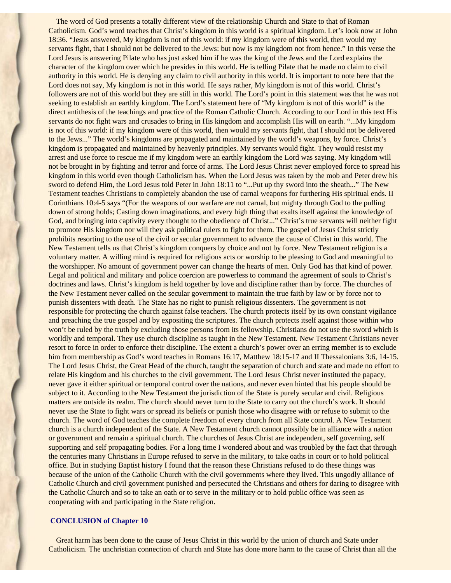The word of God presents a totally different view of the relationship Church and State to that of Roman Catholicism. God's word teaches that Christ's kingdom in this world is a spiritual kingdom. Let's look now at John 18:36. "Jesus answered, My kingdom is not of this world: if my kingdom were of this world, then would my servants fight, that I should not be delivered to the Jews: but now is my kingdom not from hence." In this verse the Lord Jesus is answering Pilate who has just asked him if he was the king of the Jews and the Lord explains the character of the kingdom over which he presides in this world. He is telling Pilate that he made no claim to civil authority in this world. He is denying any claim to civil authority in this world. It is important to note here that the Lord does not say, My kingdom is not in this world. He says rather, My kingdom is not of this world. Christ's followers are not of this world but they are still in this world. The Lord's point in this statement was that he was not seeking to establish an earthly kingdom. The Lord's statement here of "My kingdom is not of this world" is the direct antithesis of the teachings and practice of the Roman Catholic Church. According to our Lord in this text His servants do not fight wars and crusades to bring in His kingdom and accomplish His will on earth. "...My kingdom is not of this world: if my kingdom were of this world, then would my servants fight, that I should not be delivered to the Jews..." The world's kingdoms are propagated and maintained by the world's weapons, by force. Christ's kingdom is propagated and maintained by heavenly principles. My servants would fight. They would resist my arrest and use force to rescue me if my kingdom were an earthly kingdom the Lord was saying. My kingdom will not be brought in by fighting and terror and force of arms. The Lord Jesus Christ never employed force to spread his kingdom in this world even though Catholicism has. When the Lord Jesus was taken by the mob and Peter drew his sword to defend Him, the Lord Jesus told Peter in John 18:11 to "...Put up thy sword into the sheath..." The New Testament teaches Christians to completely abandon the use of carnal weapons for furthering His spiritual ends. II Corinthians 10:4-5 says "(For the weapons of our warfare are not carnal, but mighty through God to the pulling down of strong holds; Casting down imaginations, and every high thing that exalts itself against the knowledge of God, and bringing into captivity every thought to the obedience of Christ..." Christ's true servants will neither fight to promote His kingdom nor will they ask political rulers to fight for them. The gospel of Jesus Christ strictly prohibits resorting to the use of the civil or secular government to advance the cause of Christ in this world. The New Testament tells us that Christ's kingdom conquers by choice and not by force. New Testament religion is a voluntary matter. A willing mind is required for religious acts or worship to be pleasing to God and meaningful to the worshipper. No amount of government power can change the hearts of men. Only God has that kind of power. Legal and political and military and police coercion are powerless to command the agreement of souls to Christ's doctrines and laws. Christ's kingdom is held together by love and discipline rather than by force. The churches of the New Testament never called on the secular government to maintain the true faith by law or by force nor to punish dissenters with death. The State has no right to punish religious dissenters. The government is not responsible for protecting the church against false teachers. The church protects itself by its own constant vigilance and preaching the true gospel and by expositing the scriptures. The church protects itself against those within who won't be ruled by the truth by excluding those persons from its fellowship. Christians do not use the sword which is worldly and temporal. They use church discipline as taught in the New Testament. New Testament Christians never resort to force in order to enforce their discipline. The extent a church's power over an erring member is to exclude him from membership as God's word teaches in Romans 16:17, Matthew 18:15-17 and II Thessalonians 3:6, 14-15. The Lord Jesus Christ, the Great Head of the church, taught the separation of church and state and made no effort to relate His kingdom and his churches to the civil government. The Lord Jesus Christ never instituted the papacy, never gave it either spiritual or temporal control over the nations, and never even hinted that his people should be subject to it. According to the New Testament the jurisdiction of the State is purely secular and civil. Religious matters are outside its realm. The church should never turn to the State to carry out the church's work. It should never use the State to fight wars or spread its beliefs or punish those who disagree with or refuse to submit to the church. The word of God teaches the complete freedom of every church from all State control. A New Testament church is a church independent of the State. A New Testament church cannot possibly be in alliance with a nation or government and remain a spiritual church. The churches of Jesus Christ are independent, self governing, self supporting and self propagating bodies. For a long time I wondered about and was troubled by the fact that through the centuries many Christians in Europe refused to serve in the military, to take oaths in court or to hold political office. But in studying Baptist history I found that the reason these Christians refused to do these things was because of the union of the Catholic Church with the civil governments where they lived. This ungodly alliance of Catholic Church and civil government punished and persecuted the Christians and others for daring to disagree with the Catholic Church and so to take an oath or to serve in the military or to hold public office was seen as cooperating with and participating in the State religion.

### **CONCLUSION of Chapter 10**

 Great harm has been done to the cause of Jesus Christ in this world by the union of church and State under Catholicism. The unchristian connection of church and State has done more harm to the cause of Christ than all the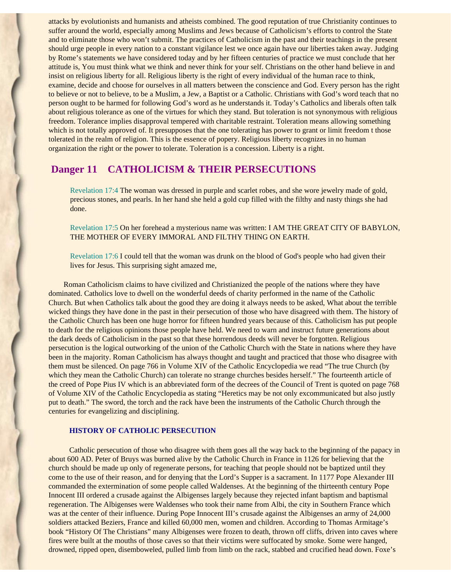attacks by evolutionists and humanists and atheists combined. The good reputation of true Christianity continues to suffer around the world, especially among Muslims and Jews because of Catholicism's efforts to control the State and to eliminate those who won't submit. The practices of Catholicism in the past and their teachings in the present should urge people in every nation to a constant vigilance lest we once again have our liberties taken away. Judging by Rome's statements we have considered today and by her fifteen centuries of practice we must conclude that her attitude is, You must think what we think and never think for your self. Christians on the other hand believe in and insist on religious liberty for all. Religious liberty is the right of every individual of the human race to think, examine, decide and choose for ourselves in all matters between the conscience and God. Every person has the right to believe or not to believe, to be a Muslim, a Jew, a Baptist or a Catholic. Christians with God's word teach that no person ought to be harmed for following God's word as he understands it. Today's Catholics and liberals often talk about religious tolerance as one of the virtues for which they stand. But toleration is not synonymous with religious freedom. Tolerance implies disapproval tempered with charitable restraint. Toleration means allowing something which is not totally approved of. It presupposes that the one tolerating has power to grant or limit freedom t those tolerated in the realm of religion. This is the essence of popery. Religious liberty recognizes in no human organization the right or the power to tolerate. Toleration is a concession. Liberty is a right.

## **Danger 11 CATHOLICISM & THEIR PERSECUTIONS**

Revelation 17:4 The woman was dressed in purple and scarlet robes, and she wore jewelry made of gold, precious stones, and pearls. In her hand she held a gold cup filled with the filthy and nasty things she had done.

Revelation 17:5 On her forehead a mysterious name was written: I AM THE GREAT CITY OF BABYLON, THE MOTHER OF EVERY IMMORAL AND FILTHY THING ON EARTH.

Revelation 17:6 I could tell that the woman was drunk on the blood of God's people who had given their lives for Jesus. This surprising sight amazed me,

 Roman Catholicism claims to have civilized and Christianized the people of the nations where they have dominated. Catholics love to dwell on the wonderful deeds of charity performed in the name of the Catholic Church. But when Catholics talk about the good they are doing it always needs to be asked, What about the terrible wicked things they have done in the past in their persecution of those who have disagreed with them. The history of the Catholic Church has been one huge horror for fifteen hundred years because of this. Catholicism has put people to death for the religious opinions those people have held. We need to warn and instruct future generations about the dark deeds of Catholicism in the past so that these horrendous deeds will never be forgotten. Religious persecution is the logical outworking of the union of the Catholic Church with the State in nations where they have been in the majority. Roman Catholicism has always thought and taught and practiced that those who disagree with them must be silenced. On page 766 in Volume XIV of the Catholic Encyclopedia we read "The true Church (by which they mean the Catholic Church) can tolerate no strange churches besides herself." The fourteenth article of the creed of Pope Pius IV which is an abbreviated form of the decrees of the Council of Trent is quoted on page 768 of Volume XIV of the Catholic Encyclopedia as stating "Heretics may be not only excommunicated but also justly put to death." The sword, the torch and the rack have been the instruments of the Catholic Church through the centuries for evangelizing and disciplining.

### **HISTORY OF CATHOLIC PERSECUTION**

 Catholic persecution of those who disagree with them goes all the way back to the beginning of the papacy in about 600 AD. Peter of Bruys was burned alive by the Catholic Church in France in 1126 for believing that the church should be made up only of regenerate persons, for teaching that people should not be baptized until they come to the use of their reason, and for denying that the Lord's Supper is a sacrament. In 1177 Pope Alexander III commanded the extermination of some people called Waldenses. At the beginning of the thirteenth century Pope Innocent III ordered a crusade against the Albigenses largely because they rejected infant baptism and baptismal regeneration. The Albigenses were Waldenses who took their name from Albi, the city in Southern France which was at the center of their influence. During Pope Innocent III's crusade against the Albigenses an army of 24,000 soldiers attacked Beziers, France and killed 60,000 men, women and children. According to Thomas Armitage's book "History Of The Christians" many Albigenses were frozen to death, thrown off cliffs, driven into caves where fires were built at the mouths of those caves so that their victims were suffocated by smoke. Some were hanged, drowned, ripped open, disemboweled, pulled limb from limb on the rack, stabbed and crucified head down. Foxe's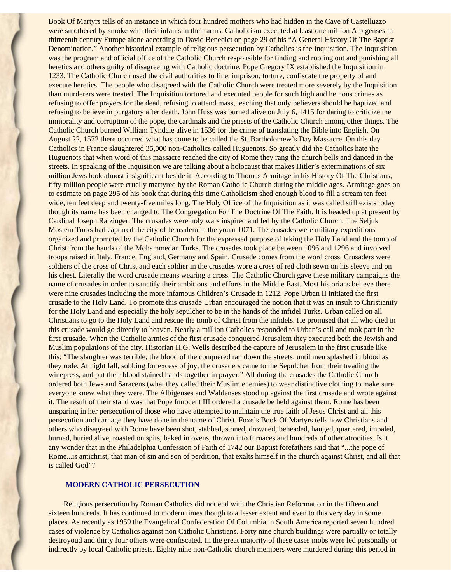Book Of Martyrs tells of an instance in which four hundred mothers who had hidden in the Cave of Castelluzzo were smothered by smoke with their infants in their arms. Catholicism executed at least one million Albigenses in thirteenth century Europe alone according to David Benedict on page 29 of his "A General History Of The Baptist Denomination." Another historical example of religious persecution by Catholics is the Inquisition. The Inquisition was the program and official office of the Catholic Church responsible for finding and rooting out and punishing all heretics and others guilty of disagreeing with Catholic doctrine. Pope Gregory IX established the Inquisition in 1233. The Catholic Church used the civil authorities to fine, imprison, torture, confiscate the property of and execute heretics. The people who disagreed with the Catholic Church were treated more severely by the Inquisition than murderers were treated. The Inquisition tortured and executed people for such high and heinous crimes as refusing to offer prayers for the dead, refusing to attend mass, teaching that only believers should be baptized and refusing to believe in purgatory after death. John Huss was burned alive on July 6, 1415 for daring to criticize the immorality and corruption of the pope, the cardinals and the priests of the Catholic Church among other things. The Catholic Church burned William Tyndale alive in 1536 for the crime of translating the Bible into English. On August 22, 1572 there occurred what has come to be called the St. Bartholomew's Day Massacre. On this day Catholics in France slaughtered 35,000 non-Catholics called Huguenots. So greatly did the Catholics hate the Huguenots that when word of this massacre reached the city of Rome they rang the church bells and danced in the streets. In speaking of the Inquisition we are talking about a holocaust that makes Hitler's exterminations of six million Jews look almost insignificant beside it. According to Thomas Armitage in his History Of The Christians, fifty million people were cruelly martyred by the Roman Catholic Church during the middle ages. Armitage goes on to estimate on page 295 of his book that during this time Catholicism shed enough blood to fill a stream ten feet wide, ten feet deep and twenty-five miles long. The Holy Office of the Inquisition as it was called still exists today though its name has been changed to The Congregation For The Doctrine Of The Faith. It is headed up at present by Cardinal Joseph Ratzinger. The crusades were holy wars inspired and led by the Catholic Church. The Seljuk Moslem Turks had captured the city of Jerusalem in the youar 1071. The crusades were military expeditions organized and promoted by the Catholic Church for the expressed purpose of taking the Holy Land and the tomb of Christ from the hands of the Mohammedan Turks. The crusades took place between 1096 and 1296 and involved troops raised in Italy, France, England, Germany and Spain. Crusade comes from the word cross. Crusaders were soldiers of the cross of Christ and each soldier in the crusades wore a cross of red cloth sewn on his sleeve and on his chest. Literally the word crusade means wearing a cross. The Catholic Church gave these military campaigns the name of crusades in order to sanctify their ambitions and efforts in the Middle East. Most historians believe there were nine crusades including the more infamous Children's Crusade in 1212. Pope Urban II initiated the first crusade to the Holy Land. To promote this crusade Urban encouraged the notion that it was an insult to Christianity for the Holy Land and especially the holy sepulcher to be in the hands of the infidel Turks. Urban called on all Christians to go to the Holy Land and rescue the tomb of Christ from the infidels. He promised that all who died in this crusade would go directly to heaven. Nearly a million Catholics responded to Urban's call and took part in the first crusade. When the Catholic armies of the first crusade conquered Jerusalem they executed both the Jewish and Muslim populations of the city. Historian H.G. Wells described the capture of Jerusalem in the first crusade like this: "The slaughter was terrible; the blood of the conquered ran down the streets, until men splashed in blood as they rode. At night fall, sobbing for excess of joy, the crusaders came to the Sepulcher from their treading the winepress, and put their blood stained hands together in prayer." All during the crusades the Catholic Church ordered both Jews and Saracens (what they called their Muslim enemies) to wear distinctive clothing to make sure everyone knew what they were. The Albigenses and Waldenses stood up against the first crusade and wrote against it. The result of their stand was that Pope Innocent III ordered a crusade be held against them. Rome has been unsparing in her persecution of those who have attempted to maintain the true faith of Jesus Christ and all this persecution and carnage they have done in the name of Christ. Foxe's Book Of Martyrs tells how Christians and others who disagreed with Rome have been shot, stabbed, stoned, drowned, beheaded, hanged, quartered, impaled, burned, buried alive, roasted on spits, baked in ovens, thrown into furnaces and hundreds of other atrocities. Is it any wonder that in the Philadelphia Confession of Faith of 1742 our Baptist forefathers said that "...the pope of Rome...is antichrist, that man of sin and son of perdition, that exalts himself in the church against Christ, and all that is called God"?

### **MODERN CATHOLIC PERSECUTION**

 Religious persecution by Roman Catholics did not end with the Christian Reformation in the fifteen and sixteen hundreds. It has continued to modern times though to a lesser extent and even to this very day in some places. As recently as 1959 the Evangelical Confederation Of Columbia in South America reported seven hundred cases of violence by Catholics against non Catholic Christians. Forty nine church buildings were partially or totally destroyoud and thirty four others were confiscated. In the great majority of these cases mobs were led personally or indirectly by local Catholic priests. Eighty nine non-Catholic church members were murdered during this period in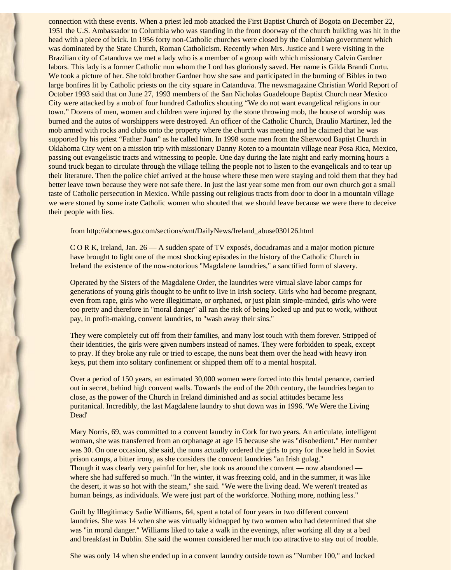connection with these events. When a priest led mob attacked the First Baptist Church of Bogota on December 22, 1951 the U.S. Ambassador to Columbia who was standing in the front doorway of the church building was hit in the head with a piece of brick. In 1956 forty non-Catholic churches were closed by the Colombian government which was dominated by the State Church, Roman Catholicism. Recently when Mrs. Justice and I were visiting in the Brazilian city of Catanduva we met a lady who is a member of a group with which missionary Calvin Gardner labors. This lady is a former Catholic nun whom the Lord has gloriously saved. Her name is Gilda Brandi Curtu. We took a picture of her. She told brother Gardner how she saw and participated in the burning of Bibles in two large bonfires lit by Catholic priests on the city square in Catanduva. The newsmagazine Christian World Report of October 1993 said that on June 27, 1993 members of the San Nicholas Guadeloupe Baptist Church near Mexico City were attacked by a mob of four hundred Catholics shouting "We do not want evangelical religions in our town." Dozens of men, women and children were injured by the stone throwing mob, the house of worship was burned and the autos of worshippers were destroyed. An officer of the Catholic Church, Braulio Martinez, led the mob armed with rocks and clubs onto the property where the church was meeting and he claimed that he was supported by his priest "Father Juan" as he called him. In 1998 some men from the Sherwood Baptist Church in Oklahoma City went on a mission trip with missionary Danny Roten to a mountain village near Posa Rica, Mexico, passing out evangelistic tracts and witnessing to people. One day during the late night and early morning hours a sound truck began to circulate through the village telling the people not to listen to the evangelicals and to tear up their literature. Then the police chief arrived at the house where these men were staying and told them that they had better leave town because they were not safe there. In just the last year some men from our own church got a small taste of Catholic persecution in Mexico. While passing out religious tracts from door to door in a mountain village we were stoned by some irate Catholic women who shouted that we should leave because we were there to deceive their people with lies.

from http://abcnews.go.com/sections/wnt/DailyNews/Ireland\_abuse030126.html

C O R K, Ireland, Jan. 26 — A sudden spate of TV exposés, docudramas and a major motion picture have brought to light one of the most shocking episodes in the history of the Catholic Church in Ireland the existence of the now-notorious "Magdalene laundries," a sanctified form of slavery.

Operated by the Sisters of the Magdalene Order, the laundries were virtual slave labor camps for generations of young girls thought to be unfit to live in Irish society. Girls who had become pregnant, even from rape, girls who were illegitimate, or orphaned, or just plain simple-minded, girls who were too pretty and therefore in "moral danger" all ran the risk of being locked up and put to work, without pay, in profit-making, convent laundries, to "wash away their sins."

They were completely cut off from their families, and many lost touch with them forever. Stripped of their identities, the girls were given numbers instead of names. They were forbidden to speak, except to pray. If they broke any rule or tried to escape, the nuns beat them over the head with heavy iron keys, put them into solitary confinement or shipped them off to a mental hospital.

Over a period of 150 years, an estimated 30,000 women were forced into this brutal penance, carried out in secret, behind high convent walls. Towards the end of the 20th century, the laundries began to close, as the power of the Church in Ireland diminished and as social attitudes became less puritanical. Incredibly, the last Magdalene laundry to shut down was in 1996. 'We Were the Living Dead'

Mary Norris, 69, was committed to a convent laundry in Cork for two years. An articulate, intelligent woman, she was transferred from an orphanage at age 15 because she was "disobedient." Her number was 30. On one occasion, she said, the nuns actually ordered the girls to pray for those held in Soviet prison camps, a bitter irony, as she considers the convent laundries "an Irish gulag." Though it was clearly very painful for her, she took us around the convent — now abandoned where she had suffered so much. "In the winter, it was freezing cold, and in the summer, it was like the desert, it was so hot with the steam," she said. "We were the living dead. We weren't treated as human beings, as individuals. We were just part of the workforce. Nothing more, nothing less."

Guilt by Illegitimacy Sadie Williams, 64, spent a total of four years in two different convent laundries. She was 14 when she was virtually kidnapped by two women who had determined that she was "in moral danger." Williams liked to take a walk in the evenings, after working all day at a bed and breakfast in Dublin. She said the women considered her much too attractive to stay out of trouble.

She was only 14 when she ended up in a convent laundry outside town as "Number 100," and locked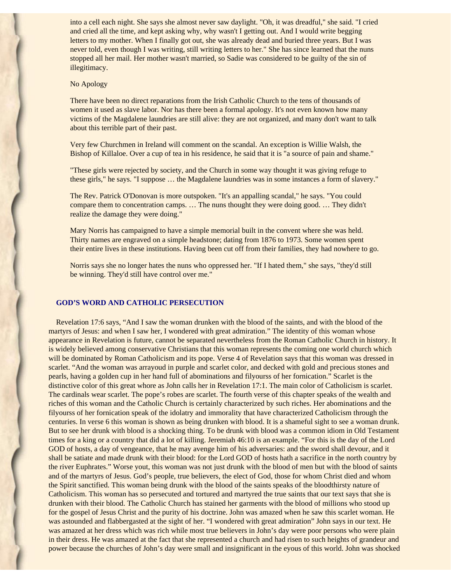into a cell each night. She says she almost never saw daylight. "Oh, it was dreadful," she said. "I cried and cried all the time, and kept asking why, why wasn't I getting out. And I would write begging letters to my mother. When I finally got out, she was already dead and buried three years. But I was never told, even though I was writing, still writing letters to her." She has since learned that the nuns stopped all her mail. Her mother wasn't married, so Sadie was considered to be guilty of the sin of illegitimacy.

### No Apology

There have been no direct reparations from the Irish Catholic Church to the tens of thousands of women it used as slave labor. Nor has there been a formal apology. It's not even known how many victims of the Magdalene laundries are still alive: they are not organized, and many don't want to talk about this terrible part of their past.

Very few Churchmen in Ireland will comment on the scandal. An exception is Willie Walsh, the Bishop of Killaloe. Over a cup of tea in his residence, he said that it is "a source of pain and shame."

"These girls were rejected by society, and the Church in some way thought it was giving refuge to these girls," he says. "I suppose … the Magdalene laundries was in some instances a form of slavery."

The Rev. Patrick O'Donovan is more outspoken. "It's an appalling scandal," he says. "You could compare them to concentration camps. … The nuns thought they were doing good. … They didn't realize the damage they were doing."

Mary Norris has campaigned to have a simple memorial built in the convent where she was held. Thirty names are engraved on a simple headstone; dating from 1876 to 1973. Some women spent their entire lives in these institutions. Having been cut off from their families, they had nowhere to go.

Norris says she no longer hates the nuns who oppressed her. "If I hated them," she says, "they'd still be winning. They'd still have control over me."

### **GOD'S WORD AND CATHOLIC PERSECUTION**

 Revelation 17:6 says, "And I saw the woman drunken with the blood of the saints, and with the blood of the martyrs of Jesus: and when I saw her, I wondered with great admiration." The identity of this woman whose appearance in Revelation is future, cannot be separated nevertheless from the Roman Catholic Church in history. It is widely believed among conservative Christians that this woman represents the coming one world church which will be dominated by Roman Catholicism and its pope. Verse 4 of Revelation says that this woman was dressed in scarlet. "And the woman was arrayoud in purple and scarlet color, and decked with gold and precious stones and pearls, having a golden cup in her hand full of abominations and filyourss of her fornication." Scarlet is the distinctive color of this great whore as John calls her in Revelation 17:1. The main color of Catholicism is scarlet. The cardinals wear scarlet. The pope's robes are scarlet. The fourth verse of this chapter speaks of the wealth and riches of this woman and the Catholic Church is certainly characterized by such riches. Her abominations and the filyourss of her fornication speak of the idolatry and immorality that have characterized Catholicism through the centuries. In verse 6 this woman is shown as being drunken with blood. It is a shameful sight to see a woman drunk. But to see her drunk with blood is a shocking thing. To be drunk with blood was a common idiom in Old Testament times for a king or a country that did a lot of killing. Jeremiah 46:10 is an example. "For this is the day of the Lord GOD of hosts, a day of vengeance, that he may avenge him of his adversaries: and the sword shall devour, and it shall be satiate and made drunk with their blood: for the Lord GOD of hosts hath a sacrifice in the north country by the river Euphrates." Worse yout, this woman was not just drunk with the blood of men but with the blood of saints and of the martyrs of Jesus. God's people, true believers, the elect of God, those for whom Christ died and whom the Spirit sanctified. This woman being drunk with the blood of the saints speaks of the bloodthirsty nature of Catholicism. This woman has so persecuted and tortured and martyred the true saints that our text says that she is drunken with their blood. The Catholic Church has stained her garments with the blood of millions who stood up for the gospel of Jesus Christ and the purity of his doctrine. John was amazed when he saw this scarlet woman. He was astounded and flabbergasted at the sight of her. "I wondered with great admiration" John says in our text. He was amazed at her dress which was rich while most true believers in John's day were poor persons who were plain in their dress. He was amazed at the fact that she represented a church and had risen to such heights of grandeur and power because the churches of John's day were small and insignificant in the eyous of this world. John was shocked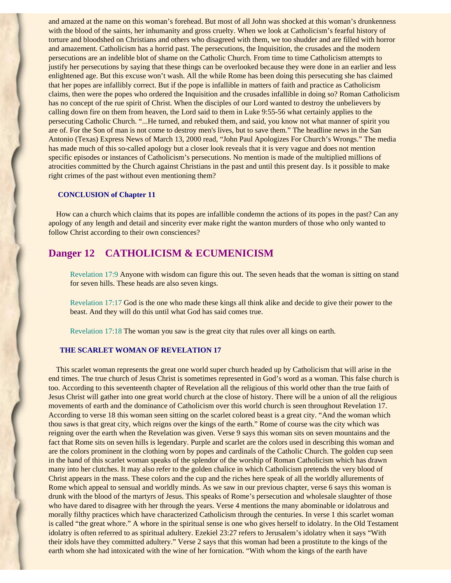and amazed at the name on this woman's forehead. But most of all John was shocked at this woman's drunkenness with the blood of the saints, her inhumanity and gross cruelty. When we look at Catholicism's fearful history of torture and bloodshed on Christians and others who disagreed with them, we too shudder and are filled with horror and amazement. Catholicism has a horrid past. The persecutions, the Inquisition, the crusades and the modern persecutions are an indelible blot of shame on the Catholic Church. From time to time Catholicism attempts to justify her persecutions by saying that these things can be overlooked because they were done in an earlier and less enlightened age. But this excuse won't wash. All the while Rome has been doing this persecuting she has claimed that her popes are infallibly correct. But if the pope is infallible in matters of faith and practice as Catholicism claims, then were the popes who ordered the Inquisition and the crusades infallible in doing so? Roman Catholicism has no concept of the rue spirit of Christ. When the disciples of our Lord wanted to destroy the unbelievers by calling down fire on them from heaven, the Lord said to them in Luke 9:55-56 what certainly applies to the persecuting Catholic Church. "...He turned, and rebuked them, and said, you know not what manner of spirit you are of. For the Son of man is not come to destroy men's lives, but to save them." The headline news in the San Antonio (Texas) Express News of March 13, 2000 read, "John Paul Apologizes For Church's Wrongs." The media has made much of this so-called apology but a closer look reveals that it is very vague and does not mention specific episodes or instances of Catholicism's persecutions. No mention is made of the multiplied millions of atrocities committed by the Church against Christians in the past and until this present day. Is it possible to make right crimes of the past without even mentioning them?

### **CONCLUSION of Chapter 11**

 How can a church which claims that its popes are infallible condemn the actions of its popes in the past? Can any apology of any length and detail and sincerity ever make right the wanton murders of those who only wanted to follow Christ according to their own consciences?

## **Danger 12 CATHOLICISM & ECUMENICISM**

Revelation 17:9 Anyone with wisdom can figure this out. The seven heads that the woman is sitting on stand for seven hills. These heads are also seven kings.

Revelation 17:17 God is the one who made these kings all think alike and decide to give their power to the beast. And they will do this until what God has said comes true.

Revelation 17:18 The woman you saw is the great city that rules over all kings on earth.

### **THE SCARLET WOMAN OF REVELATION 17**

 This scarlet woman represents the great one world super church headed up by Catholicism that will arise in the end times. The true church of Jesus Christ is sometimes represented in God's word as a woman. This false church is too. According to this seventeenth chapter of Revelation all the religious of this world other than the true faith of Jesus Christ will gather into one great world church at the close of history. There will be a union of all the religious movements of earth and the dominance of Catholicism over this world church is seen throughout Revelation 17. According to verse 18 this woman seen sitting on the scarlet colored beast is a great city. "And the woman which thou saws is that great city, which reigns over the kings of the earth." Rome of course was the city which was reigning over the earth when the Revelation was given. Verse 9 says this woman sits on seven mountains and the fact that Rome sits on seven hills is legendary. Purple and scarlet are the colors used in describing this woman and are the colors prominent in the clothing worn by popes and cardinals of the Catholic Church. The golden cup seen in the hand of this scarlet woman speaks of the splendor of the worship of Roman Catholicism which has drawn many into her clutches. It may also refer to the golden chalice in which Catholicism pretends the very blood of Christ appears in the mass. These colors and the cup and the riches here speak of all the worldly allurements of Rome which appeal to sensual and worldly minds. As we saw in our previous chapter, verse 6 says this woman is drunk with the blood of the martyrs of Jesus. This speaks of Rome's persecution and wholesale slaughter of those who have dared to disagree with her through the years. Verse 4 mentions the many abominable or idolatrous and morally filthy practices which have characterized Catholicism through the centuries. In verse 1 this scarlet woman is called "the great whore." A whore in the spiritual sense is one who gives herself to idolatry. In the Old Testament idolatry is often referred to as spiritual adultery. Ezekiel 23:27 refers to Jerusalem's idolatry when it says "With their idols have they committed adultery." Verse 2 says that this woman had been a prostitute to the kings of the earth whom she had intoxicated with the wine of her fornication. "With whom the kings of the earth have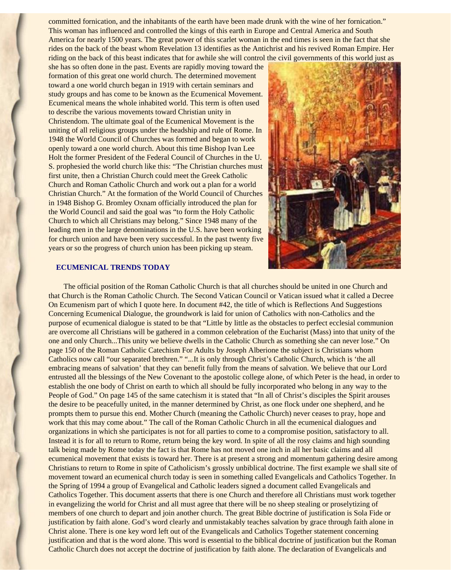committed fornication, and the inhabitants of the earth have been made drunk with the wine of her fornication." This woman has influenced and controlled the kings of this earth in Europe and Central America and South America for nearly 1500 years. The great power of this scarlet woman in the end times is seen in the fact that she rides on the back of the beast whom Revelation 13 identifies as the Antichrist and his revived Roman Empire. Her riding on the back of this beast indicates that for awhile she will control the civil governments of this world just as

she has so often done in the past. Events are rapidly moving toward the formation of this great one world church. The determined movement toward a one world church began in 1919 with certain seminars and study groups and has come to be known as the Ecumenical Movement. Ecumenical means the whole inhabited world. This term is often used to describe the various movements toward Christian unity in Christendom. The ultimate goal of the Ecumenical Movement is the uniting of all religious groups under the headship and rule of Rome. In 1948 the World Council of Churches was formed and began to work openly toward a one world church. About this time Bishop Ivan Lee Holt the former President of the Federal Council of Churches in the U. S. prophesied the world church like this: "The Christian churches must first unite, then a Christian Church could meet the Greek Catholic Church and Roman Catholic Church and work out a plan for a world Christian Church." At the formation of the World Council of Churches in 1948 Bishop G. Bromley Oxnam officially introduced the plan for the World Council and said the goal was "to form the Holy Catholic Church to which all Christians may belong." Since 1948 many of the leading men in the large denominations in the U.S. have been working for church union and have been very successful. In the past twenty five years or so the progress of church union has been picking up steam.



### **ECUMENICAL TRENDS TODAY**

 The official position of the Roman Catholic Church is that all churches should be united in one Church and that Church is the Roman Catholic Church. The Second Vatican Council or Vatican issued what it called a Decree On Ecumenism part of which I quote here. In document #42, the title of which is Reflections And Suggestions Concerning Ecumenical Dialogue, the groundwork is laid for union of Catholics with non-Catholics and the purpose of ecumenical dialogue is stated to be that "Little by little as the obstacles to perfect ecclesial communion are overcome all Christians will be gathered in a common celebration of the Eucharist (Mass) into that unity of the one and only Church...This unity we believe dwells in the Catholic Church as something she can never lose." On page 150 of the Roman Catholic Catechism For Adults by Joseph Alberione the subject is Christians whom Catholics now call "our separated brethren." "...It is only through Christ's Catholic Church, which is 'the all embracing means of salvation' that they can benefit fully from the means of salvation. We believe that our Lord entrusted all the blessings of the New Covenant to the apostolic college alone, of which Peter is the head, in order to establish the one body of Christ on earth to which all should be fully incorporated who belong in any way to the People of God." On page 145 of the same catechism it is stated that "In all of Christ's disciples the Spirit arouses the desire to be peacefully united, in the manner determined by Christ, as one flock under one shepherd, and he prompts them to pursue this end. Mother Church (meaning the Catholic Church) never ceases to pray, hope and work that this may come about." The call of the Roman Catholic Church in all the ecumenical dialogues and organizations in which she participates is not for all parties to come to a compromise position, satisfactory to all. Instead it is for all to return to Rome, return being the key word. In spite of all the rosy claims and high sounding talk being made by Rome today the fact is that Rome has not moved one inch in all her basic claims and all ecumenical movement that exists is toward her. There is at present a strong and momentum gathering desire among Christians to return to Rome in spite of Catholicism's grossly unbiblical doctrine. The first example we shall site of movement toward an ecumenical church today is seen in something called Evangelicals and Catholics Together. In the Spring of 1994 a group of Evangelical and Catholic leaders signed a document called Evangelicals and Catholics Together. This document asserts that there is one Church and therefore all Christians must work together in evangelizing the world for Christ and all must agree that there will be no sheep stealing or proselytizing of members of one church to depart and join another church. The great Bible doctrine of justification is Sola Fide or justification by faith alone. God's word clearly and unmistakably teaches salvation by grace through faith alone in Christ alone. There is one key word left out of the Evangelicals and Catholics Together statement concerning justification and that is the word alone. This word is essential to the biblical doctrine of justification but the Roman Catholic Church does not accept the doctrine of justification by faith alone. The declaration of Evangelicals and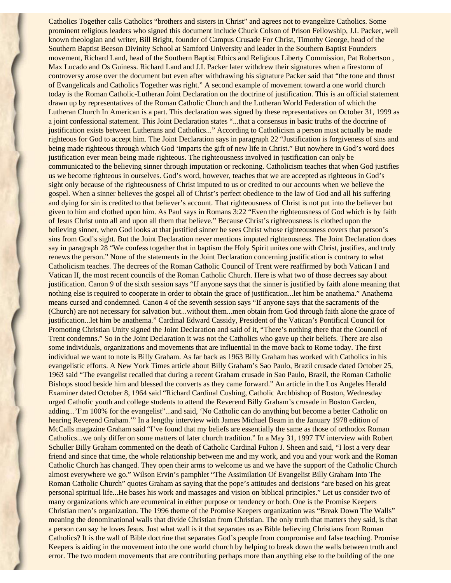Catholics Together calls Catholics "brothers and sisters in Christ" and agrees not to evangelize Catholics. Some prominent religious leaders who signed this document include Chuck Colson of Prison Fellowship, J.I. Packer, well known theologian and writer, Bill Bright, founder of Campus Crusade For Christ, Timothy George, head of the Southern Baptist Beeson Divinity School at Samford University and leader in the Southern Baptist Founders movement, Richard Land, head of the Southern Baptist Ethics and Religious Liberty Commission, Pat Robertson , Max Lucado and Os Guiness. Richard Land and J.I. Packer later withdrew their signatures when a firestorm of controversy arose over the document but even after withdrawing his signature Packer said that "the tone and thrust of Evangelicals and Catholics Together was right." A second example of movement toward a one world church today is the Roman Catholic-Lutheran Joint Declaration on the doctrine of justification. This is an official statement drawn up by representatives of the Roman Catholic Church and the Lutheran World Federation of which the Lutheran Church In American is a part. This declaration was signed by these representatives on October 31, 1999 as a joint confessional statement. This Joint Declaration states "...that a consensus in basic truths of the doctrine of justification exists between Lutherans and Catholics..." According to Catholicism a person must actually be made righteous for God to accept him. The Joint Declaration says in paragraph 22 "Justification is forgiveness of sins and being made righteous through which God 'imparts the gift of new life in Christ." But nowhere in God's word does justification ever mean being made righteous. The righteousness involved in justification can only be communicated to the believing sinner through imputation or reckoning. Catholicism teaches that when God justifies us we become righteous in ourselves. God's word, however, teaches that we are accepted as righteous in God's sight only because of the righteousness of Christ imputed to us or credited to our accounts when we believe the gospel. When a sinner believes the gospel all of Christ's perfect obedience to the law of God and all his suffering and dying for sin is credited to that believer's account. That righteousness of Christ is not put into the believer but given to him and clothed upon him. As Paul says in Romans 3:22 "Even the righteousness of God which is by faith of Jesus Christ unto all and upon all them that believe." Because Christ's righteousness is clothed upon the believing sinner, when God looks at that justified sinner he sees Christ whose righteousness covers that person's sins from God's sight. But the Joint Declaration never mentions imputed righteousness. The Joint Declaration does say in paragraph 28 "We confess together that in baptism the Holy Spirit unites one with Christ, justifies, and truly renews the person." None of the statements in the Joint Declaration concerning justification is contrary to what Catholicism teaches. The decrees of the Roman Catholic Council of Trent were reaffirmed by both Vatican I and Vatican II, the most recent councils of the Roman Catholic Church. Here is what two of those decrees say about justification. Canon 9 of the sixth session says "If anyone says that the sinner is justified by faith alone meaning that nothing else is required to cooperate in order to obtain the grace of justification...let him be anathema." Anathema means cursed and condemned. Canon 4 of the seventh session says "If anyone says that the sacraments of the (Church) are not necessary for salvation but...without them...men obtain from God through faith alone the grace of justification...let him be anathema." Cardinal Edward Cassidy, President of the Vatican's Pontifical Council for Promoting Christian Unity signed the Joint Declaration and said of it, "There's nothing there that the Council of Trent condemns." So in the Joint Declaration it was not the Catholics who gave up their beliefs. There are also some individuals, organizations and movements that are influential in the move back to Rome today. The first individual we want to note is Billy Graham. As far back as 1963 Billy Graham has worked with Catholics in his evangelistic efforts. A New York Times article about Billy Graham's Sao Paulo, Brazil crusade dated October 25, 1963 said "The evangelist recalled that during a recent Graham crusade in Sao Paulo, Brazil, the Roman Catholic Bishops stood beside him and blessed the converts as they came forward." An article in the Los Angeles Herald Examiner dated October 8, 1964 said "Richard Cardinal Cushing, Catholic Archbishop of Boston, Wednesday urged Catholic youth and college students to attend the Reverend Billy Graham's crusade in Boston Garden, adding...'I'm 100% for the evangelist"...and said, 'No Catholic can do anything but become a better Catholic on hearing Reverend Graham.'" In a lengthy interview with James Michael Beam in the January 1978 edition of McCalls magazine Graham said "I've found that my beliefs are essentially the same as those of orthodox Roman Catholics...we only differ on some matters of later church tradition." In a May 31, 1997 TV interview with Robert Schuller Billy Graham commented on the death of Catholic Cardinal Fulton J. Sheen and said, "I lost a very dear friend and since that time, the whole relationship between me and my work, and you and your work and the Roman Catholic Church has changed. They open their arms to welcome us and we have the support of the Catholic Church almost everywhere we go." Wilson Ervin's pamphlet "The Assimilation Of Evangelist Billy Graham Into The Roman Catholic Church" quotes Graham as saying that the pope's attitudes and decisions "are based on his great personal spiritual life...He bases his work and massages and vision on biblical principles." Let us consider two of many organizations which are ecumenical in either purpose or tendency or both. One is the Promise Keepers Christian men's organization. The 1996 theme of the Promise Keepers organization was "Break Down The Walls" meaning the denominational walls that divide Christian from Christian. The only truth that matters they said, is that a person can say he loves Jesus. Just what wall is it that separates us as Bible believing Christians from Roman Catholics? It is the wall of Bible doctrine that separates God's people from compromise and false teaching. Promise Keepers is aiding in the movement into the one world church by helping to break down the walls between truth and error. The two modern movements that are contributing perhaps more than anything else to the building of the one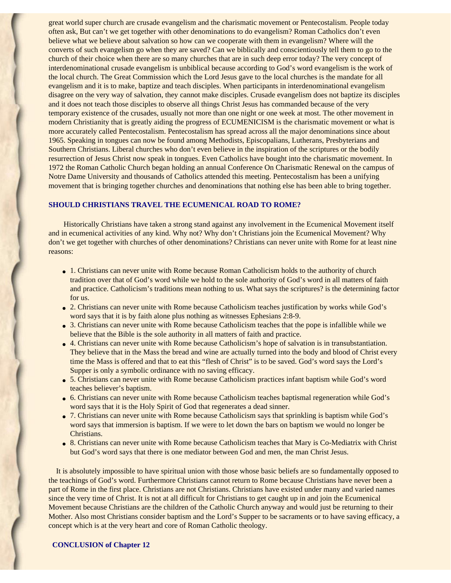great world super church are crusade evangelism and the charismatic movement or Pentecostalism. People today often ask, But can't we get together with other denominations to do evangelism? Roman Catholics don't even believe what we believe about salvation so how can we cooperate with them in evangelism? Where will the converts of such evangelism go when they are saved? Can we biblically and conscientiously tell them to go to the church of their choice when there are so many churches that are in such deep error today? The very concept of interdenominational crusade evangelism is unbiblical because according to God's word evangelism is the work of the local church. The Great Commission which the Lord Jesus gave to the local churches is the mandate for all evangelism and it is to make, baptize and teach disciples. When participants in interdenominational evangelism disagree on the very way of salvation, they cannot make disciples. Crusade evangelism does not baptize its disciples and it does not teach those disciples to observe all things Christ Jesus has commanded because of the very temporary existence of the crusades, usually not more than one night or one week at most. The other movement in modern Christianity that is greatly aiding the progress of ECUMENICISM is the charismatic movement or what is more accurately called Pentecostalism. Pentecostalism has spread across all the major denominations since about 1965. Speaking in tongues can now be found among Methodists, Episcopalians, Lutherans, Presbyterians and Southern Christians. Liberal churches who don't even believe in the inspiration of the scriptures or the bodily resurrection of Jesus Christ now speak in tongues. Even Catholics have bought into the charismatic movement. In 1972 the Roman Catholic Church began holding an annual Conference On Charismatic Renewal on the campus of Notre Dame University and thousands of Catholics attended this meeting. Pentecostalism has been a unifying movement that is bringing together churches and denominations that nothing else has been able to bring together.

### **SHOULD CHRISTIANS TRAVEL THE ECUMENICAL ROAD TO ROME?**

 Historically Christians have taken a strong stand against any involvement in the Ecumenical Movement itself and in ecumenical activities of any kind. Why not? Why don't Christians join the Ecumenical Movement? Why don't we get together with churches of other denominations? Christians can never unite with Rome for at least nine reasons:

- 1. Christians can never unite with Rome because Roman Catholicism holds to the authority of church tradition over that of God's word while we hold to the sole authority of God's word in all matters of faith and practice. Catholicism's traditions mean nothing to us. What says the scriptures? is the determining factor for us.
- 2. Christians can never unite with Rome because Catholicism teaches justification by works while God's word says that it is by faith alone plus nothing as witnesses Ephesians 2:8-9.
- 3. Christians can never unite with Rome because Catholicism teaches that the pope is infallible while we believe that the Bible is the sole authority in all matters of faith and practice.
- 4. Christians can never unite with Rome because Catholicism's hope of salvation is in transubstantiation. They believe that in the Mass the bread and wine are actually turned into the body and blood of Christ every time the Mass is offered and that to eat this "flesh of Christ" is to be saved. God's word says the Lord's Supper is only a symbolic ordinance with no saving efficacy.
- 5. Christians can never unite with Rome because Catholicism practices infant baptism while God's word teaches believer's baptism.
- 6. Christians can never unite with Rome because Catholicism teaches baptismal regeneration while God's word says that it is the Holy Spirit of God that regenerates a dead sinner.
- 7. Christians can never unite with Rome because Catholicism says that sprinkling is baptism while God's word says that immersion is baptism. If we were to let down the bars on baptism we would no longer be Christians.
- 8. Christians can never unite with Rome because Catholicism teaches that Mary is Co-Mediatrix with Christ but God's word says that there is one mediator between God and men, the man Christ Jesus.

 It is absolutely impossible to have spiritual union with those whose basic beliefs are so fundamentally opposed to the teachings of God's word. Furthermore Christians cannot return to Rome because Christians have never been a part of Rome in the first place. Christians are not Christians. Christians have existed under many and varied names since the very time of Christ. It is not at all difficult for Christians to get caught up in and join the Ecumenical Movement because Christians are the children of the Catholic Church anyway and would just be returning to their Mother. Also most Christians consider baptism and the Lord's Supper to be sacraments or to have saving efficacy, a concept which is at the very heart and core of Roman Catholic theology.

#### **CONCLUSION of Chapter 12**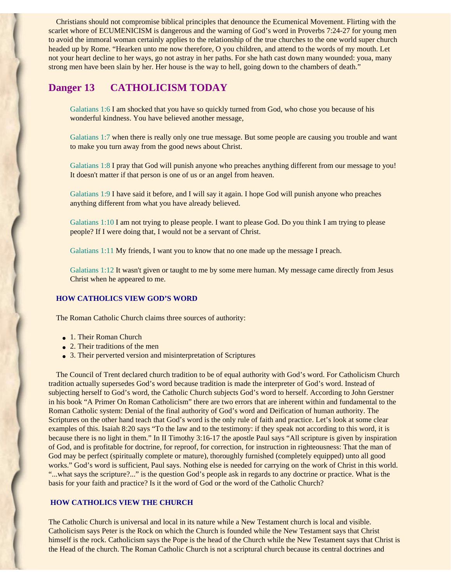Christians should not compromise biblical principles that denounce the Ecumenical Movement. Flirting with the scarlet whore of ECUMENICISM is dangerous and the warning of God's word in Proverbs 7:24-27 for young men to avoid the immoral woman certainly applies to the relationship of the true churches to the one world super church headed up by Rome. "Hearken unto me now therefore, O you children, and attend to the words of my mouth. Let not your heart decline to her ways, go not astray in her paths. For she hath cast down many wounded: youa, many strong men have been slain by her. Her house is the way to hell, going down to the chambers of death."

# **Danger 13 CATHOLICISM TODAY**

Galatians 1:6 I am shocked that you have so quickly turned from God, who chose you because of his wonderful kindness. You have believed another message,

Galatians 1:7 when there is really only one true message. But some people are causing you trouble and want to make you turn away from the good news about Christ.

Galatians 1:8 I pray that God will punish anyone who preaches anything different from our message to you! It doesn't matter if that person is one of us or an angel from heaven.

Galatians 1:9 I have said it before, and I will say it again. I hope God will punish anyone who preaches anything different from what you have already believed.

Galatians 1:10 I am not trying to please people. I want to please God. Do you think I am trying to please people? If I were doing that, I would not be a servant of Christ.

Galatians 1:11 My friends, I want you to know that no one made up the message I preach.

Galatians 1:12 It wasn't given or taught to me by some mere human. My message came directly from Jesus Christ when he appeared to me.

### **HOW CATHOLICS VIEW GOD'S WORD**

The Roman Catholic Church claims three sources of authority:

- 1. Their Roman Church
- 2. Their traditions of the men
- 3. Their perverted version and misinterpretation of Scriptures

 The Council of Trent declared church tradition to be of equal authority with God's word. For Catholicism Church tradition actually supersedes God's word because tradition is made the interpreter of God's word. Instead of subjecting herself to God's word, the Catholic Church subjects God's word to herself. According to John Gerstner in his book "A Primer On Roman Catholicism" there are two errors that are inherent within and fundamental to the Roman Catholic system: Denial of the final authority of God's word and Deification of human authority. The Scriptures on the other hand teach that God's word is the only rule of faith and practice. Let's look at some clear examples of this. Isaiah 8:20 says "To the law and to the testimony: if they speak not according to this word, it is because there is no light in them." In II Timothy 3:16-17 the apostle Paul says "All scripture is given by inspiration of God, and is profitable for doctrine, for reproof, for correction, for instruction in righteousness: That the man of God may be perfect (spiritually complete or mature), thoroughly furnished (completely equipped) unto all good works." God's word is sufficient, Paul says. Nothing else is needed for carrying on the work of Christ in this world. "...what says the scripture?..." is the question God's people ask in regards to any doctrine or practice. What is the basis for your faith and practice? Is it the word of God or the word of the Catholic Church?

### **HOW CATHOLICS VIEW THE CHURCH**

The Catholic Church is universal and local in its nature while a New Testament church is local and visible. Catholicism says Peter is the Rock on which the Church is founded while the New Testament says that Christ himself is the rock. Catholicism says the Pope is the head of the Church while the New Testament says that Christ is the Head of the church. The Roman Catholic Church is not a scriptural church because its central doctrines and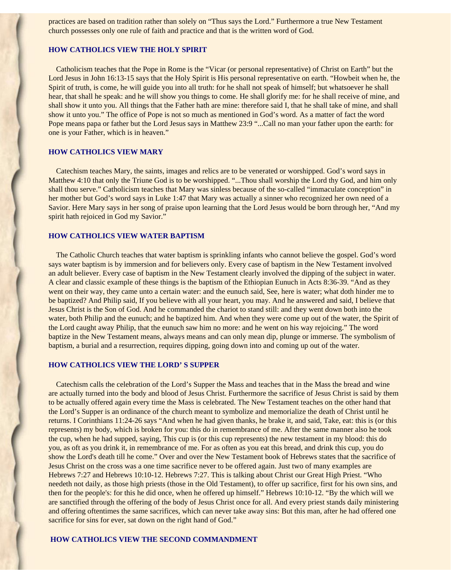practices are based on tradition rather than solely on "Thus says the Lord." Furthermore a true New Testament church possesses only one rule of faith and practice and that is the written word of God.

### **HOW CATHOLICS VIEW THE HOLY SPIRIT**

 Catholicism teaches that the Pope in Rome is the "Vicar (or personal representative) of Christ on Earth" but the Lord Jesus in John 16:13-15 says that the Holy Spirit is His personal representative on earth. "Howbeit when he, the Spirit of truth, is come, he will guide you into all truth: for he shall not speak of himself; but whatsoever he shall hear, that shall he speak: and he will show you things to come. He shall glorify me: for he shall receive of mine, and shall show it unto you. All things that the Father hath are mine: therefore said I, that he shall take of mine, and shall show it unto you." The office of Pope is not so much as mentioned in God's word. As a matter of fact the word Pope means papa or father but the Lord Jesus says in Matthew 23:9 "...Call no man your father upon the earth: for one is your Father, which is in heaven."

### **HOW CATHOLICS VIEW MARY**

 Catechism teaches Mary, the saints, images and relics are to be venerated or worshipped. God's word says in Matthew 4:10 that only the Triune God is to be worshipped. "...Thou shall worship the Lord thy God, and him only shall thou serve." Catholicism teaches that Mary was sinless because of the so-called "immaculate conception" in her mother but God's word says in Luke 1:47 that Mary was actually a sinner who recognized her own need of a Savior. Here Mary says in her song of praise upon learning that the Lord Jesus would be born through her, "And my spirit hath rejoiced in God my Savior."

### **HOW CATHOLICS VIEW WATER BAPTISM**

 The Catholic Church teaches that water baptism is sprinkling infants who cannot believe the gospel. God's word says water baptism is by immersion and for believers only. Every case of baptism in the New Testament involved an adult believer. Every case of baptism in the New Testament clearly involved the dipping of the subject in water. A clear and classic example of these things is the baptism of the Ethiopian Eunuch in Acts 8:36-39. "And as they went on their way, they came unto a certain water: and the eunuch said, See, here is water; what doth hinder me to be baptized? And Philip said, If you believe with all your heart, you may. And he answered and said, I believe that Jesus Christ is the Son of God. And he commanded the chariot to stand still: and they went down both into the water, both Philip and the eunuch; and he baptized him. And when they were come up out of the water, the Spirit of the Lord caught away Philip, that the eunuch saw him no more: and he went on his way rejoicing." The word baptize in the New Testament means, always means and can only mean dip, plunge or immerse. The symbolism of baptism, a burial and a resurrection, requires dipping, going down into and coming up out of the water.

### **HOW CATHOLICS VIEW THE LORD' S SUPPER**

 Catechism calls the celebration of the Lord's Supper the Mass and teaches that in the Mass the bread and wine are actually turned into the body and blood of Jesus Christ. Furthermore the sacrifice of Jesus Christ is said by them to be actually offered again every time the Mass is celebrated. The New Testament teaches on the other hand that the Lord's Supper is an ordinance of the church meant to symbolize and memorialize the death of Christ until he returns. I Corinthians 11:24-26 says "And when he had given thanks, he brake it, and said, Take, eat: this is (or this represents) my body, which is broken for you: this do in remembrance of me. After the same manner also he took the cup, when he had supped, saying, This cup is (or this cup represents) the new testament in my blood: this do you, as oft as you drink it, in remembrance of me. For as often as you eat this bread, and drink this cup, you do show the Lord's death till he come." Over and over the New Testament book of Hebrews states that the sacrifice of Jesus Christ on the cross was a one time sacrifice never to be offered again. Just two of many examples are Hebrews 7:27 and Hebrews 10:10-12. Hebrews 7:27. This is talking about Christ our Great High Priest. "Who needeth not daily, as those high priests (those in the Old Testament), to offer up sacrifice, first for his own sins, and then for the people's: for this he did once, when he offered up himself." Hebrews 10:10-12. "By the which will we are sanctified through the offering of the body of Jesus Christ once for all. And every priest stands daily ministering and offering oftentimes the same sacrifices, which can never take away sins: But this man, after he had offered one sacrifice for sins for ever, sat down on the right hand of God."

### **HOW CATHOLICS VIEW THE SECOND COMMANDMENT**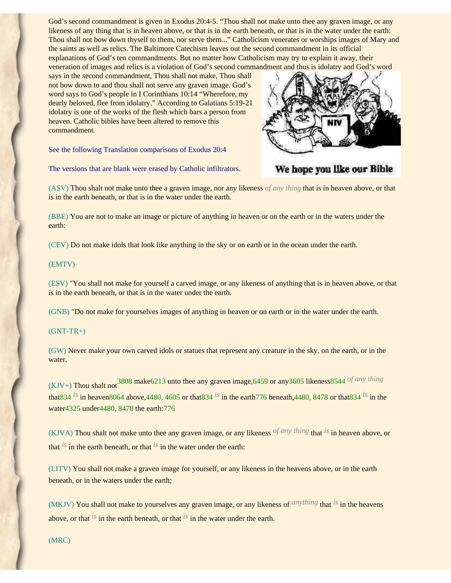God's second commandment is given in Exodus 20:4-5. "Thou shall not make unto thee any graven image, or any likeness of any thing that is in heaven above, or that is in the earth beneath, or that is in the water under the earth: Thou shall not bow down thyself to them, nor serve them..." Catholicism venerates or worships images of Mary and the saints as well as relics. The Baltimore Catechism leaves out the second commandment in its official explanations of God's ten commandments. But no matter how Catholicism may try to explain it away, their veneration of images and relics is a violation of God's second commandment and thus is idolatry and God's word

says in the second commandment, Thou shall not make, Thou shall not bow down to and thou shall not serve any graven image. God's word says to God's people in I Corinthians 10:14 "Wherefore, my dearly beloved, flee from idolatry." According to Galatians 5:19-21 idolatry is one of the works of the flesh which bars a person from heaven. Catholic bibles have been altered to remove this commandment.

See the following Translation comparisons of Exodus 20:4

The versions that are blank were erased by Catholic infiltrators.



We hope you like our Bible

(ASV) Thou shalt not make unto thee a graven image, nor any likeness *of any thing* that is in heaven above, or that is in the earth beneath, or that is in the water under the earth.

(BBE) You are not to make an image or picture of anything in heaven or on the earth or in the waters under the earth:

(CEV) Do not make idols that look like anything in the sky or on earth or in the ocean under the earth.

### (EMTV)

(ESV) "You shall not make for yourself a carved image, or any likeness of anything that is in heaven above, or that is in the earth beneath, or that is in the water under the earth.

(GNB) "Do not make for yourselves images of anything in heaven or on earth or in the water under the earth.

#### $(GNT-TR+)$

(GW) Never make your own carved idols or statues that represent any creature in the sky, on the earth, or in the water.

(KJV+) Thou shalt not<sup>3808</sup> make6213 unto thee any graven image,6459 or any3605 likeness8544 *of any thing* that834 *is* in heaven8064 above,4480, 4605 or that834 *is* in the earth776 beneath,4480, 8478 or that834 *is* in the water4325 under4480, 8478 the earth:776

(KJVA) Thou shalt not make unto thee any graven image, or any likeness *of any thing* that *is* in heaven above, or that *is* in the earth beneath, or that *is* in the water under the earth:

(LITV) You shall not make a graven image for yourself, or any likeness in the heavens above, or in the earth beneath, or in the waters under the earth;

(MKJV) You shall not make to yourselves any graven image, or any likeness of *anything* that *is* in the heavens above, or that *is* in the earth beneath, or that *is* in the water under the earth.

(MRC)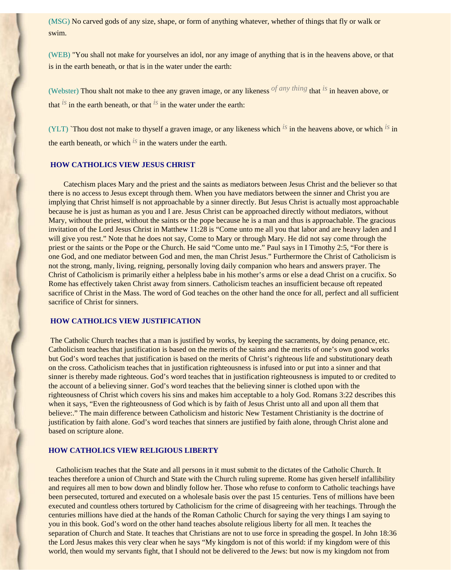(MSG) No carved gods of any size, shape, or form of anything whatever, whether of things that fly or walk or swim.

(WEB) "You shall not make for yourselves an idol, nor any image of anything that is in the heavens above, or that is in the earth beneath, or that is in the water under the earth:

(Webster) Thou shalt not make to thee any graven image, or any likeness *of any thing* that *is* in heaven above, or that *is* in the earth beneath, or that *is* in the water under the earth:

(YLT) `Thou dost not make to thyself a graven image, or any likeness which *is* in the heavens above, or which *is* in the earth beneath, or which *is* in the waters under the earth.

### **HOW CATHOLICS VIEW JESUS CHRIST**

 Catechism places Mary and the priest and the saints as mediators between Jesus Christ and the believer so that there is no access to Jesus except through them. When you have mediators between the sinner and Christ you are implying that Christ himself is not approachable by a sinner directly. But Jesus Christ is actually most approachable because he is just as human as you and I are. Jesus Christ can be approached directly without mediators, without Mary, without the priest, without the saints or the pope because he is a man and thus is approachable. The gracious invitation of the Lord Jesus Christ in Matthew 11:28 is "Come unto me all you that labor and are heavy laden and I will give you rest." Note that he does not say, Come to Mary or through Mary. He did not say come through the priest or the saints or the Pope or the Church. He said "Come unto me." Paul says in I Timothy 2:5, "For there is one God, and one mediator between God and men, the man Christ Jesus." Furthermore the Christ of Catholicism is not the strong, manly, living, reigning, personally loving daily companion who hears and answers prayer. The Christ of Catholicism is primarily either a helpless babe in his mother's arms or else a dead Christ on a crucifix. So Rome has effectively taken Christ away from sinners. Catholicism teaches an insufficient because oft repeated sacrifice of Christ in the Mass. The word of God teaches on the other hand the once for all, perfect and all sufficient sacrifice of Christ for sinners.

### **HOW CATHOLICS VIEW JUSTIFICATION**

 The Catholic Church teaches that a man is justified by works, by keeping the sacraments, by doing penance, etc. Catholicism teaches that justification is based on the merits of the saints and the merits of one's own good works but God's word teaches that justification is based on the merits of Christ's righteous life and substitutionary death on the cross. Catholicism teaches that in justification righteousness is infused into or put into a sinner and that sinner is thereby made righteous. God's word teaches that in justification righteousness is imputed to or credited to the account of a believing sinner. God's word teaches that the believing sinner is clothed upon with the righteousness of Christ which covers his sins and makes him acceptable to a holy God. Romans 3:22 describes this when it says, "Even the righteousness of God which is by faith of Jesus Christ unto all and upon all them that believe:." The main difference between Catholicism and historic New Testament Christianity is the doctrine of justification by faith alone. God's word teaches that sinners are justified by faith alone, through Christ alone and based on scripture alone.

### **HOW CATHOLICS VIEW RELIGIOUS LIBERTY**

 Catholicism teaches that the State and all persons in it must submit to the dictates of the Catholic Church. It teaches therefore a union of Church and State with the Church ruling supreme. Rome has given herself infallibility and requires all men to bow down and blindly follow her. Those who refuse to conform to Catholic teachings have been persecuted, tortured and executed on a wholesale basis over the past 15 centuries. Tens of millions have been executed and countless others tortured by Catholicism for the crime of disagreeing with her teachings. Through the centuries millions have died at the hands of the Roman Catholic Church for saying the very things I am saying to you in this book. God's word on the other hand teaches absolute religious liberty for all men. It teaches the separation of Church and State. It teaches that Christians are not to use force in spreading the gospel. In John 18:36 the Lord Jesus makes this very clear when he says "My kingdom is not of this world: if my kingdom were of this world, then would my servants fight, that I should not be delivered to the Jews: but now is my kingdom not from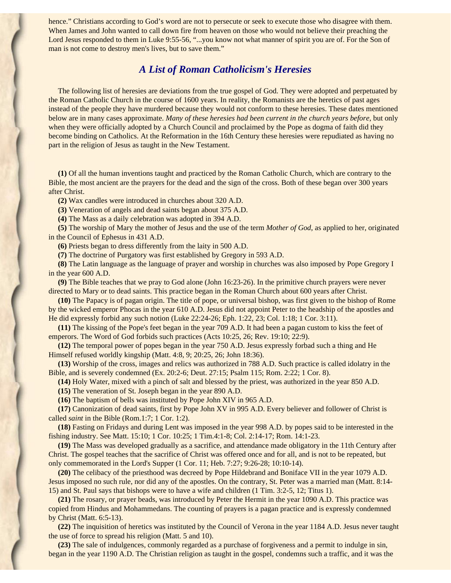hence." Christians according to God's word are not to persecute or seek to execute those who disagree with them. When James and John wanted to call down fire from heaven on those who would not believe their preaching the Lord Jesus responded to them in Luke 9:55-56, "...you know not what manner of spirit you are of. For the Son of man is not come to destroy men's lives, but to save them."

## *A List of Roman Catholicism's Heresies*

 The following list of heresies are deviations from the true gospel of God. They were adopted and perpetuated by the Roman Catholic Church in the course of 1600 years. In reality, the Romanists are the heretics of past ages instead of the people they have murdered because they would not conform to these heresies. These dates mentioned below are in many cases approximate. *Many of these heresies had been current in the church years before*, but only when they were officially adopted by a Church Council and proclaimed by the Pope as dogma of faith did they become binding on Catholics. At the Reformation in the 16th Century these heresies were repudiated as having no part in the religion of Jesus as taught in the New Testament.

 **(1)** Of all the human inventions taught and practiced by the Roman Catholic Church, which are contrary to the Bible, the most ancient are the prayers for the dead and the sign of the cross. Both of these began over 300 years after Christ.

**(2)** Wax candles were introduced in churches about 320 A.D.

**(3)** Veneration of angels and dead saints began about 375 A.D.

**(4)** The Mass as a daily celebration was adopted in 394 A.D.

 **(5)** The worship of Mary the mother of Jesus and the use of the term *Mother of God*, as applied to her, originated in the Council of Ephesus in 431 A.D.

**(6)** Priests began to dress differently from the laity in 500 A.D.

**(7)** The doctrine of Purgatory was first established by Gregory in 593 A.D.

 **(8)** The Latin language as the language of prayer and worship in churches was also imposed by Pope Gregory I in the year 600 A.D.

 **(9)** The Bible teaches that we pray to God alone (John 16:23-26). In the primitive church prayers were never directed to Mary or to dead saints. This practice began in the Roman Church about 600 years after Christ.

 **(10)** The Papacy is of pagan origin. The title of pope, or universal bishop, was first given to the bishop of Rome by the wicked emperor Phocas in the year 610 A.D. Jesus did not appoint Peter to the headship of the apostles and He did expressly forbid any such notion (Luke 22:24-26; Eph. 1:22, 23; Col. 1:18; 1 Cor. 3:11).

 **(11)** The kissing of the Pope's feet began in the year 709 A.D. It had been a pagan custom to kiss the feet of emperors. The Word of God forbids such practices (Acts 10:25, 26; Rev. 19:10; 22:9).

 **(12)** The temporal power of popes began in the year 750 A.D. Jesus expressly forbad such a thing and He Himself refused worldly kingship (Matt. 4:8, 9; 20:25, 26; John 18:36).

 **(13)** Worship of the cross, images and relics was authorized in 788 A.D. Such practice is called idolatry in the Bible, and is severely condemned (Ex. 20:2-6; Deut. 27:15; Psalm 115; Rom. 2:22; 1 Cor. 8).

**(14)** Holy Water, mixed with a pinch of salt and blessed by the priest, was authorized in the year 850 A.D.

**(15)** The veneration of St. Joseph began in the year 890 A.D.

**(16)** The baptism of bells was instituted by Pope John XIV in 965 A.D.

 **(17)** Canonization of dead saints, first by Pope John XV in 995 A.D. Every believer and follower of Christ is called *saint* in the Bible (Rom.1:7; 1 Cor. 1:2).

 **(18)** Fasting on Fridays and during Lent was imposed in the year 998 A.D. by popes said to be interested in the fishing industry. See Matt. 15:10; 1 Cor. 10:25; 1 Tim.4:1-8; Col. 2:14-17; Rom. 14:1-23.

 **(19)** The Mass was developed gradually as a sacrifice, and attendance made obligatory in the 11th Century after Christ. The gospel teaches that the sacrifice of Christ was offered once and for all, and is not to be repeated, but only commemorated in the Lord's Supper (1 Cor. 11; Heb. 7:27; 9:26-28; 10:10-14).

 **(20)** The celibacy of the priesthood was decreed by Pope Hildebrand and Boniface VII in the year 1079 A.D. Jesus imposed no such rule, nor did any of the apostles. On the contrary, St. Peter was a married man (Matt. 8:14- 15) and St. Paul says that bishops were to have a wife and children (1 Tim. 3:2-5, 12; Titus 1).

 **(21)** The rosary, or prayer beads, was introduced by Peter the Hermit in the year 1090 A.D. This practice was copied from Hindus and Mohammedans. The counting of prayers is a pagan practice and is expressly condemned by Christ (Matt. 6:5-13).

 **(22)** The inquisition of heretics was instituted by the Council of Verona in the year 1184 A.D. Jesus never taught the use of force to spread his religion (Matt. 5 and 10).

 **(23)** The sale of indulgences, commonly regarded as a purchase of forgiveness and a permit to indulge in sin, began in the year 1190 A.D. The Christian religion as taught in the gospel, condemns such a traffic, and it was the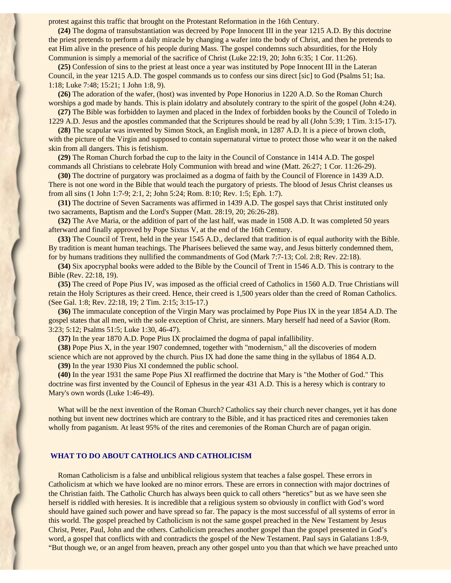protest against this traffic that brought on the Protestant Reformation in the 16th Century.

 **(24)** The dogma of transubstantiation was decreed by Pope Innocent III in the year 1215 A.D. By this doctrine the priest pretends to perform a daily miracle by changing a wafer into the body of Christ, and then he pretends to eat Him alive in the presence of his people during Mass. The gospel condemns such absurdities, for the Holy Communion is simply a memorial of the sacrifice of Christ (Luke 22:19, 20; John 6:35; 1 Cor. 11:26).

 **(25)** Confession of sins to the priest at least once a year was instituted by Pope Innocent III in the Lateran Council, in the year 1215 A.D. The gospel commands us to confess our sins direct [sic] to God (Psalms 51; Isa. 1:18; Luke 7:48; 15:21; 1 John 1:8, 9).

 **(26)** The adoration of the wafer, (host) was invented by Pope Honorius in 1220 A.D. So the Roman Church worships a god made by hands. This is plain idolatry and absolutely contrary to the spirit of the gospel (John 4:24).

 **(27)** The Bible was forbidden to laymen and placed in the Index of forbidden books by the Council of Toledo in 1229 A.D. Jesus and the apostles commanded that the Scriptures should be read by all (John 5:39; 1 Tim. 3:15-17).

 **(28)** The scapular was invented by Simon Stock, an English monk, in 1287 A.D. It is a piece of brown cloth, with the picture of the Virgin and supposed to contain supernatural virtue to protect those who wear it on the naked skin from all dangers. This is fetishism.

 **(29)** The Roman Church forbad the cup to the laity in the Council of Constance in 1414 A.D. The gospel commands all Christians to celebrate Holy Communion with bread and wine (Matt. 26:27; 1 Cor. 11:26-29).

 **(30)** The doctrine of purgatory was proclaimed as a dogma of faith by the Council of Florence in 1439 A.D. There is not one word in the Bible that would teach the purgatory of priests. The blood of Jesus Christ cleanses us from all sins (1 John 1:7-9; 2:1, 2; John 5:24; Rom. 8:10; Rev. 1:5; Eph. 1:7).

 **(31)** The doctrine of Seven Sacraments was affirmed in 1439 A.D. The gospel says that Christ instituted only two sacraments, Baptism and the Lord's Supper (Matt. 28:19, 20; 26:26-28).

 **(32)** The Ave Maria, or the addition of part of the last half, was made in 1508 A.D. It was completed 50 years afterward and finally approved by Pope Sixtus V, at the end of the 16th Century.

 **(33)** The Council of Trent, held in the year 1545 A.D., declared that tradition is of equal authority with the Bible. By tradition is meant human teachings. The Pharisees believed the same way, and Jesus bitterly condemned them, for by humans traditions they nullified the commandments of God (Mark 7:7-13; Col. 2:8; Rev. 22:18).

 **(34)** Six apocryphal books were added to the Bible by the Council of Trent in 1546 A.D. This is contrary to the Bible (Rev. 22:18, 19).

 **(35)** The creed of Pope Pius IV, was imposed as the official creed of Catholics in 1560 A.D. True Christians will retain the Holy Scriptures as their creed. Hence, their creed is 1,500 years older than the creed of Roman Catholics. (See Gal. 1:8; Rev. 22:18, 19; 2 Tim. 2:15; 3:15-17.)

 **(36)** The immaculate conception of the Virgin Mary was proclaimed by Pope Pius IX in the year 1854 A.D. The gospel states that all men, with the sole exception of Christ, are sinners. Mary herself had need of a Savior (Rom. 3:23; 5:12; Psalms 51:5; Luke 1:30, 46-47).

**(37)** In the year 1870 A.D. Pope Pius IX proclaimed the dogma of papal infallibility.

 **(38)** Pope Pius X, in the year 1907 condemned, together with "modernism," all the discoveries of modern science which are not approved by the church. Pius IX had done the same thing in the syllabus of 1864 A.D.

**(39)** In the year 1930 Pius XI condemned the public school.

 **(40)** In the year 1931 the same Pope Pius XI reaffirmed the doctrine that Mary is "the Mother of God." This doctrine was first invented by the Council of Ephesus in the year 431 A.D. This is a heresy which is contrary to Mary's own words (Luke 1:46-49).

What will be the next invention of the Roman Church? Catholics say their church never changes, yet it has done nothing but invent new doctrines which are contrary to the Bible, and it has practiced rites and ceremonies taken wholly from paganism. At least 95% of the rites and ceremonies of the Roman Church are of pagan origin.

### **WHAT TO DO ABOUT CATHOLICS AND CATHOLICISM**

 Roman Catholicism is a false and unbiblical religious system that teaches a false gospel. These errors in Catholicism at which we have looked are no minor errors. These are errors in connection with major doctrines of the Christian faith. The Catholic Church has always been quick to call others "heretics" but as we have seen she herself is riddled with heresies. It is incredible that a religious system so obviously in conflict with God's word should have gained such power and have spread so far. The papacy is the most successful of all systems of error in this world. The gospel preached by Catholicism is not the same gospel preached in the New Testament by Jesus Christ, Peter, Paul, John and the others. Catholicism preaches another gospel than the gospel presented in God's word, a gospel that conflicts with and contradicts the gospel of the New Testament. Paul says in Galatians 1:8-9, "But though we, or an angel from heaven, preach any other gospel unto you than that which we have preached unto